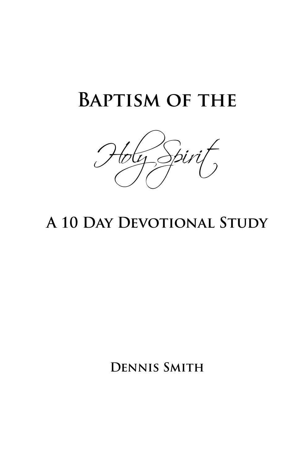# **Baptism of the**



# **A 10 Day Devotional Study**

**Dennis Smith**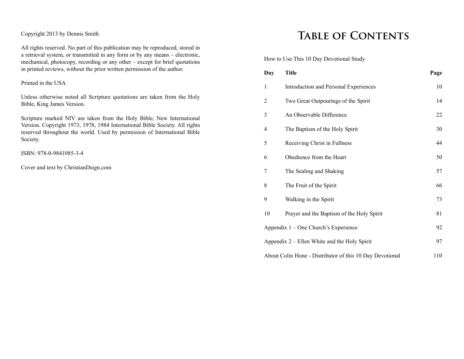### Copyright 2013 by Dennis Smith

All rights reserved. No part of this publication may be reproduced, stored in a retrieval system, or transmitted in any form or by any means – electronic, mechanical, photocopy, recording or any other – except for brief quotations in printed reviews, without the prior written permission of the author.

### Printed in the USA

Unless otherwise noted all Scripture quotations are taken from the Holy Bible, King James Version.

Scripture marked NIV are taken from the Holy Bible, New International Version. Copyright 1973, 1978, 1984 International Bible Society. All rights reserved throughout the world. Used by permission of International Bible Society.

ISBN: 978-0-9841085-3-4

Cover and text by ChristianDsign.com

# **Table of Contents**

How to Use This 10 Day Devotional Study

| Day                                                             | <b>Title</b>                              | Page |  |
|-----------------------------------------------------------------|-------------------------------------------|------|--|
| 1                                                               | Introduction and Personal Experiences     | 10   |  |
| 2                                                               | Two Great Outpourings of the Spirit       |      |  |
| 3                                                               | An Observable Difference<br>22            |      |  |
| 4                                                               | 30<br>The Baptism of the Holy Spirit      |      |  |
| 5                                                               | Receiving Christ in Fullness              | 44   |  |
| 6                                                               | Obedience from the Heart                  | 50   |  |
| 7                                                               | The Sealing and Shaking                   | 57   |  |
| 8                                                               | The Fruit of the Spirit                   | 66   |  |
| 9                                                               | Walking in the Spirit                     | 73   |  |
| 10                                                              | Prayer and the Baptism of the Holy Spirit | 81   |  |
| 92<br>Appendix $1 -$ One Church's Experience                    |                                           |      |  |
| 97<br>Appendix 2 – Ellen White and the Holy Spirit              |                                           |      |  |
| About Colin Hone - Distributor of this 10 Day Devotional<br>110 |                                           |      |  |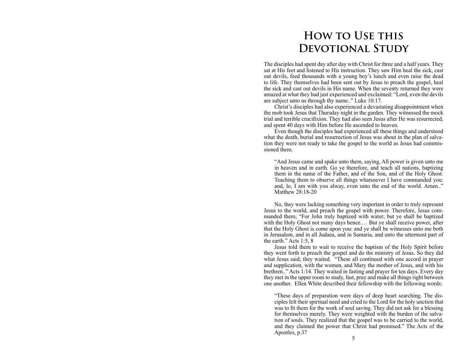# **How to Use this Devotional Study**

sat at His feet and listened to His instruction. They saw Him heal the sick, cast out devils, leed mousands with a young boy's lunch and even raise the dead<br>to life. They themselves had been sent out by Jesus to preach the gospel, heal to the sick and cast out devils in His name. When the seventy returned they were amazed at what they had just experienced and exclaimed: "Lord, even the devils" are subject unto us through thy name.." Luke 10:17. The disciples had spent day after day with Christ for three and a half years. They out devils, feed thousands with a young boy's lunch and even raise the dead

Christ's disciples had also experienced a devastating disappointment when Christ's disciples had also experienced a devastating disappointment when<br>the mob took Jesus that Thursday night in the garden. They witnessed the mock trial and terrible crucifixion. They had also seen Jesus after He was resurrected, and spent 40 days with Him before He ascended to heaven.

Spent 40 days with Film before He ascended to heaven.<br>Even though the disciples had experienced all these things and understood EVEN though the disciples had experienced an these things and didensition what the death, burial and resurrection of Jesus was about in the plan of salvation they were not ready to take the gospel to the world as Jesus had commisresult and spent 40 days with Him before He ascended them.

"And Jesus came and spake unto them, saying, All power is given unto me in heaven and in earth. Go ye therefore, and teach all nations, baptizing  $d_1$ Teaching them to observe all things whatsoever I have commanded you:  $\text{Matthew } 28:18-20$ them in the name of the Father, and of the Son, and of the Holy Ghost: and, lo, I am with you alway, even unto the end of the world. Amen.."

No, they were lacking something very important in order to truly represent Jesus to the world, and preach the gospel with power. Therefore, Jesus commanded them, For John truly baptized with water, but ye shall be baptized<br>with the Holy Ghost not many days hence.... But ye shall receive power, after that the Holy Ghost is come upon you: and ye shall be witnesses unto me both that the Holy Ghost is come upon you: and ye shall be witnesses unto me both the earth." Acts 1:5, 8 manded them; "For John truly baptized with water; but ye shall be baptized in Jerusalem, and in all Judaea, and in Samaria, and unto the uttermost part of

Jesus told them to wait to receive the baptism of the Holy Spirit before. Jesus told them to wait to receive the baptism of the Holy Spirit before they went forth to preach the gospel and do the ministry of Jesus. So they did what Jesus said; they waited. "These all continued with one accord in prayer and supprication, with the worlden, and wary the mother or resus, and with his brethren.." Acts 1:14. They waited in fasting and prayer for ten days. Every day they met in the upper room to study, fast, pray and make all things right between one another. Ellen White described their fellowship with the following words: and supplication, with the women, and Mary the mother of Jesus, and with his

"These days of preparation were days of deep heart searching. The disciples felt their spiritual need and cried to the Lord for the holy unction that was to in them for the work of sour saving. They did not ask for a blessing<br>for themselves merely. They were weighted with the burden of the salvation of souls. They realized that the gospel was to be carried to the world, and they claimed the power that Christ had promised." The Acts of the was to fit them for the work of soul saving. They did not ask for a blessing Apostles, p.37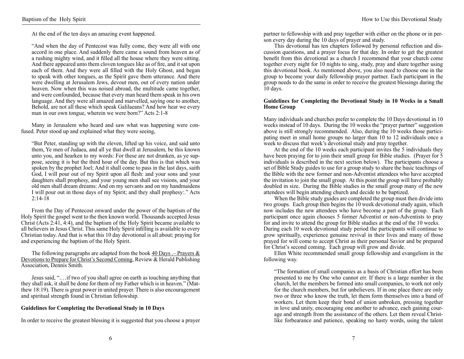At the end of the ten days an amazing event happened.

following words: accord in one place. And suddenly there came a sound from heaven as of a rushing mighty wind, and it filled all the house where they were sitting. a rushing inighty which, and it like an the house where drey were strang.<br>And there appeared unto them cloven tongues like as of fire, and it sat upon each of them. And they were all filled with the Holy Ghost, and began to speak with other tongues, as the Spirit gave them utterance. And there were dwelling at Jerusalem Jews, devout men, out of every nation under heaven. Now when this was noised abroad, the multitude came together, and were comounded, because that every man heard them speak in his own<br>language. And they were all amazed and marvelled, saying one to another, man in our own tongue, wherein we were born?" Acts 2:1-8 "And when the day of Pentecost was fully come, they were all with one accord in one place. And suddenly there came a sound from heaven as of and were confounded, because that every man heard them speak in his own Behold, are not all these which speak Galilaeans? And how hear we every

Many in Jerusalem who heard and saw what was happening were confused. Peter stood up and explained what they were seeing,

"But Peter, standing up with the eleven, lifted up his voice, and said unto But I eter, standing up with the eleven, filted up his voice, and said unto<br>them, Ye men of Judaea, and all ye that dwell at Jerusalem, be this known and them. And the Holy Ghost all the Holy Ghost all the Holy Ghost and Holy Ghost and Holy Ghost and Holy Ghost are not drunken, as ye suppose, seeing it is but the third hour of the day. But this is that which was spoken by the prophet Joel; And it shall come to pass in the last days, saith God, I will pour out of my Spirit upon all flesh: and your sons and your daughters shall prophesy, and your young men shall see visions, and your his own language and the weaken all amazing the same all amazing the same all amazed and margin says of the same states on the same states of the same states on the same states of the same states on the same states on the I will pour out in those days of my Spirit; and they shall prophesy:." Acts  $2:14.18$ we every man in our own tongue, where  $\alpha$  is a congression we were born?" Acts 2:1-8:1-8:1-8:1-8:1-8:1-8:1-8: old men shall dream dreams: And on my servants and on my handmaidens 2:14-18

Holy Spirit the gospel went to the then known world. Thousands accepted Jesus Christ (Acts 2:41, 4:4), and the baptism of the Holy Spirit became available to Christian today. And that is what this  $10 \text{ day}$  devotional is all about; praying for and avasciancing the bantism of the Hely Spirit and experiencing the baptism of the Holy Spirit. From the Day of Pentecost onward under the power of the baptism of the all believers in Jesus Christ. This same Holy Spirit infilling is available to every

The following paragraphs are adapted from the book  $\frac{40 \text{ Days}}{40 \text{ days}}$ . Prayers  $\&$ Devotions to Prepare for Christ's Second Coming, Review & Herald Publishing Association, Dennis Smith.

 $\mathcal{F} = \mathcal{F}(\mathcal{U})$  is an outbrief my Spirit upon all  $\mathcal{F}(\mathcal{U})$ Jesus said, ".... if two of you shall agree on earth as touching anything that  $\frac{1}{2}$  and  $\frac{1}{2}$  and  $\frac{1}{2}$  and  $\frac{1}{2}$  and  $\frac{1}{2}$  and  $\frac{1}{2}$  and  $\frac{1}{2}$  and  $\frac{1}{2}$  and  $\frac{1}{2}$  and  $\frac{1}{2}$  and  $\$ they shall ask, it shall be done for them of my f ather which is in neaven. (what-<br>thew 18:19). There is great power in united prayer. There is also encouragement and spiritual strength found in Christian fellowship.  $\mathbf{1}$ they shall ask, it shall be done for them of my Father which is in heaven." (Mat-

### **Guidelines for Completing the Devotional Study in 10 Days**

From the Day of Pentecost onward under the power of the baptism of the In order to receive the greatest blessing it is suggested that you choose a prayer partner to fellowship with and pray together with either on the phone or in person every day during the 10 days of prayer and study.

This devotional has ten chapters followed by personal reflection and dis-Eassion questions, and a prayer focus for that day. In order to get the greatest benefit from this devotional as a church I recommend that your church come this devotional book. As mentioned above, you also need to choose one in the group to become your daily fellowship prayer partner. Each participant in the group needs to do the same in order to receive the greatest blessings during the cussion questions, and a prayer focus for that day. In order to get the greatest together every night for 10 nights to sing, study, pray and share together using 10 days.

#### $\overline{G}$  is the same of  $\overline{G}$  and  $\overline{G}$  the  $\overline{G}$  continued  $\overline{G}$  and  $\overline{G}$  and  $\overline{G}$  and  $\overline{G}$  and  $\overline{G}$ Guidelines for Completing the Devotional Study in 10 Weeks in a Small **Home Crown** (Matthew 18:19). There is great power in united prayer. There is also en-**Home Group**

Many individuals and churches prefer to complete the 10 Days devotional in 10 weeks instead of 10 days. During the 10 weeks the "prayer partner" suggestion above is still strongly recommended. Also, during the 10 weeks those participating meet in small home groups no larger than 10 to 12 individuals once a week to discuss that week's devotional study and pray together.

At the end of the 10 weeks each participant invites the 5 individuals they<br>At the end of the 10 weeks each participant invites the 5 individuals they have been praying for to join their small group for Bible studies. (Prayer for 5 individuals is described in the next section below). The participants choose a set of Bible Study guides to use for a group study to share the basic teachings of the Bible with the new former and non-Adventist attendees who have accepted the invitation to join the small group. At this point the group will have probably doubled in size. During the Bible studies in the small group many of the new attendees will begin attending church and decide to be baptized.

When the Bible study guides are completed the group must then divide into two groups. Each group then begins the 10 week devotional study again, which now includes the new attendees who have become a part of the group. Each participant once again chooses 5 former Adventist or non-Adventists to pray for and invite to attend the group for Bible studies at the end of the 10 weeks. During each 10 week devotional study period the participants will continue to grow spiritually, experience genume revival in their lives and many of mose<br>prayed for will come to accept Christ as their personal Savior and be prepared for Christ's second coming. Each group will grow and divide. grow spiritually, experience genuine revival in their lives and many of those

Ellen White recommended small group fellowship and evangelism in the following way.

"The formation of small companies as a basis of Christian effort has been presented to me by One who cannot err. If there is a large number in the shortfor the church members, but for unbelievers. If in one place there are only for the church members, but for unbelievers. If in one place there are only two or three who know the truth, let them form themselves into a band of workers. Let them keep their bond of union unbroken, pressing together in love and unity, encouraging one another to advance, each gaining courage and strength from the assistance of the others. Let them reveal Christlike forbearance and patience, speaking no hasty words, using the talent church, let the members be formed into small companies, to work not only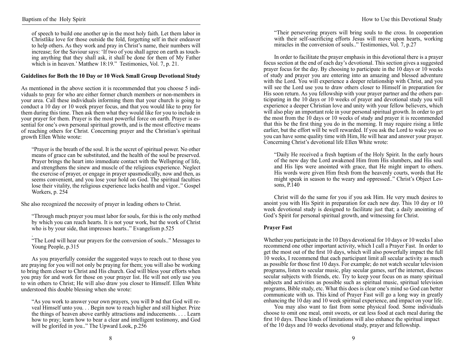of speech to build one another up in the most holy faith. Let them labor in to help others. As they work and pray in Christ's name, their numbers will  $\frac{1}{2}$ ing anything that they shall ask, it shall be done for them of My Father which is in heaven.' Matthew 18:19." Testimonies, Vol. 7, p. 21. Christlike love for those outside the fold, forgetting self in their endeavor increase; for the Saviour says: 'If two of you shall agree on earth as touch-

## Guidelines for Both the 10 Day or 10 Week Small Group Devotional Study

Young People*,* p.315 your area. Call these individuals informing them that your church is going to your area. Call these individuals informing them that your church is going to from them; each these marvialing informing them that you while the pray for conduct a 10 day or 10 week prayer focus, and that you would like to pray for them during this time. Then ask them what they would like for you to include in your prayer for them. Prayer is the most powerful force on earth. Prayer is essential for one's own personal spiritual growth, and is the most effective means of reaching others for Christ. Concerning prayer and the Christian's spiritual As mentioned in the above section it is recommended that you choose 5 individuals to pray for who are either former church members or non-members in growth Ellen White wrote:

"Prayer is the breath of the soul. It is the secret of spiritual power. No other means of grace can be substituted, and the health of the soul be preserved. Prayer brings the heart into immediate contact with the Wellspring of life, and strengthens the sinew and muscle of the religious experience. Neglect the exercise of prayer, or engage in prayer spasmodically, now and then, as lose their vitality, the religious experience lacks health and vigor.." Gospel Workers  $\bar{n}$  254  $t_{\text{tot}}$ s,  $\mu$ .  $\omega$  i seems convenient, and you lose your hold on God. The spiritual faculties Workers, p. 254

She also recognized the necessity of prayer in leading others to Christ.

"Through much prayer you must labor for souls, for this is the only method by which you can reach hearts. It is not your work, but the work of Christ who is by your side, that impresses hearts.." Evangelism p.525

 $\cdot$  The Lord will been our prayers for the conversion of souls  $\cdot$  Messages to enter the Lord. With them out prayers for the convenient of South thressages to<br>Voung People to 315  $p = \frac{1}{2}$  deeper relationship with Christ, and you will see the Lord use  $\frac{1}{2}$ . "The Lord will hear our prayers for the conversion of souls.." Messages to Young People, p.315

As you prayerfully consider the suggested ways to reach out to those you are praying for you will not only be praying for them; you will also be working to bring them closer to Christ and His church. God will bless your efforts when you pray for and work for those on your prayer fist. He will not only use you<br>to win others to Christ; He will also draw you closer to Himself. Ellen White which is double blessing when she wrote:  $\sigma$  order to get the most from the 10 days of study and prayer it is recoyou pray for and work for those on your prayer list. He will not only use you

"As you work to answer your own prayers, you will Þ nd that God will reveal Himself unto you. . . Begin now to reach higher and still higher. Prize the things of heaven above earthly attractions and inducements.  $\dots$  Learn how to pray; learn how to bear a clear and intelligent testimony, and God  $\frac{1}{2}$ . The clear  $\frac{1}{2}$  is not written to be  $\frac{1}{2}$  is not written to be  $\frac{1}{2}$  is not written to be  $\frac{1}{2}$  is not written to be  $\$ will be glorifed in you..." The Upward Look, p.256

"Their persevering prayers will bring souls to the cross. In cooperation with their self-sacrificing efforts Jesus will move upon hearts, working wise their state correction of social  $\frac{37}{2}$  Section and H<sub>1</sub>  $\frac{37}{2}$  s  $\frac{27}{2}$ miracles in the conversion of souls.." Testimonies, Vol. 7, p.27

In order to facilitate the prayer emphasis in this devotional there is a prayer focus section at the end of each day's devotional. This section gives a suggested prayer focus for the day. By choosing to participate in the 10 days or 10 weeks with the Lord. You will experience a deeper relationship with Christ, and you with see the Eord use you to draw others closer to Thinself in preparation for His soon return. As you fellowship with your prayer partner and the others parthe studies of the 10 days or 10 weeks of prayer and devotional study you will experience a deeper Christian love and unity with your fellow believers, which will also play an important role in your personal spiritual growth. In order to get the most from the 10 days or 10 weeks of study and prayer it is recommended that this be the first thing you do in the morning. It may require rising a little earlier, but the effort will be well rewarded. If you ask the Lord to wake you so<br>you can have some quality time with Him, He will hear and answer your prayer. you can nave some quanty time with film, fit win near and answer your prayer.<br>Concerning Christ's devotional life Ellen White wrote: Concerning Christ's devotional life Ellen White wrote: of study and prayer you are entering into an amazing and blessed adventure will see the Lord use you to draw others closer to Himself in preparation for earlier, but the effort will be well rewarded. If you ask the Lord to wake you so

"Daily He received a fresh baptism of the Holy Spirit. In the early hours of the new day the Lord awakened Him from His slumbers, and His soul and His lips were anointed with grace, that He might impart to others. His words were given Him fresh from the heavenly courts, words that He You may also want to fast from some physical food. Some individuals might speak in season to the weary and oppressed.." Christ's Object Les- $\text{conv}, \text{1.1}$  to sons, P.140

Christ will do the same for you if you ask Him. He very much desires to anoint you with His Spirit in preparation for each new day. This 10 day or 10 week devotional study is designed to facilitate just that; a daily anointing of God's Spirit for personal spiritual growth, and witnessing for Christ.

### **Prayer Fast**

Whether you participate in the 10 Days devotional for 10 days or 10 weeks I also recommend one other important activity, which I call a Prayer Fast. In order to get the most out of the first 10 days, which will also powerfully impact the full 10 weeks, I recommend that each participant limit all secular activity as much as possible for those first 10 days. For example; do not watch secular television programs, listen to secular music, play secular games, surf the internet, discuss secular subjects with friends, etc. Try to keep your focus on as many spiritual subjects and activities as possible such as spiritual music, spiritual television programs, Bible study, etc. What this does is clear one's mind so God can better communicate with us. This kind of Prayer Fast will go a long way in greatly enhancing the 10 day and 10 week spiritual experience, and impact on your life.

You may also want to fast from some physical food. Some individuals choose to omit one meal, omit sweets, or eat less food at each meal during the first 10 days. These kinds of limitations will also enhance the spiritual impact of the 10 days and 10 weeks devotional study, prayer and fellowship.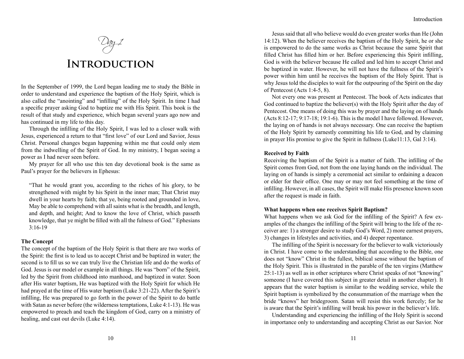# $\Omega$ ay 1 **Introduction**

In the September of 1999, the Lord began leading me to study the Bible in order to understand and experience the baptism of the Holy Spirit, which is also called the "anointing" and "infilling" of the Holy Spirit. In time I had a specific prayer asking God to baptize me with His Spirit. This book is the result of that study and experience, which began several years ago now and has continued in my life to this day.

Through the infilling of the Holy Spirit, I was led to a closer walk with Jesus, experienced a return to that "first love" of our Lord and Savior, Jesus Christ. Personal changes began happening within me that could only stem from the indwelling of the Spirit of God. In my ministry, I began seeing a power as I had never seen before.

My prayer for all who use this ten day devotional book is the same as Paul's prayer for the believers in Ephesus:

"That he would grant you, according to the riches of his glory, to be strengthened with might by his Spirit in the inner man; That Christ may dwell in your hearts by faith; that ye, being rooted and grounded in love, May be able to comprehend with all saints what is the breadth, and length, and depth, and height; And to know the love of Christ, which passeth knowledge, that ye might be filled with all the fulness of God." Ephesians 3:16-19

### **The Concept**

The concept of the baptism of the Holy Spirit is that there are two works of the Spirit: the first is to lead us to accept Christ and be baptized in water; the second is to fill us so we can truly live the Christian life and do the works of God. Jesus is our model or example in all things. He was "born" of the Spirit, led by the Spirit from childhood into manhood, and baptized in water. Soon after His water baptism, He was baptized with the Holy Spirit for which He had prayed at the time of His water baptism (Luke 3:21-22). After the Spirit's in filling, He was prepared to go forth in the power of the Spirit to do battle with Satan as never before (the wilderness temptations, Luke 4:1-13). He was empowered to preach and teach the kingdom of God, carry on a ministry of healing, and cast out devils (Luke 4:14).

Jesus said that all who believe would do even greater works than He (John 14:12). When the believer receives the baptism of the Holy Spirit, he or she is empowered to do the same works as Christ because the same Spirit that filled Christ has filled him or her. Before experiencing this Spirit infilling, God is with the believer because He called and led him to accept Christ and be baptized in water. However, he will not have the fullness of the Spirit's power within him until he receives the baptism of the Holy Spirit. That is why Jesus told the disciples to wait for the outpouring of the Spirit on the day of Pentecost (Acts 1:4-5, 8).

Not every one was present at Pentecost. The book of Acts indicates that God continued to baptize the believer(s) with the Holy Spirit after the day of Pentecost. One means of doing this was by prayer and the laying on of hands (Acts 8:12-17; 9:17-18; 19:1-6). This is the model I have followed. However, the laying on of hands is not always necessary. One can receive the baptism of the Holy Spirit by earnestly committing his life to God, and by claiming in prayer His promise to give the Spirit in fullness (Luke11:13, Gal 3:14).

### **Received by Faith**

Receiving the baptism of the Spirit is a matter of faith. The infilling of the Spirit comes from God, not from the one laying hands on the individual. The laying on of hands is simply a ceremonial act similar to ordaining a deacon or elder for their office. One may or may not feel something at the time of in filling. However, in all cases, the Spirit will make His presence known soon after the request is made in faith.

### **What happens when one receives Spirit Baptism?**

What happens when we ask God for the infilling of the Spirit? A few examples of the changes the infilling of the Spirit will bring to the life of the receiver are: 1) a stronger desire to study God's Word, 2) more earnest prayers, 3) changes in lifestyles and activities, and 4) deeper repentance.

The infilling of the Spirit is necessary for the believer to walk victoriously in Christ. I have come to the understanding that according to the Bible, one does not "know" Christ in the fullest, biblical sense without the baptism of the Holy Spirit. This is illustrated in the parable of the ten virgins (Matthew 25:1-13) as well as in other scriptures where Christ speaks of not "knowing" someone (I have covered this subject in greater detail in another chapter). It appears that the water baptism is similar to the wedding service, while the Spirit baptism is symbolized by the consummation of the marriage when the bride "knows" her bridegroom. Satan will resist this work fiercely; for he is aware that the Spirit's infilling will break his power in the believer's life.

Understanding and experiencing the infilling of the Holy Spirit is second in importance only to understanding and accepting Christ as our Savior. Nor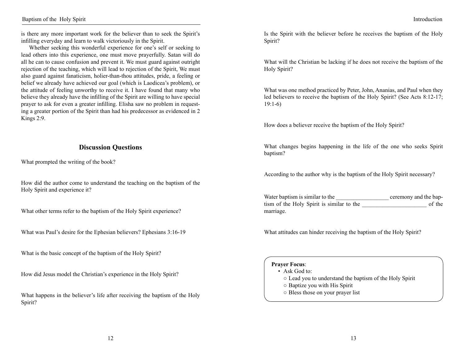is there any more important work for the believer than to seek the Spirit's in filling everyday and learn to walk victoriously in the Spirit.

Whether seeking this wonderful experience for one's self or seeking to lead others into this experience, one must move prayerfully. Satan will do all he can to cause confusion and prevent it. We must guard against outright rejection of the teaching, which will lead to rejection of the Spirit, We must also guard against fanaticism, holier-than-thou attitudes, pride, a feeling or belief we already have achieved our goal (which is Laodicea's problem), or the attitude of feeling unworthy to receive it. I have found that many who believe they already have the infilling of the Spirit are willing to have special prayer to ask for even a greater infilling. Elisha saw no problem in requesting a greater portion of the Spirit than had his predecessor as evidenced in 2 Kings 2:9.

### **Discussion Questions**

What prompted the writing of the book?

How did the author come to understand the teaching on the baptism of the Holy Spirit and experience it?

What other terms refer to the baptism of the Holy Spirit experience?

What was Paul's desire for the Ephesian believers? Ephesians 3:16-19

What is the basic concept of the baptism of the Holy Spirit?

How did Jesus model the Christian's experience in the Holy Spirit?

What happens in the believer's life after receiving the baptism of the Holy Spirit?

Is the Spirit with the believer before he receives the baptism of the Holy Spirit?

What will the Christian be lacking if he does not receive the baptism of the Holy Spirit?

What was one method practiced by Peter, John, Ananias, and Paul when they led believers to receive the baptism of the Holy Spirit? (See Acts 8:12-17; 19:1-6)

How does a believer receive the baptism of the Holy Spirit?

What changes begins happening in the life of the one who seeks Spirit baptism?

According to the author why is the baptism of the Holy Spirit necessary?

Water baptism is similar to the ceremony and the baptism of the Holy Spirit is similar to the of the of the marriage.

What attitudes can hinder receiving the baptism of the Holy Spirit?

### **Prayer Focus**:

- Ask God to:
	- Lead you to understand the baptism of the Holy Spirit
	- Baptize you with His Spirit
- Bless those on your prayer list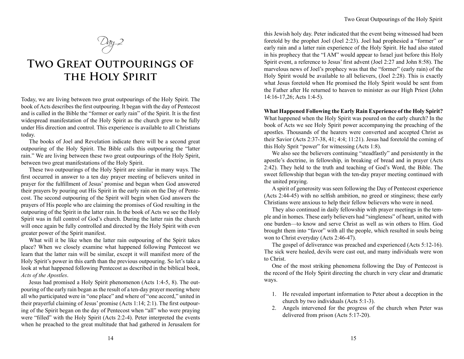# Day 2

# **Two Great Outpourings of the Holy Spirit**

Today, we are living between two great outpourings of the Holy Spirit. The book of Acts describes the first outpouring. It began with the day of Pentecost and is called in the Bible the "former or early rain" of the Spirit. It is the first widespread manifestation of the Holy Spirit as the church grew to be fully under His direction and control. This experience is available to all Christians today.

The books of Joel and Revelation indicate there will be a second great outpouring of the Holy Spirit. The Bible calls this outpouring the "latter rain." We are living between these two great outpourings of the Holy Spirit, between two great manifestations of the Holy Spirit.

These two outpourings of the Holy Spirit are similar in many ways. The first occurred in answer to a ten day prayer meeting of believers united in prayer for the fulfillment of Jesus' promise and began when God answered their prayers by pouring out His Spirit in the early rain on the Day of Pentecost. The second outpouring of the Spirit will begin when God answers the prayers of His people who are claiming the promises of God resulting in the outpouring of the Spirit in the latter rain. In the book of Acts we see the Holy Spirit was in full control of God's church. During the latter rain the church will once again be fully controlled and directed by the Holy Spirit with even greater power of the Spirit manifest.

What will it be like when the latter rain outpouring of the Spirit takes place? When we closely examine what happened following Pentecost we learn that the latter rain will be similar, except it will manifest more of the Holy Spirit's power in this earth than the previous outpouring. So let's take a look at what happened following Pentecost as described in the biblical book, *Acts of the Apostles*.

Jesus had promised a Holy Spirit phenomenon (Acts 1:4-5, 8). The outpouring of the early rain began as the result of a ten-day prayer meeting where all who participated were in "one place" and where of "one accord," united in their prayerful claiming of Jesus' promise (Acts  $1:14; 2:1$ ). The first outpouring of the Spirit began on the day of Pentecost when "all" who were praying were "filled" with the Holy Spirit (Acts 2:2-4). Peter interpreted the events when he preached to the great multitude that had gathered in Jerusalem for

this Jewish holy day. Peter indicated that the event being witnessed had been foretold by the prophet Joel (Joel 2:23). Joel had prophesied a "former" or early rain and a latter rain experience of the Holy Spirit. He had also stated in his prophecy that the "I AM" would appear to Israel just before this Holy Spirit event, a reference to Jesus' first advent (Joel 2:27 and John 8:58). The marvelous news of Joel's prophecy was that the "former" (early rain) of the Holy Spirit would be available to all believers, (Joel 2:28). This is exactly what Jesus foretold when He promised the Holy Spirit would be sent from the Father after He returned to heaven to minister as our High Priest (John 14:16-17,26; Acts 1:4-5).

**What Happened Following the Early Rain Experience of the Holy Spirit?** What happened when the Holy Spirit was poured on the early church? In the book of Acts we see Holy Spirit power accompanying the preaching of the apostles. Thousands of the hearers were converted and accepted Christ as their Savior (Acts 2:37-38, 41; 4:4; 11:21). Jesus had foretold the coming of this Holy Sprit "power" for witnessing (Acts 1:8).

We also see the believers continuing "steadfastly" and persistently in the apostle's doctrine, in fellowship, in breaking of bread and in prayer (Acts 2:42). They held to the truth and teaching of God's Word, the Bible. The sweet fellowship that began with the ten-day prayer meeting continued with the united praying.

A spirit of generosity was seen following the Day of Pentecost experience  $(Acts 2:44-45)$  with no selfish ambition, no greed or stinginess; these early Christians were anxious to help their fellow believers who were in need.

They also continued in daily fellowship with prayer meetings in the temple and in homes. These early believers had "singleness" of heart, united with one burden—to know and serve Christ as well as win others to Him. God brought them into "favor" with all the people, which resulted in souls being won to Christ everyday (Acts 2:46-47).

The gospel of deliverance was preached and experienced (Acts 5:12-16). The sick were healed, devils were cast out, and many individuals were won to Christ.

One of the most striking phenomena following the Day of Pentecost is the record of the Holy Spirit directing the church in very clear and dramatic ways.

- 1. He revealed important information to Peter about a deception in the church by two individuals (Acts 5:1-3).
- 2. Angels intervened for the progress of the church when Peter was delivered from prison (Acts 5:17-20).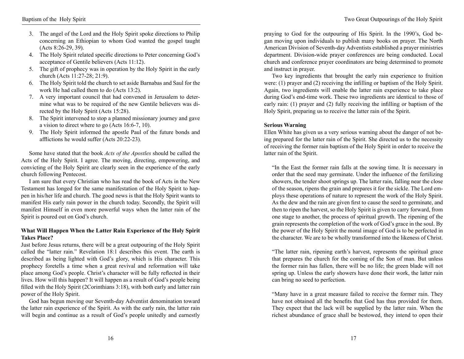- 3. The angel of the Lord and the Holy Spirit spoke directions to Philip concerning an Ethiopian to whom God wanted the gospel taught (Acts 8:26-29, 39).
- 4. The Holy Spirit related specific directions to Peter concerning God's acceptance of Gentile believers (Acts 11:12).
- 5. The gift of prophecy was in operation by the Holy Spirit in the early church (Acts 11:27-28; 21:9).
- 6. The Holy Spirit told the church to set aside Barnabas and Saul for the work He had called them to do (Acts 13:2).
- 7. A very important council that had convened in Jerusalem to determine what was to be required of the new Gentile believers was directed by the Holy Spirit (Acts 15:28).
- 8. The Spirit intervened to stop a planned missionary journey and gave a vision to direct where to go (Acts 16:6-7, 10).
- 9. The Holy Spirit informed the apostle Paul of the future bonds and afflictions he would suffer (Acts  $20:22-23$ ).

Some have stated that the book *Acts of the Apostles* should be called the Acts of the Holy Spirit. I agree. The moving, directing, empowering, and convicting of the Holy Spirit are clearly seen in the experience of the early church following Pentecost.

I am sure that every Christian who has read the book of Acts in the New Testament has longed for the same manifestation of the Holy Spirit to happen in his/her life and church. The good news is that the Holy Spirit wants to manifest His early rain power in the church today. Secondly, the Spirit will manifest Himself in even more powerful ways when the latter rain of the Spirit is poured out on God's church.

## **What Will Happen When the Latter Rain Experience of the Holy Spirit Takes Place?**

Just before Jesus returns, there will be a great outpouring of the Holy Spirit called the "latter rain." Revelation 18:1 describes this event. The earth is described as being lighted with God's glory, which is His character. This prophecy foretells a time when a great revival and reformation will take place among God's people. Christ's character will be fully reflected in their lives. How will this happen? It will happen as a result of God's people being filled with the Holy Spirit (2Corinthians  $3:18$ ), with both early and latter rain power of the Holy Spirit.

God has begun moving our Seventh-day Adventist denomination toward the latter rain experience of the Spirit. As with the early rain, the latter rain will begin and continue as a result of God's people unitedly and earnestly

praying to God for the outpouring of His Spirit. In the 1990's, God began moving upon individuals to publish many books on prayer. The North American Division of Seventh-day Adventists established a prayer ministries department. Division-wide prayer conferences are being conducted. Local church and conference prayer coordinators are being determined to promote and instruct in prayer.

Two key ingredients that brought the early rain experience to fruition were:  $(1)$  prayer and  $(2)$  receiving the infilling or baptism of the Holy Spirit. Again, two ingredients will enable the latter rain experience to take place during God's end-time work. These two ingredients are identical to those of early rain:  $(1)$  prayer and  $(2)$  fully receiving the infilling or baptism of the Holy Spirit, preparing us to receive the latter rain of the Spirit.

### **Serious Warning**

Ellen White has given us a very serious warning about the danger of not being prepared for the latter rain of the Spirit. She directed us to the necessity of receiving the former rain baptism of the Holy Spirit in order to receive the latter rain of the Spirit.

"In the East the former rain falls at the sowing time. It is necessary in order that the seed may germinate. Under the influence of the fertilizing showers, the tender shoot springs up. The latter rain, falling near the close of the season, ripens the grain and prepares it for the sickle. The Lord employs these operations of nature to represent the work of the Holy Spirit. As the dew and the rain are given first to cause the seed to germinate, and then to ripen the harvest, so the Holy Spirit is given to carry forward, from one stage to another, the process of spiritual growth. The ripening of the grain represents the completion of the work of God's grace in the soul. By the power of the Holy Spirit the moral image of God is to be perfected in the character. We are to be wholly transformed into the likeness of Christ.

"The latter rain, ripening earth's harvest, represents the spiritual grace that prepares the church for the coming of the Son of man. But unless the former rain has fallen, there will be no life; the green blade will not spring up. Unless the early showers have done their work, the latter rain can bring no seed to perfection.

"Many have in a great measure failed to receive the former rain. They have not obtained all the benefits that God has thus provided for them. They expect that the lack will be supplied by the latter rain. When the richest abundance of grace shall be bestowed, they intend to open their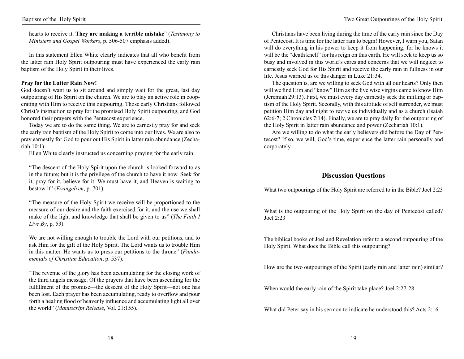hearts to receive it. **They are making a terrible mistake**" (*Testimony to Ministers and Gospel Workers*, p. 506-507 emphasis added).

In this statement Ellen White clearly indicates that all who benefit from the latter rain Holy Spirit outpouring must have experienced the early rain baptism of the Holy Spirit in their lives.

## **Pray for the Latter Rain Now!**

God doesn't want us to sit around and simply wait for the great, last day outpouring of His Spirit on the church. We are to play an active role in cooperating with Him to receive this outpouring. Those early Christians followed Christ's instruction to pray for the promised Holy Spirit outpouring, and God honored their prayers with the Pentecost experience.

Today we are to do the same thing. We are to earnestly pray for and seek the early rain baptism of the Holy Spirit to come into our lives. We are also to pray earnestly for God to pour out His Spirit in latter rain abundance (Zechariah 10:1).

Ellen White clearly instructed us concerning praying for the early rain.

"The descent of the Holy Spirit upon the church is looked forward to as in the future; but it is the privilege of the church to have it now. Seek for it, pray for it, believe for it. We must have it, and Heaven is waiting to bestow it" (*Evangelism*, p. 701).

"The measure of the Holy Spirit we receive will be proportioned to the measure of our desire and the faith exercised for it, and the use we shall make of the light and knowledge that shall be given to us" (*The Faith I Live By*, p. 53).

We are not willing enough to trouble the Lord with our petitions, and to ask Him for the gift of the Holy Spirit. The Lord wants us to trouble Him in this matter. He wants us to press our petitions to the throne" (*Fundamentals of Christian Education*, p. 537).

"The revenue of the glory has been accumulating for the closing work of the third angels message. Of the prayers that have been ascending for the ful fillment of the promise—the descent of the Holy Spirit—not one has been lost. Each prayer has been accumulating, ready to overflow and pour forth a healing flood of heavenly influence and accumulating light all over the world" (*Manuscript Release*, Vol. 21:155).

Christians have been living during the time of the early rain since the Day of Pentecost. It is time for the latter rain to begin! However, I warn you, Satan will do everything in his power to keep it from happening; for he knows it will be the "death knell" for his reign on this earth. He will seek to keep us so busy and involved in this world's cares and concerns that we will neglect to earnestly seek God for His Spirit and receive the early rain in fullness in our life. Jesus warned us of this danger in Luke 21:34.

The question is, are we willing to seek God with all our hearts? Only then will we find Him and "know" Him as the five wise virgins came to know Him (Jeremiah  $29:13$ ). First, we must every day earnestly seek the infilling or baptism of the Holy Spirit. Secondly, with this attitude of self surrender, we must petition Him day and night to revive us individually and as a church (Isaiah 62:6-7; 2 Chronicles 7:14). Finally, we are to pray daily for the outpouring of the Holy Spirit in latter rain abundance and power (Zechariah 10:1).

Are we willing to do what the early believers did before the Day of Pentecost? If so, we will, God's time, experience the latter rain personally and corporately.

# **Discussion Questions**

What two outpourings of the Holy Spirit are referred to in the Bible? Joel 2:23

What is the outpouring of the Holy Spirit on the day of Pentecost called? Joel 2:23

The biblical books of Joel and Revelation refer to a second outpouring of the Holy Spirit. What does the Bible call this outpouring?

How are the two outpourings of the Spirit (early rain and latter rain) similar?

When would the early rain of the Spirit take place? Joel 2:27-28

What did Peter say in his sermon to indicate he understood this? Acts 2:16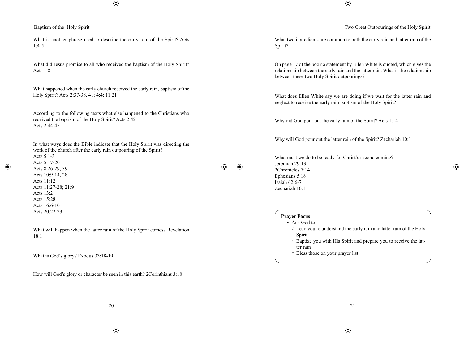| ⊕                                                                                                                                                                                                                                                                                        | ⊕                                                                                                                                                                                                                                            |
|------------------------------------------------------------------------------------------------------------------------------------------------------------------------------------------------------------------------------------------------------------------------------------------|----------------------------------------------------------------------------------------------------------------------------------------------------------------------------------------------------------------------------------------------|
| Baptism of the Holy Spirit                                                                                                                                                                                                                                                               | Two Great Outpourings of the Holy Spirit                                                                                                                                                                                                     |
| What is another phrase used to describe the early rain of the Spirit? Acts<br>$1:4-5$                                                                                                                                                                                                    | What two ingredients are common to both the early rain and latter rain of the<br>Spirit?                                                                                                                                                     |
| What did Jesus promise to all who received the baptism of the Holy Spirit?<br>Acts $1:8$                                                                                                                                                                                                 | On page 17 of the book a statement by Ellen White is quoted, which gives the<br>relationship between the early rain and the latter rain. What is the relationship<br>between these two Holy Spirit outpourings?                              |
| What happened when the early church received the early rain, baptism of the<br>Holy Spirit? Acts 2:37-38, 41; 4:4; 11:21                                                                                                                                                                 | What does Ellen White say we are doing if we wait for the latter rain and<br>neglect to receive the early rain baptism of the Holy Spirit?                                                                                                   |
| According to the following texts what else happened to the Christians who<br>received the baptism of the Holy Spirit? Acts 2:42<br>Acts 2:44-45                                                                                                                                          | Why did God pour out the early rain of the Spirit? Acts 1:14                                                                                                                                                                                 |
| In what ways does the Bible indicate that the Holy Spirit was directing the<br>work of the church after the early rain outpouring of the Spirit?<br>Acts 5:1-3<br>Acts 5:17-20<br>Acts 8:26-29, 39<br>Acts 10:9-14, 28<br>Acts 11:12<br>Acts 11:27-28; 21:9<br>Acts $13:2$<br>Acts 15:28 | Why will God pour out the latter rain of the Spirit? Zechariah 10:1<br>What must we do to be ready for Christ's second coming?<br>Jeremiah 29:13<br>2Chronicles 7:14<br>Ephesians 5:18<br>Isaiah 62:6-7<br>Zechariah 10:1                    |
| Acts 16:6-10<br>Acts 20:22-23<br>What will happen when the latter rain of the Holy Spirit comes? Revelation<br>18:1<br>What is God's glory? Exodus 33:18-19                                                                                                                              | <b>Prayer Focus:</b><br>• Ask God to:<br>o Lead you to understand the early rain and latter rain of the Holy<br>Spirit<br>o Baptize you with His Spirit and prepare you to receive the lat-<br>ter rain<br>o Bless those on your prayer list |

How will God's glory or character be seen in this earth? 2Corinthians 3:18

20

 $\bigoplus$ 

 $\bigoplus$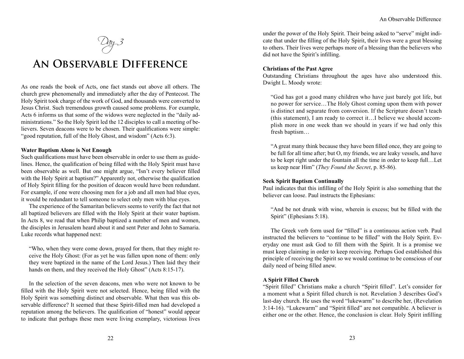# $\omega$

# **An Observable Difference**

As one reads the book of Acts, one fact stands out above all others. The church grew phenomenally and immediately after the day of Pentecost. The Holy Spirit took charge of the work of God, and thousands were converted to Jesus Christ. Such tremendous growth caused some problems. For example, Acts 6 informs us that some of the widows were neglected in the "daily administrations." So the Holy Spirit led the 12 disciples to call a meeting of believers. Seven deacons were to be chosen. Their qualifications were simple: "good reputation, full of the Holy Ghost, and wisdom" (Acts 6:3).

### **Water Baptism Alone is Not Enough**

Such qualifications must have been observable in order to use them as guidelines. Hence, the qualification of being filled with the Holy Spirit must have been observable as well. But one might argue, "Isn't every believer filled with the Holy Spirit at baptism?" Apparently not, otherwise the qualification of Holy Spirit lling for the position of deacon would have been redundant. For example, if one were choosing men for a job and all men had blue eyes, it would be redundant to tell someone to select only men with blue eyes.

The experience of the Samaritan believers seems to verify the fact that not all baptized believers are filled with the Holy Spirit at their water baptism. In Acts 8, we read that when Philip baptized a number of men and women, the disciples in Jerusalem heard about it and sent Peter and John to Samaria. Luke records what happened next:

"Who, when they were come down, prayed for them, that they might receive the Holy Ghost: (For as yet he was fallen upon none of them: only they were baptized in the name of the Lord Jesus.) Then laid they their hands on them, and they received the Holy Ghost" (Acts 8:15-17).

In the selection of the seven deacons, men who were not known to be filled with the Holy Spirit were not selected. Hence, being filled with the Holy Spirit was something distinct and observable. What then was this observable difference? It seemed that these Spirit-filled men had developed a reputation among the believers. The qualification of "honest" would appear to indicate that perhaps these men were living exemplary, victorious lives under the power of the Holy Spirit. Their being asked to "serve" might indicate that under the filling of the Holy Spirit, their lives were a great blessing to others. Their lives were perhaps more of a blessing than the believers who did not have the Spirit's infilling.

### **Christians of the Past Agree**

Outstanding Christians throughout the ages have also understood this. Dwight L. Moody wrote:

"God has got a good many children who have just barely got life, but no power for service…The Holy Ghost coming upon them with power is distinct and separate from conversion. If the Scripture doesn't teach (this statement), I am ready to correct it…I believe we should accomplish more in one week than we should in years if we had only this fresh baptism…

"A great many think because they have been filled once, they are going to be full for all time after; but O, my friends, we are leaky vessels, and have to be kept right under the fountain all the time in order to keep full…Let us keep near Him" (*They Found the Secret*, p. 85-86).

### **Seek Spirit Baptism Continually**

Paul indicates that this infilling of the Holy Spirit is also something that the believer can loose. Paul instructs the Ephesians:

"And be not drunk with wine, wherein is excess; but be filled with the Spirit" (Ephesians 5:18).

The Greek verb form used for "filled" is a continuous action verb. Paul instructed the believers to "continue to be filled" with the Holy Spirit. Everyday one must ask God to fill them with the Spirit. It is a promise we must keep claiming in order to keep receiving. Perhaps God established this principle of receiving the Spirit so we would continue to be conscious of our daily need of being filled anew.

### **A Spirit Filled Church**

"Spirit filled" Christians make a church "Spirit filled". Let's consider for a moment what a Spirit filled church is not. Revelation 3 describes God's last-day church. He uses the word "lukewarm" to describe her, (Revelation 3:14-16). "Lukewarm" and "Spirit filled" are not compatible. A believer is either one or the other. Hence, the conclusion is clear. Holy Spirit infilling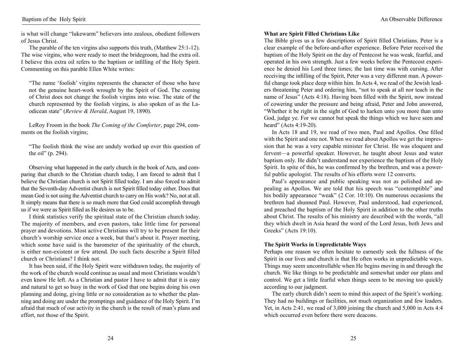is what will change "lukewarm" believers into zealous, obedient followers of Jesus Christ.

The parable of the ten virgins also supports this truth, (Matthew 25:1-12). The wise virgins, who were ready to meet the bridegroom, had the extra oil. I believe this extra oil refers to the baptism or infilling of the Holy Spirit. Commenting on this parable Ellen White writes:

"The name 'foolish' virgins represents the character of those who have not the genuine heart-work wrought by the Spirit of God. The coming of Christ does not change the foolish virgins into wise. The state of the church represented by the foolish virgins, is also spoken of as the Laodicean state" (*Review & Herald*, August 19, 1890).

LeRoy Froom in the book *The Coming of the Comforter*, page 294, comments on the foolish virgins;

"The foolish think the wise are unduly worked up over this question of the oil" (p. 294).

Observing what happened in the early church in the book of Acts, and comparing that church to the Christian church today, I am forced to admit that I believe the Christian church is not Spirit filled today. I am also forced to admit that the Seventh-day Adventist church is not Spirit filled today either. Does that mean God is not using the Adventist church to carry on His work? No, not at all. It simply means that there is so much more that God could accomplish through us if we were as Spirit filled as He desires us to be.

I think statistics verify the spiritual state of the Christian church today. The majority of members, and even pastors, take little time for personal prayer and devotions. Most active Christians will try to be present for their church's worship service once a week, but that's about it. Prayer meeting, which some have said is the barometer of the spirituality of the church, is either non-existent or few attend. Do such facts describe a Spirit filled church or Christians? I think not.

It has been said, if the Holy Spirit were withdrawn today, the majority of the work of the church would continue as usual and most Christians wouldn't even know He left. As a Christian and pastor I have to admit that it is easy and natural to get so busy in the work of God that one begins doing his own planning and doing, giving little or no consideration as to whether the planning and doing are under the promptings and guidance of the Holy Spirit. I'm afraid that much of our activity in the church is the result of man's plans and effort, not those of the Spirit.

### **What are Spirit Filled Christians Like**

The Bible gives us a few descriptions of Spirit filled Christians. Peter is a clear example of the before-and-after experience. Before Peter received the baptism of the Holy Spirit on the day of Pentecost he was weak, fearful, and operated in his own strength. Just a few weeks before the Pentecost experience he denied his Lord three times; the last time was with cursing. After receiving the infilling of the Spirit, Peter was a very different man. A powerful change took place deep within him. In Acts 4, we read of the Jewish leaders threatening Peter and ordering him, "not to speak at all nor teach in the name of Jesus" (Acts  $4:18$ ). Having been filled with the Spirit, now instead of cowering under the pressure and being afraid, Peter and John answered, "Whether it be right in the sight of God to harken unto you more than unto God, judge ye. For we cannot but speak the things which we have seen and heard" (Acts 4:19-20).

In Acts 18 and 19, we read of two men, Paul and Apollos. One filled with the Spirit and one not. When we read about Apollos we get the impression that he was a very capable minister for Christ. He was eloquent and fervent—a powerful speaker. However, he taught about Jesus and water baptism only. He didn't understand nor experience the baptism of the Holy Spirit. In spite of this, he was confirmed by the brethren, and was a powerful public apologist. The results of his efforts were 12 converts.

Paul's appearance and public speaking was not as polished and appealing as Apollos. We are told that his speech was "contemptible" and his bodily appearance "weak" (2 Cor. 10:10). On numerous occasions the brethren had shunned Paul. However, Paul understood, had experienced, and preached the baptism of the Holy Spirit in addition to the other truths about Christ. The results of his ministry are described with the words, "all they which dwelt in Asia heard the word of the Lord Jesus, both Jews and Greeks" (Acts 19:10).

### **The Spirit Works in Unpredictable Ways**

Perhaps one reason we often hesitate to earnestly seek the fullness of the Spirit in our lives and church is that He often works in unpredictable ways. Things may seem uncontrollable when He begins moving in and through the church. We like things to be predictable and somewhat under our plans and control. We get a little fearful when things seem to be moving too quickly according to our judgment.

The early church didn't seem to mind this aspect of the Spirit's working. They had no buildings or facilities, not much organization and few leaders. Yet, in Acts 2:41, we read of 3,000 joining the church and 5,000 in Acts 4:4 which occurred even before there were deacons.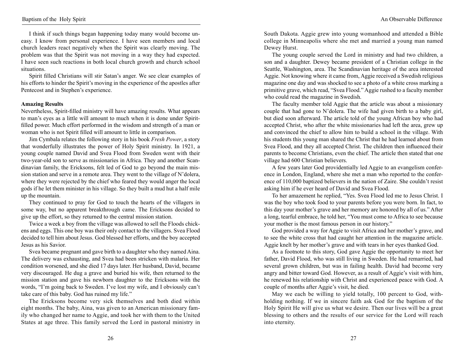I think if such things began happening today many would become uneasy. I know from personal experience. I have seen members and local church leaders react negatively when the Spirit was clearly moving. The problem was that the Spirit was not moving in a way they had expected. I have seen such reactions in both local church growth and church school situations.

Spirit filled Christians will stir Satan's anger. We see clear examples of his efforts to hinder the Spirit's moving in the experience of the apostles after Pentecost and in Stephen's experience.

### **Amazing Results**

Nevertheless, Spirit-filled ministry will have amazing results. What appears to man's eyes as a little will amount to much when it is done under Spirit filled power. Much effort performed in the wisdom and strength of a man or woman who is not Spirit filled will amount to little in comparison.

Jim Cymbala relates the following story in his book *Fresh Power*, a story that wonderfully illustrates the power of Holy Spirit ministry. In 1921, a young couple named David and Svea Flood from Sweden went with their two-year-old son to serve as missionaries in Africa. They and another Scandinavian family, the Ericksons, felt led of God to go beyond the main mission station and serve in a remote area. They went to the village of N'dolera, where they were rejected by the chief who feared they would anger the local gods if he let them minister in his village. So they built a mud hut a half mile up the mountain.

They continued to pray for God to touch the hearts of the villagers in some way, but no apparent breakthrough came. The Ericksons decided to give up the effort, so they returned to the central mission station.

Twice a week a boy from the village was allowed to sell the Floods chickens and eggs. This one boy was their only contact to the villagers. Svea Flood decided to tell him about Jesus. God blessed her efforts, and the boy accepted Jesus as his Savior.

Svea became pregnant and gave birth to a daughter who they named Aina. The delivery was exhausting, and Svea had been stricken with malaria. Her condition worsened, and she died 17 days later. Her husband, David, became very discouraged. He dug a grave and buried his wife, then returned to the mission station and gave his newborn daughter to the Ericksons with the words, "I'm going back to Sweden. I've lost my wife, and I obviously can't take care of this baby. God has ruined my life."

The Ericksons become very sick themselves and both died within eight months. The baby, Aina, was given to an American missionary family who changed her name to Aggie, and took her with them to the United States at age three. This family served the Lord in pastoral ministry in

South Dakota. Aggie grew into young womanhood and attended a Bible college in Minneapolis where she met and married a young man named Dewey Hurst.

The young couple served the Lord in ministry and had two children, a son and a daughter. Dewey became president of a Christian college in the Seattle, Washington, area. The Scandinavian heritage of the area interested Aggie. Not knowing where it came from, Aggie received a Swedish religious magazine one day and was shocked to see a photo of a white cross marking a primitive grave, which read, "Svea Flood." Aggie rushed to a faculty member who could read the magazine in Swedish.

The faculty member told Aggie that the article was about a missionary couple that had gone to N'dolera. The wife had given birth to a baby girl, but died soon afterward. The article told of the young African boy who had accepted Christ, who after the white missionaries had left the area, grew up and convinced the chief to allow him to build a school in the village. With his students this young man shared the Christ that he had learned about from Svea Flood, and they all accepted Christ. The children then influenced their parents to become Christians, even the chief. The article then stated that one village had 600 Christian believers.

A few years later God providentially led Aggie to an evangelism conference in London, England, where she met a man who reported to the conference of 110,000 baptized believers in the nation of Zaire. She couldn't resist asking him if he ever heard of David and Svea Flood.

To her amazement he replied, "Yes. Svea Flood led me to Jesus Christ. I was the boy who took food to your parents before you were born. In fact, to this day your mother's grave and her memory are honored by all of us." After a long, tearful embrace, he told her, "You must come to Africa to see because your mother is the most famous person in our history."

God provided a way for Aggie to visit Africa and her mother's grave, and to see the white cross that had caught her attention in the magazine article. Aggie knelt by her mother's grave and with tears in her eyes thanked God.

As a footnote to this story, God gave Aggie the opportunity to meet her father, David Flood, who was still living in Sweden. He had remarried, had several grown children, but was in failing health. David had become very angry and bitter toward God. However, as a result of Aggie's visit with him, he renewed his relationship with Christ and experienced peace with God. A couple of months after Aggie's visit, he died.

May we each be willing to yield totally, 100 percent to God, withholding nothing. If we in sincere faith ask God for the baptism of the Holy Spirit He will give us what we desire. Then our lives will be a great blessing to others and the results of our service for the Lord will reach into eternity.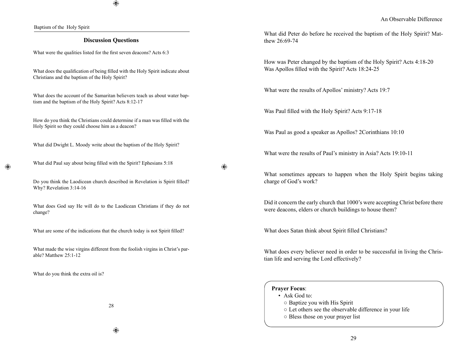$\bigoplus$ 

Baptism of the Holy Spirit

### **Discussion Questions**

What were the qualities listed for the first seven deacons? Acts 6:3

What does the qualification of being filled with the Holy Spirit indicate about Christians and the baptism of the Holy Spirit?

What does the account of the Samaritan believers teach us about water baptism and the baptism of the Holy Spirit? Acts 8:12-17

How do you think the Christians could determine if a man was filled with the Holy Spirit so they could choose him as a deacon?

What did Dwight L. Moody write about the baptism of the Holy Spirit?

What did Paul say about being filled with the Spirit? Ephesians 5:18

Do you think the Laodicean church described in Revelation is Spirit filled? Why? Revelation 3:14-16

What does God say He will do to the Laodicean Christians if they do not change?

What are some of the indications that the church today is not Spirit filled?

What made the wise virgins different from the foolish virgins in Christ's parable? Matthew 25:1-12

What do you think the extra oil is?

28

An Observable Difference<br>
3:24<br>
5:3<br>
5:3<br>
How was Peter changed by the baptism of the Holy Spirit? Acts 4:18-20<br>
5:18<br>
How was Peter changed by the baptism of the Holy Spirit? Acts 4:18-20<br>
4:18-20<br>
5:18<br>
Was Paul filled w What did Peter do before he received the baptism of the Holy Spirit? Matthew 26:69-74

How was Peter changed by the baptism of the Holy Spirit? Acts 4:18-20 Was Apollos filled with the Spirit? Acts 18:24-25

What were the results of Apollos' ministry? Acts 19:7

Was Paul filled with the Holy Spirit? Acts 9:17-18

Was Paul as good a speaker as Apollos? 2Corinthians 10:10

What were the results of Paul's ministry in Asia? Acts 19:10-11

What sometimes appears to happen when the Holy Spirit begins taking charge of God's work?

Did it concern the early church that 1000's were accepting Christ before there were deacons, elders or church buildings to house them?

What does Satan think about Spirit filled Christians?

What does every believer need in order to be successful in living the Christian life and serving the Lord effectively?

### **Prayer Focus**:

- Ask God to:
	- Baptize you with His Spirit
	- Let others see the observable difference in your life
	- Bless those on your prayer list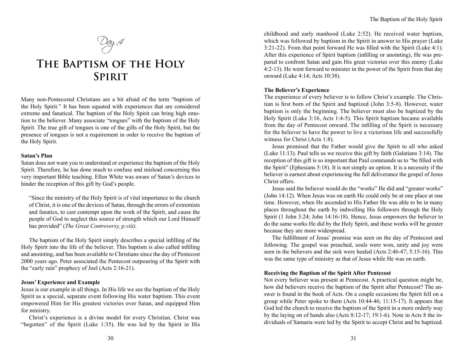# Day 4

# **The Baptism of the Holy Spirit**

Many non-Pentecostal Christians are a bit afraid of the term "baptism of the Holy Spirit." It has been equated with experiences that are considered extreme and fanatical. The baptism of the Holy Spirit can bring high emotion to the believer. Many associate "tongues" with the baptism of the Holy Spirit. The true gift of tongues is one of the gifts of the Holy Spirit, but the presence of tongues is not a requirement in order to receive the baptism of the Holy Spirit.

### **Satan's Plan**

Satan does not want you to understand or experience the baptism of the Holy Spirit. Therefore, he has done much to confuse and mislead concerning this very important Bible teaching. Ellen White was aware of Satan's devices to hinder the reception of this gift by God's people.

"Since the ministry of the Holy Spirit is of vital importance to the church of Christ, it is one of the devices of Satan, through the errors of extremists and fanatics, to cast contempt upon the work of the Spirit, and cause the people of God to neglect this source of strength which our Lord Himself has provided" (*The Great Controversy, p.viii).*

The baptism of the Holy Spirit simply describes a special infilling of the Holy Spirit into the life of the believer. This baptism is also called infilling and anointing, and has been available to Christians since the day of Pentecost 2000 years ago. Peter associated the Pentecost outpouring of the Spirit with the "early rain" prophecy of Joel (Acts 2:16-21).

### **Jesus' Experience and Example**

Jesus is our example in all things. In His life we see the baptism of the Holy Spirit as a special, separate event following His water baptism. This event empowered Him for His greatest victories over Satan, and equipped Him for ministry.

Christ's experience is a divine model for every Christian. Christ was "begotten" of the Spirit (Luke 1:35). He was led by the Spirit in His

childhood and early manhood (Luke 2:52). He received water baptism, which was followed by baptism in the Spirit in answer to His prayer (Luke  $3:21-22$ ). From that point forward He was filled with the Spirit (Luke 4:1). After this experience of Spirit baptism (infilling or anointing), He was prepared to confront Satan and gain His great victories over this enemy (Luke 4:2-13). He went forward to minister in the power of the Spirit from that day onward (Luke 4:14; Acts 10:38).

### **The Believer's Experience**

The experience of every believer is to follow Christ's example. The Christian is first born of the Spirit and baptized (John  $3:5-8$ ). However, water baptism is only the beginning. The believer must also be baptized by the Holy Spirit (Luke 3:16, Acts 1:4-5). This Spirit baptism became available from the day of Pentecost onward. The infilling of the Spirit is necessary for the believer to have the power to live a victorious life and successfully witness for Christ (Acts 1:8).

Jesus promised that the Father would give the Spirit to all who asked (Luke 11:13). Paul tells us we receive this gift by faith (Galatians 3:14). The reception of this gift is so important that Paul commands us to "be filled with the Spirit" (Ephesians 5:18). It is not simply an option. It is a necessity if the believer is earnest about experiencing the full deliverance the gospel of Jesus Christ offers.

Jesus said the believer would do the "works" He did and "greater works" (John 14:12). When Jesus was on earth He could only be at one place at one time. However, when He ascended to His Father He was able to be in many places throughout the earth by indwelling His followers through the Holy Spirit (1 John 3:24; John 14:16-18). Hence, Jesus empowers the believer to do the same works He did by the Holy Spirit, and these works will be greater because they are more widespread.

The fulfillment of Jesus' promise was seen on the day of Pentecost and following. The gospel was preached, souls were won, unity and joy were seen in the believers and the sick were healed (Acts 2:46-47; 5:15-16). This was the same type of ministry as that of Jesus while He was on earth.

### **Receiving the Baptism of the Spirit After Pentecost**

Not every believer was present at Pentecost. A practical question might be, how did believers receive the baptism of the Spirit after Pentecost? The answer is found in the book of Acts. On a couple occasions the Spirit fell on a group while Peter spoke to them (Acts 10:44-46; 11:15-17). It appears that God led the church to receive the baptism of the Spirit in a more orderly way by the laying on of hands also (Acts 8:12-17; 19:1-6). Note in Acts 8 the individuals of Samaria were led by the Spirit to accept Christ and be baptized.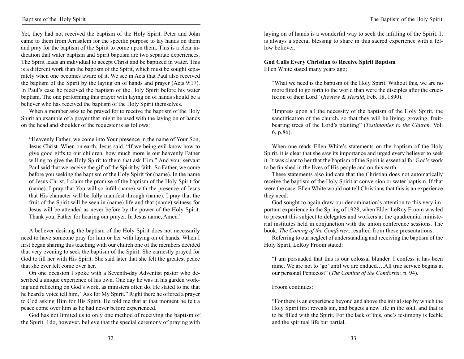Yet, they had not received the baptism of the Holy Spirit. Peter and John came to them from Jerusalem for the specific purpose to lay hands on them and pray for the baptism of the Spirit to come upon them. This is a clear indication that water baptism and Spirit baptism are two separate experiences. The Spirit leads an individual to accept Christ and be baptized in water. This is a different work than the baptism of the Spirit, which must be sought separately when one becomes aware of it. We see in Acts that Paul also received the baptism of the Spirit by the laying on of hands and prayer (Acts 9:17). In Paul's case he received the baptism of the Holy Spirit before his water baptism. The one performing this prayer with laying on of hands should be a believer who has received the baptism of the Holy Spirit themselves.

When a member asks to be prayed for to receive the baptism of the Holy Spirit an example of a prayer that might be used with the laying on of hands on the head and shoulder of the requester is as follows:

"Heavenly Father, we come into Your presence in the name of Your Son, Jesus Christ. When on earth, Jesus said, "If we being evil know how to give good gifts to our children, how much more is our heavenly Father willing to give the Holy Spirit to them that ask Him." And your servant Paul said that we receive the gift of the Spirit by faith. So Father, we come before you seeking the baptism of the Holy Spirit for (name). In the name of Jesus Christ, I claim the promise of the baptism of the Holy Spirit for (name). I pray that You will so infill (name) with the presence of Jesus that His character will be fully manifest through (name). I pray that the fruit of the Spirit will be seen in (name) life and that (name) witness for Jesus will be attended as never before by the power of the Holy Spirit. Thank you, Father for hearing our prayer. In Jesus name, Amen."

A believer desiring the baptism of the Holy Spirit does not necessarily need to have someone pray for him or her with laying on of hands. When I first began sharing this teaching with our church one of the members decided that very evening to seek the baptism of the Spirit. She earnestly prayed for God to fill her with His Spirit. She said later that she felt the greatest peace that she ever felt come over her.

On one occasion I spoke with a Seventh-day Adventist pastor who described a unique experience of his own. One day he was in his garden working and reflecting on God's work, as ministers often do. He stated to me that he heard a voice tell him, "Ask for My Spirit." Right there he offered a prayer to God asking Him for His Spirit. He told me that at that moment he felt a peace come over him as he had never before experienced.

God has not limited us to only one method of receiving the baptism of the Spirit. I do, however, believe that the special ceremony of praying with

laying on of hands is a wonderful way to seek the infilling of the Spirit. It is always a special blessing to share in this sacred experience with a fellow believer.

### **God Calls Every Christian to Receive Spirit Baptism** Ellen White stated many years ago;

"What we need is the baptism of the Holy Spirit. Without this, we are no more fitted to go forth to the world than were the disciples after the crucixion of their Lord" (*Review & Herald*, Feb. 18, 1890).

"Impress upon all the necessity of the baptism of the Holy Spirit, the sanctification of the church, so that they will be living, growing, fruitbearing trees of the Lord's planting" (*Testimonies to the Church,* Vol. 6, p.86).

When one reads Ellen White's statements on the baptism of the Holy Spirit, it is clear that she saw its importance and urged every believer to seek it. It was clear to her that the baptism of the Spirit is essential for God's work to be finished in the lives of His people and on this earth.

These statements also indicate that the Christian does not automatically receive the baptism of the Holy Spirit at conversion or water baptism. If that were the case, Ellen White would not tell Christians that this is an experience they need.

God sought to again draw our denomination's attention to this very important experience in the Spring of 1928, when Elder LeRoy Froom was led to present this subject to delegates and workers at the quadrennial ministerial institutes held in conjunction with the union conference sessions. The book, *The Coming of the Comforter*, resulted from these presentations.

Referring to our neglect of understanding and receiving the baptism of the Holy Spirit, LeRoy Froom stated:

"I am persuaded that this is our colossal blunder. I confess it has been mine. We are not to 'go' until we are endued….All true service begins at our personal Pentecost" (*The Coming of the Comforter*, p. 94).

### Froom continues:

"For there is an experience beyond and above the initial step by which the Holy Spirit first reveals sin, and begets a new life in the soul, and that is to be filled with the Spirit. For the lack of this, one's testimony is feeble and the spiritual life but partial.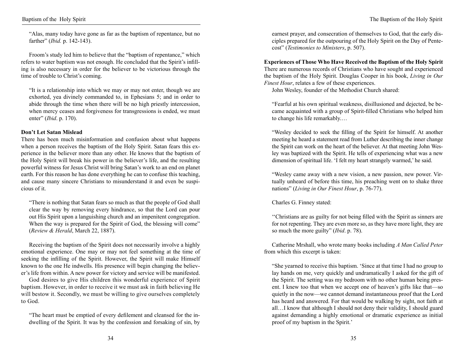"Alas, many today have gone as far as the baptism of repentance, but no farther" (*Ibid.* p. 142-143).

Froom's study led him to believe that the "baptism of repentance," which refers to water baptism was not enough. He concluded that the Spirit's infilling is also necessary in order for the believer to be victorious through the time of trouble to Christ's coming.

"It is a relationship into which we may or may not enter, though we are exhorted, yea divinely commanded to, in Ephesians 5; and in order to abide through the time when there will be no high priestly intercession, when mercy ceases and forgiveness for transgressions is ended, we must enter" (*Ibid*. p. 170).

## **Don't Let Satan Mislead**

There has been much misinformation and confusion about what happens when a person receives the baptism of the Holy Spirit. Satan fears this experience in the believer more than any other. He knows that the baptism of the Holy Spirit will break his power in the believer's life, and the resulting powerful witness for Jesus Christ will bring Satan's work to an end on planet earth. For this reason he has done everything he can to confuse this teaching, and cause many sincere Christians to misunderstand it and even be suspicious of it.

"There is nothing that Satan fears so much as that the people of God shall clear the way by removing every hindrance, so that the Lord can pour out His Spirit upon a languishing church and an impenitent congregation. When the way is prepared for the Spirit of God, the blessing will come" (*Review & Herald*, March 22, 1887).

Receiving the baptism of the Spirit does not necessarily involve a highly emotional experience. One may or may not feel something at the time of seeking the infilling of the Spirit. However, the Spirit will make Himself known to the one He indwells. His presence will begin changing the believer's life from within. A new power for victory and service will be manifested.

God desires to give His children this wonderful experience of Spirit baptism. However, in order to receive it we must ask in faith believing He will bestow it. Secondly, we must be willing to give ourselves completely to God.

"The heart must be emptied of every defilement and cleansed for the indwelling of the Spirit. It was by the confession and forsaking of sin, by earnest prayer, and consecration of themselves to God, that the early disciples prepared for the outpouring of the Holy Spirit on the Day of Pentecost" (*Testimonies to Ministers*, p. 507).

**Experiences of Those Who Have Received the Baptism of the Holy Spirit** There are numerous records of Christians who have sought and experienced the baptism of the Holy Spirit. Douglas Cooper in his book, *Living in Our Finest Hour*, relates a few of these experiences.

John Wesley, founder of the Methodist Church shared:

"Fearful at his own spiritual weakness, disillusioned and dejected, be became acquainted with a group of Spirit-filled Christians who helped him to change his life remarkably.…

"Wesley decided to seek the filling of the Spirit for himself. At another meeting he heard a statement read from Luther describing the inner change the Spirit can work on the heart of the believer. At that meeting John Wesley was baptized with the Spirit. He tells of experiencing what was a new dimension of spiritual life. 'I felt my heart strangely warmed,' he said.

"Wesley came away with a new vision, a new passion, new power. Virtually unheard of before this time, his preaching went on to shake three nations" (*Living in Our Finest Hour*, p. 76-77).

Charles G. Finney stated:

''Christians are as guilty for not being lled with the Spirit as sinners are for not repenting. They are even more so, as they have more light, they are so much the more guilty" (*Ibid*. p. 78).

Catherine Mrshall, who wrote many books including *A Man Called Peter*  from which this excerpt is taken:

"She yearned to receive this baptism. 'Since at that time I had no group to lay hands on me, very quickly and undramatically I asked for the gift of the Spirit. The setting was my bedroom with no other human being present. I knew too that when we accept one of heaven's gifts like that—so quietly in the now—we cannot demand instantaneous proof that the Lord has heard and answered. For that would be walking by sight, not faith at all…I know that although I should not deny their validity, I should guard against demanding a highly emotional or dramatic experience as initial proof of my baptism in the Spirit.'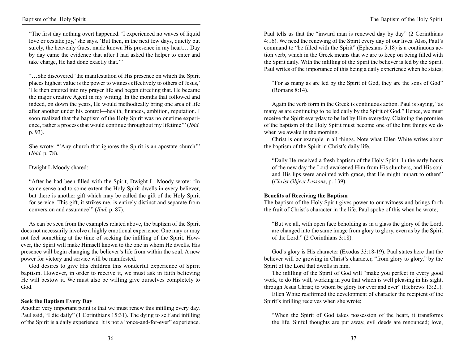"The first day nothing overt happened. 'I experienced no waves of liquid love or ecstatic joy,' she says. 'But then, in the next few days, quietly but surely, the heavenly Guest made known His presence in my heart… Day by day came the evidence that after I had asked the helper to enter and take charge, He had done exactly that.'"

"…She discovered 'the manifestation of His presence on which the Spirit places highest value is the power to witness effectively to others of Jesus,' 'He then entered into my prayer life and began directing that. He became the major creative Agent in my writing. In the months that followed and indeed, on down the years, He would methodically bring one area of life after another under his control—health, finances, ambition, reputation. I soon realized that the baptism of the Holy Spirit was no onetime experience, rather a process that would continue throughout my lifetime'" (*Ibid.*  p. 93).

She wrote: "'Any church that ignores the Spirit is an apostate church'" (*Ibid.* p. 78).

Dwight L Moody shared:

"After he had been filled with the Spirit, Dwight L. Moody wrote: 'In some sense and to some extent the Holy Spirit dwells in every believer, but there is another gift which may be called the gift of the Holy Spirit for service. This gift, it strikes me, is entirely distinct and separate from conversion and assurance'" (*Ibid.* p. 87).

As can be seen from the examples related above, the baptism of the Spirit does not necessarily involve a highly emotional experience. One may or may not feel something at the time of seeking the infilling of the Spirit. However, the Spirit will make Himself known to the one in whom He dwells. His presence will begin changing the believer's life from within the soul. A new power for victory and service will be manifested.

God desires to give His children this wonderful experience of Spirit baptism. However, in order to receive it, we must ask in faith believing He will bestow it. We must also be willing give ourselves completely to God.

## **Seek the Baptism Every Day**

Another very important point is that we must renew this infilling every day. Paul said, "I die daily" (1 Corinthians 15:31). The dying to self and infilling of the Spirit is a daily experience. It is not a "once-and-for-ever" experience.

Paul tells us that the "inward man is renewed day by day" (2 Corinthians 4:16). We need the renewing of the Spirit every day of our lives. Also, Paul's command to "be filled with the Spirit" (Ephesians  $5:18$ ) is a continuous action verb, which in the Greek means that we are to keep on being filled with the Spirit daily. With the infilling of the Spirit the believer is led by the Spirit. Paul writes of the importance of this being a daily experience when he states;

"For as many as are led by the Spirit of God, they are the sons of God" (Romans 8:14).

Again the verb form in the Greek is continuous action. Paul is saying, "as many as are continuing to be led daily by the Spirit of God." Hence, we must receive the Spirit everyday to be led by Him everyday. Claiming the promise of the baptism of the Holy Spirit must become one of the first things we do when we awake in the morning.

Christ is our example in all things. Note what Ellen White writes about the baptism of the Spirit in Christ's daily life.

"Daily He received a fresh baptism of the Holy Spirit. In the early hours of the new day the Lord awakened Him from His slumbers, and His soul and His lips were anointed with grace, that He might impart to others" (*Christ Object Lessons*, p. 139).

## **Benefits of Receiving the Baptism**

The baptism of the Holy Spirit gives power to our witness and brings forth the fruit of Christ's character in the life. Paul spoke of this when he wrote;

"But we all, with open face beholding as in a glass the glory of the Lord, are changed into the same image from glory to glory, even as by the Spirit of the Lord." (2 Corinthians 3:18).

God's glory is His character (Exodus 33:18-19). Paul states here that the believer will be growing in Christ's character, "from glory to glory," by the Spirit of the Lord that dwells in him.

The infilling of the Spirit of God will "make you perfect in every good work, to do His will, working in you that which is well pleasing in his sight, through Jesus Christ; to whom be glory for ever and ever" (Hebrews 13:21).

Ellen White reaffirmed the development of character the recipient of the Spirit's infilling receives when she wrote;

"When the Spirit of God takes possession of the heart, it transforms the life. Sinful thoughts are put away, evil deeds are renounced; love,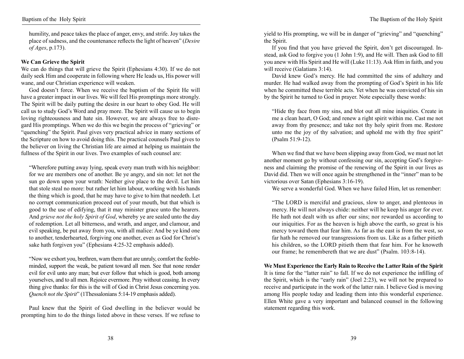humility, and peace takes the place of anger, envy, and strife. Joy takes the place of sadness, and the countenance reflects the light of heaven" (*Desire of Ages*, p.173).

# **We Can Grieve the Spirit**

We can do things that will grieve the Spirit (Ephesians 4:30). If we do not daily seek Him and cooperate in following where He leads us, His power will wane, and our Christian experience will weaken.

God doesn't force. When we receive the baptism of the Spirit He will have a greater impact in our lives. We will feel His promptings more strongly. The Spirit will be daily putting the desire in our heart to obey God. He will call us to study God's Word and pray more. The Spirit will cause us to begin loving righteousness and hate sin. However, we are always free to disregard His promptings. When we do this we begin the process of "grieving" or "quenching" the Spirit. Paul gives very practical advice in many sections of the Scripture on how to avoid doing this. The practical counsels Paul gives to the believer on living the Christian life are aimed at helping us maintain the fullness of the Spirit in our lives. Two examples of such counsel are:

"Wherefore putting away lying, speak every man truth with his neighbor: for we are members one of another. Be ye angry, and sin not: let not the sun go down upon your wrath: Neither give place to the devil. Let him that stole steal no more: but rather let him labour, working with his hands the thing which is good, that he may have to give to him that needeth. Let no corrupt communication proceed out of your mouth, but that which is good to the use of edifying, that it may minister grace unto the hearers. And *grieve not the holy Spirit of God*, whereby ye are sealed unto the day of redemption. Let all bitterness, and wrath, and anger, and clamour, and evil speaking, be put away from you, with all malice: And be ye kind one to another, tenderhearted, forgiving one another, even as God for Christ's sake hath forgiven you" (Ephesians 4:25-32 emphasis added).

"Now we exhort you, brethren, warn them that are unruly, comfort the feebleminded, support the weak, be patient toward all men. See that none render evil for evil unto any man; but ever follow that which is good, both among yourselves, and to all men. Rejoice evermore. Pray without ceasing. In every thing give thanks: for this is the will of God in Christ Jesus concerning you. *Quench not the Spirit*" (1Thessalonians 5:14-19 emphasis added).

Paul knew that the Spirit of God dwelling in the believer would be prompting him to do the things listed above in these verses. If we refuse to

yield to His prompting, we will be in danger of "grieving" and "quenching" the Spirit.

If you find that you have grieved the Spirit, don't get discouraged. Instead, ask God to forgive you (1 John 1:9), and He will. Then ask God to fill you anew with His Spirit and He will (Luke 11:13). Ask Him in faith, and you will receive (Galatians 3:14).

David knew God's mercy. He had committed the sins of adultery and murder. He had walked away from the prompting of God's Spirit in his life when he committed these terrible acts. Yet when he was convicted of his sin by the Spirit he turned to God in prayer. Note especially these words:

"Hide thy face from my sins, and blot out all mine iniquities. Create in me a clean heart, O God; and renew a right spirit within me. Cast me not away from thy presence; and take not thy holy spirit from me. Restore unto me the joy of thy salvation; and uphold me with thy free spirit" (Psalm 51:9-12).

When we find that we have been slipping away from God, we must not let another moment go by without confessing our sin, accepting God's forgiveness and claiming the promise of the renewing of the Spirit in our lives as David did. Then we will once again be strengthened in the "inner" man to be victorious over Satan (Ephesians 3:16-19).

We serve a wonderful God. When we have failed Him, let us remember:

"The LORD is merciful and gracious, slow to anger, and plenteous in mercy. He will not always chide: neither will he keep his anger for ever. He hath not dealt with us after our sins; nor rewarded us according to our iniquities. For as the heaven is high above the earth, so great is his mercy toward them that fear him. As far as the east is from the west, so far hath he removed our transgressions from us. Like as a father pitieth his children, so the LORD pitieth them that fear him. For he knoweth our frame; he remembereth that we are dust" (Psalm. 103:8-14).

**We Must Experience the Early Rain to Receive the Latter Rain of the Spirit** It is time for the "latter rain" to fall. If we do not experience the infilling of the Spirit, which is the "early rain" (Joel 2:23), we will not be prepared to receive and participate in the work of the latter rain. I believe God is moving among His people today and leading them into this wonderful experience. Ellen White gave a very important and balanced counsel in the following statement regarding this work.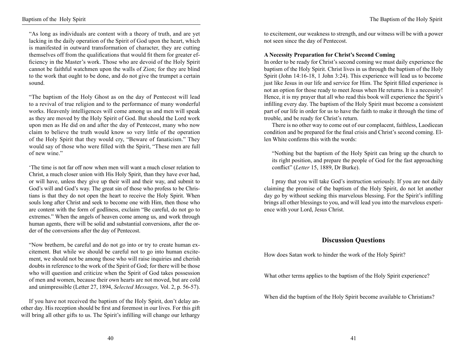"As long as individuals are content with a theory of truth, and are yet lacking in the daily operation of the Spirit of God upon the heart, which is manifested in outward transformation of character, they are cutting themselves off from the qualifications that would fit them for greater efficiency in the Master's work. Those who are devoid of the Holy Spirit cannot be faithful watchmen upon the walls of Zion; for they are blind to the work that ought to be done, and do not give the trumpet a certain sound.

"The baptism of the Holy Ghost as on the day of Pentecost will lead to a revival of true religion and to the performance of many wonderful works. Heavenly intelligences will come among us and men will speak as they are moved by the Holy Spirit of God. But should the Lord work upon men as He did on and after the day of Pentecost, many who now claim to believe the truth would know so very little of the operation of the Holy Spirit that they would cry, "Beware of fanaticism." They would say of those who were filled with the Spirit, "These men are full of new wine."

'The time is not far off now when men will want a much closer relation to Christ, a much closer union with His Holy Spirit, than they have ever had, or will have, unless they give up their will and their way, and submit to God's will and God's way. The great sin of those who profess to be Christians is that they do not open the heart to receive the Holy Spirit. When souls long after Christ and seek to become one with Him, then those who are content with the form of godliness, exclaim "Be careful, do not go to extremes." When the angels of heaven come among us, and work through human agents, there will be solid and substantial conversions, after the order of the conversions after the day of Pentecost.

"Now brethern, be careful and do not go into or try to create human excitement. But while we should be careful not to go into human excitement, we should not be among those who will raise inquiries and cherish doubts in reference to the work of the Spirit of God; for there will be those who will question and criticize when the Spirit of God takes possession of men and women, because their own hearts are not moved, but are cold and unimpressible (Letter 27, 1894, *Selected Messages,* Vol. 2, p. 56-57).

If you have not received the baptism of the Holy Spirit, don't delay another day. His reception should be first and foremost in our lives. For this gift will bring all other gifts to us. The Spirit's infilling will change our lethargy to excitement, our weakness to strength, and our witness will be with a power not seen since the day of Pentecost.

### **A Necessity Preparation for Christ's Second Coming**

In order to be ready for Christ's second coming we must daily experience the baptism of the Holy Spirit. Christ lives in us through the baptism of the Holy Spirit (John 14:16-18, 1 John 3:24). This experience will lead us to become just like Jesus in our life and service for Him. The Spirit filled experience is not an option for those ready to meet Jesus when He returns. It is a necessity! Hence, it is my prayer that all who read this book will experience the Spirit's in filling every day. The baptism of the Holy Spirit must become a consistent part of our life in order for us to have the faith to make it through the time of trouble, and be ready for Christ's return.

There is no other way to come out of our complacent, faithless, Laodicean condition and be prepared for the final crisis and Christ's second coming. Ellen White confirms this with the words:

"Nothing but the baptism of the Holy Spirit can bring up the church to its right position, and prepare the people of God for the fast approaching conflict" (*Letter* 15, 1889, Dr Burke).

I pray that you will take God's instruction seriously. If you are not daily claiming the promise of the baptism of the Holy Spirit, do not let another day go by without seeking this marvelous blessing. For the Spirit's infilling brings all other blessings to you, and will lead you into the marvelous experience with your Lord, Jesus Christ.

## **Discussion Questions**

How does Satan work to hinder the work of the Holy Spirit?

What other terms applies to the baptism of the Holy Spirit experience?

When did the baptism of the Holy Spirit become available to Christians?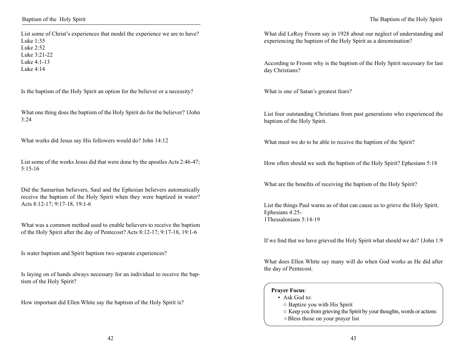List some of Christ's experiences that model the experience we are to have? Luke 1:35 Luke 2:52 Luke 3:21-22 Luke 4:1-13 Luke 4:14

Is the baptism of the Holy Spirit an option for the believer or a necessity?

What one thing does the baptism of the Holy Spirit do for the believer? 1John 3:24

What works did Jesus say His followers would do? John 14:12

List some of the works Jesus did that were done by the apostles Acts 2:46-47; 5:15-16

Did the Samaritan believers, Saul and the Ephesian believers automatically receive the baptism of the Holy Spirit when they were baptized in water? Acts 8:12-17; 9:17-18, 19:1-6

What was a common method used to enable believers to receive the baptism of the Holy Spirit after the day of Pentecost? Acts 8:12-17; 9:17-18, 19:1-6

Is water baptism and Spirit baptism two separate experiences?

Is laying on of hands always necessary for an individual to receive the baptism of the Holy Spirit?

How important did Ellen White say the baptism of the Holy Spirit is?

What did LeRoy Froom say in 1928 about our neglect of understanding and experiencing the baptism of the Holy Spirit as a denomination?

According to Froom why is the baptism of the Holy Spirit necessary for last day Christians?

What is one of Satan's greatest fears?

List four outstanding Christians from past generations who experienced the baptism of the Holy Spirit.

What must we do to be able to receive the baptism of the Spirit?

How often should we seek the baptism of the Holy Spirit? Ephesians 5:18

What are the benefits of receiving the baptism of the Holy Spirit?

List the things Paul warns us of that can cause us to grieve the Holy Spirit. Ephesians 4:25- 1Thessalonians 5:14-19

If we find that we have grieved the Holy Spirit what should we do? 1John 1:9

What does Ellen White say many will do when God works as He did after the day of Pentecost.

### **Prayer Focus**:

- Ask God to:
	- Baptize you with His Spirit
	- $\circ$  Keep you from grieving the Spirit by your thoughts, words or actions
	- Bless those on your prayer list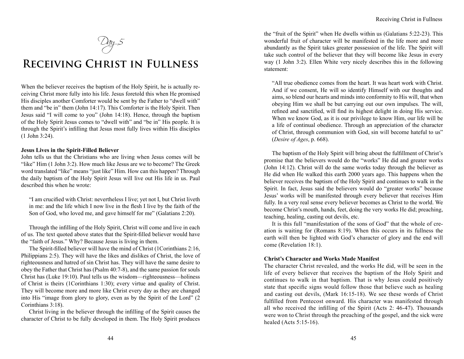# Day 5

# **Receiving Christ in Fullness**

When the believer receives the baptism of the Holy Spirit, he is actually receiving Christ more fully into his life. Jesus foretold this when He promised His disciples another Comforter would be sent by the Father to "dwell with" them and "be in" them (John 14:17). This Comforter is the Holy Spirit. Then Jesus said "I will come to you" (John 14:18). Hence, through the baptism of the Holy Spirit Jesus comes to "dwell with" and "be in" His people. It is through the Spirit's infilling that Jesus most fully lives within His disciples (1 John 3:24).

### **Jesus Lives in the Spirit-Filled Believer**

John tells us that the Christians who are living when Jesus comes will be "like" Him (1 John 3:2). How much like Jesus are we to become? The Greek word translated "like" means "just like" Him. How can this happen? Through the daily baptism of the Holy Spirit Jesus will live out His life in us. Paul described this when he wrote:

"I am crucified with Christ: nevertheless I live; yet not I, but Christ liveth in me: and the life which I now live in the flesh I live by the faith of the Son of God, who loved me, and gave himself for me" (Galatians 2:20).

Through the infilling of the Holy Spirit, Christ will come and live in each of us. The text quoted above states that the Spirit-filled believer would have the "faith of Jesus." Why? Because Jesus is living in them.

The Spirit-filled believer will have the mind of Christ (1Corinthians 2:16, Philippians 2:5). They will have the likes and dislikes of Christ, the love of righteousness and hatred of sin Christ has. They will have the same desire to obey the Father that Christ has (Psalm 40:7-8), and the same passion for souls Christ has (Luke 19:10). Paul tells us the wisdom—righteousness—holiness of Christ is theirs (1Corinthians 1:30); every virtue and quality of Christ. They will become more and more like Christ every day as they are changed into His "image from glory to glory, even as by the Spirit of the Lord" (2 Corinthians 3:18).

Christ living in the believer through the infilling of the Spirit causes the character of Christ to be fully developed in them. The Holy Spirit produces

the "fruit of the Spirit" when He dwells within us (Galatians 5:22-23). This wonderful fruit of character will be manifested in the life more and more abundantly as the Spirit takes greater possession of the life. The Spirit will take such control of the believer that they will become like Jesus in every way (1 John 3:2). Ellen White very nicely describes this in the following statement:

"All true obedience comes from the heart. It was heart work with Christ. And if we consent, He will so identify Himself with our thoughts and aims, so blend our hearts and minds into conformity to His will, that when obeying Him we shall be but carrying out our own impulses. The will, refined and sanctified, will find its highest delight in doing His service. When we know God, as it is our privilege to know Him, our life will be a life of continual obedience. Through an appreciation of the character of Christ, through communion with God, sin will become hateful to us" (*Desire of Ages*, p. 668).

The baptism of the Holy Spirit will bring about the fulfillment of Christ's promise that the believers would do the "works" He did and greater works (John 14:12). Christ will do the same works today through the believer as He did when He walked this earth 2000 years ago. This happens when the believer receives the baptism of the Holy Spirit and continues to walk in the Spirit. In fact, Jesus said the believers would do "greater works" because Jesus' works will be manifested through every believer that receives Him fully. In a very real sense every believer becomes as Christ to the world. We become Christ's mouth, hands, feet, doing the very works He did; preaching, teaching, healing, casting out devils, etc.

It is this full "manifestation of the sons of God" that the whole of creation is waiting for (Romans 8:19). When this occurs in its fullness the earth will then be lighted with God's character of glory and the end will come (Revelation 18:1).

### **Christ's Character and Works Made Manifest**

The character Christ revealed, and the works He did, will be seen in the life of every believer that receives the baptism of the Holy Spirit and continues to walk in that baptism. That is why Jesus could positively state that specific signs would follow those that believe such as healing and casting out devils, (Mark 16:15-18). We see these words of Christ ful filled from Pentecost onward. His character was manifested through all who received the infilling of the Spirit (Acts 2:  $46-47$ ). Thousands were won to Christ through the preaching of the gospel, and the sick were healed (Acts 5:15-16).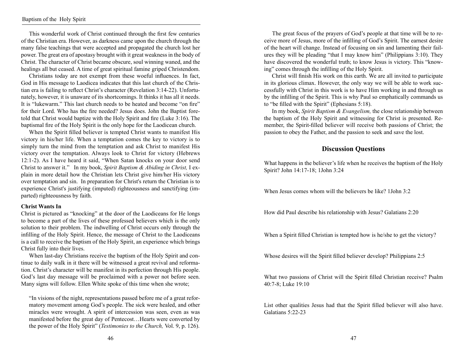This wonderful work of Christ continued through the first few centuries of the Christian era. However, as darkness came upon the church through the many false teachings that were accepted and propagated the church lost her power. The great era of apostasy brought with it great weakness in the body of power. The great eta or apostally or eaglie with it great weakiness in the socy or Christ. The character of Christ became obscure, soul winning waned, and the extractively contributed by the Christian era. However, see a winning wanted, and the healings all but ceased. A time of great spiritual famine griped Christendom.

Christians today are not exempt from these woeful influences. In fact, Emistian cody are not enempt from these woeld inflaences. In the, God in His message to Laodicea indicates that this last church of the Christian era is failing to reflect Christ's character (Revelation 3:14-22). Unfortuhand of a time of its shortcomings. It thinks it has all it needs. A time of its shortcomings. It thinks it has all it needs. It is "lukewarm." This last church needs to be heated and become "on fire" for their Lord. Who has the fire needed? Jesus does. John the Baptist foretold that Christ would baptize with the Holy Spirit and fire (Luke 3:16). The tial fire to result to reflect the Holy Spirit and fire (Luke 3:16). The baptismal fire of the Holy Spirit is the only hope for the Laodicean church.

When the Spirit filled believer is tempted Christ wants to manifest His when the spin mice school is tempted smist while to manneed the victory in his/her life. When a temptation comes the key to victory is to that the mind from the temptation and ask Christ to manifest His simply turn the mind from the temptation and ask Christ to manifest His bandary cannot alle the temptation. Always look to Christ for victory (Hebrews victory over the temptation. Always look to Christ for victory (Hebrews 12:1-2). As I have heard it said, "When Satan knocks on your door send **Christ to answer it."** In my book, *Spirit Baptism & Abiding in Christ*, I explant in more death how the Christian fets Christ give inharder this victory over temptation and sin. In preparation for Christ's return the Christian is to experience Christ's justifying (imputed) righteousness and sanctifying (imexperience emists justifying (impated) righteousness and sanctifying (imparted) righteousness by faith. plain in more detail how the Christian lets Christ give him/her His victory a wouldn't the interest desired during the first for the interest of the interest desired and the interest desired and the interest of God's Spirit. The earnest desired in the earlier of Color Management of Christ believe

# **Solution to the induced of Christ Wants In**

Christ wants in<br>Christ is pictured as "knocking" at the door of the Laodiceans for He longs to become a part of the lives of these professed believers which is the only to become a part of the lives of these processed benevers which is the only solution to their problem. The indwelling of Christ occurs only through the in linguism to their problem. The mawering of Christ occurs only unough the infilling of the Holy Spirit. Hence, the message of Christ to the Laodiceans tinuing of the troly opini. Tience, the message of emist to the Labancans is a call to receive the baptism of the Holy Spirit, an experience which brings.<br>Christ following the indicates Christ fully into their lives.

Early medical receive the baptism of the Holy Spirit and con-<br>When last-day Christians receive the baptism of the Holy Spirit and conwhen ass-day emistians receive the baptism of the riory spirit and con-<br>tinue to daily walk in it there will be witnessed a great revival and reforma-From Units Strander will be maintest in its perfection unough ris people.<br>God's last day message will be proclaimed with a power not before seen. matory message will be proclaimed with a power flot before seen. Many signs will follow. Ellen White spoke of this time when she wrote; tion. Christ's character will be manifest in its perfection through His people.

"In visions of the night, representations passed before me of a great refor-In visions of the Hight, representations passed octore the of a great reformatory movement among God's people. The sick were healed, and other maticies were wrought. A spirit of interession was seen, even as was<br>manifested before the great day of Pentecost…Hearts were converted by mannested before the great day of Fentecost...Theat's were converted by the power of the Holy Spirit" (*Testimonies to the Church*, Vol. 9, p. 126). miracles were wrought. A spirit of intercession was seen, even as was

The great focus of the prayers of God's people at that time will be to receive more of Jesus, more of the infilling of God's Spirit. The earnest desire of the heart will change. Instead of focusing on sin and lamenting their failures they will be pleading "that I may know him" (Philippians 3:10). They have discovered the wonderful truth; to know Jesus is victory. This "knowing" comes through the infilling of the Holy Spirit.

Christ will finish His work on this earth. We are all invited to participate Christ will finish His work on this earth. We are all invited to participate in its glorious climax. However, the only way we will be able to work successfully with Christ in this work is to have Him working in and through us by the infilling of the Spirit. This is why Paul so emphatically commands us to "be filled with the Spirit" (Ephesians 5:18). to "be filled with the Spirit" (Ephesians  $5:18$ ).

In my book, *Spirit Baptism & Evangelism*, the close relationship between the baptism of the Holy Spirit and witnessing for Christ is presented. Remember, the Spirit-filled believer will receive both passions of Christ; the passion to obey the Father, and the passion to seek and save the lost.

### **Discussion Questions**

What happens in the believer's life when he receives the baptism of the Holy Spirit? John 14:17-18; 1John 3:24

When Jesus comes whom will the believers be like? 1John 3:2

How did Paul describe his relationship with Jesus? Galatians 2:20

When a Spirit filled Christian is tempted how is he/she to get the victory?

Whose desires will the Spirit filled believer develop? Philippians 2:5

What two passions of Christ will the Spirit filled Christian receive? Psalm 40:7-8; Luke 19:10

List other qualities Jesus had that the Spirit filled believer will also have. Galatians 5:22-23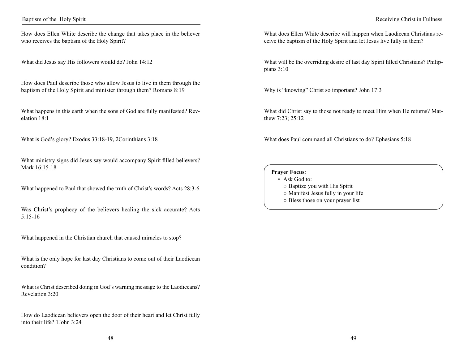### Baptism of the Holy Spirit

How does Ellen White describe the change that takes place in the believer who receives the baptism of the Holy Spirit?

What did Jesus say His followers would do? John 14:12

How does Paul describe those who allow Jesus to live in them through the baptism of the Holy Spirit and minister through them? Romans 8:19

What happens in this earth when the sons of God are fully manifested? Revelation 18:1

What is God's glory? Exodus 33:18-19, 2Corinthians 3:18

What ministry signs did Jesus say would accompany Spirit filled believers? Mark 16:15-18

What happened to Paul that showed the truth of Christ's words? Acts 28:3-6

Was Christ's prophecy of the believers healing the sick accurate? Acts 5:15-16

What happened in the Christian church that caused miracles to stop?

What is the only hope for last day Christians to come out of their Laodicean condition?

What is Christ described doing in God's warning message to the Laodiceans? Revelation 3:20

How do Laodicean believers open the door of their heart and let Christ fully into their life? 1John 3:24

What does Ellen White describe will happen when Laodicean Christians receive the baptism of the Holy Spirit and let Jesus live fully in them?

What will be the overriding desire of last day Spirit filled Christians? Philippians 3:10

Why is "knowing" Christ so important? John 17:3

What did Christ say to those not ready to meet Him when He returns? Matthew 7:23; 25:12

What does Paul command all Christians to do? Ephesians 5:18

### **Prayer Focus**:

- Ask God to:
	- Baptize you with His Spirit
	- Manifest Jesus fully in your life
	- Bless those on your prayer list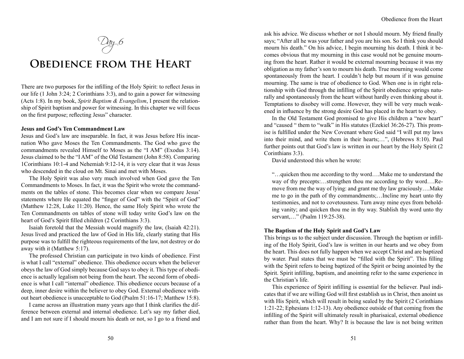# $\omega_{\mathcal{G}}$

# **OBEDIENCE FROM THE HEART**

There are two purposes for the infilling of the Holy Spirit: to reflect Jesus in our life (1 John 3:24; 2 Corinthians 3:3), and to gain a power for witnessing (Acts 1:8). In my book, *Spirit Baptism & Evangelism*, I present the relationship of Spirit baptism and power for witnessing. In this chapter we will focus on the first purpose; reflecting Jesus" character.

### **Jesus and God's Ten Commandment Law**

Jesus and God's law are inseparable. In fact, it was Jesus before His incarnation Who gave Moses the Ten Commandments. The God who gave the commandments revealed Himself to Moses as the "I AM" (Exodus 3:14). Jesus claimed to be the "I AM" of the Old Testament (John 8:58). Comparing 1Corinthians 10:1-4 and Nehemiah 9:12-14, it is very clear that it was Jesus who descended in the cloud on Mt. Sinai and met with Moses.

The Holy Spirit was also very much involved when God gave the Ten Commandments to Moses. In fact, it was the Spirit who wrote the commandments on the tables of stone. This becomes clear when we compare Jesus' statements where He equated the "finger of God" with the "Spirit of God" (Matthew 12:28, Luke 11:20). Hence, the same Holy Spirit who wrote the Ten Commandments on tables of stone will today write God's law on the heart of God's Spirit filled children (2 Corinthians 3:3).

Isaiah foretold that the Messiah would magnify the law, (Isaiah 42:21). Jesus lived and practiced the law of God in His life, clearly stating that His purpose was to fulfill the righteous requirements of the law, not destroy or do away with it (Matthew 5:17).

The professed Christian can participate in two kinds of obedience. First is what I call "external" obedience. This obedience occurs when the believer obeys the law of God simply because God says to obey it. This type of obedience is actually legalism not being from the heart. The second form of obedience is what I call "internal" obedience. This obedience occurs because of a deep, inner desire within the believer to obey God. External obedience without heart obedience is unacceptable to God (Psalm 51:16-17; Matthew 15:8).

I came across an illustration many years ago that I think clarifies the difference between external and internal obedience. Let's say my father died, and I am not sure if I should mourn his death or not, so I go to a friend and

ask his advice. We discuss whether or not I should mourn. My friend finally says; "After all he was your father and you are his son. So I think you should mourn his death." On his advice, I begin mourning his death. I think it becomes obvious that my mourning in this case would not be genuine mourning from the heart. Rather it would be external mourning because it was my obligation as my father's son to mourn his death. True mourning would come spontaneously from the heart. I couldn't help but mourn if it was genuine mourning. The same is true of obedience to God. When one is in right relationship with God through the infilling of the Spirit obedience springs naturally and spontaneously from the heart without hardly even thinking about it. Temptations to disobey will come. However, they will be very much weakened in influence by the strong desire God has placed in the heart to obey.

In the Old Testament God promised to give His children a "new heart" and "caused " them to "walk" in His statutes (Ezekiel 36:26-27). This promise is fulfilled under the New Covenant where God said "I will put my laws into their mind, and write them in their hearts;…", (Hebrews 8:10). Paul further points out that God's law is written in our heart by the Holy Spirit (2 Corinthians 3:3).

David understood this when he wrote:

"…quicken thou me according to thy word….Make me to understand the way of thy precepts:…strengthen thou me according to thy word….Remove from me the way of lying: and grant me thy law graciously….Make me to go in the path of thy commandments;…Incline my heart unto thy testimonies, and not to covetousness. Turn away mine eyes from beholding vanity; and quicken thou me in thy way. Stablish thy word unto thy servant,…" (Psalm 118:25-38). (Psalm 119:25-38).

### **The Baptism of the Holy Spirit and God's Law**

This brings us to the subject under discussion. Through the baptism or infilling of the Holy Spirit, God's law is written in our hearts and we obey from the heart. This does not fully happen when we accept Christ and are baptized by water. Paul states that we must be "filled with the Spirit". This filling with the Spirit refers to being baptized of the Spirit or being anointed by the Spirit. Spirit in filling, baptism, and anointing refer to the same experience in the Christian's life.

This experience of Spirit infilling is essential for the believer. Paul indicates that if we are willing God will first establish us in Christ, then anoint us with His Spirit, which will result in being sealed by the Spirit (2 Corinthians 1:21-22; Ephesians 1:12-13). Any obedience outside of that coming from the in filling of the Spirit will ultimately result in pharisaical, external obedience rather than from the heart. Why? It is because the law is not being written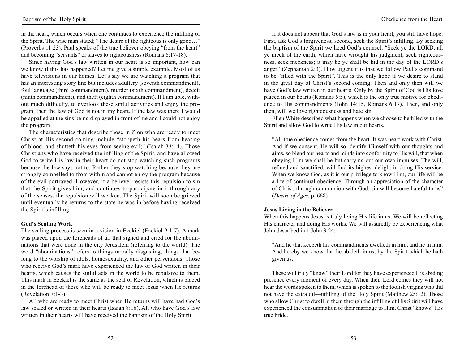in the heart, which occurs when one continues to experience the infilling of the Spirit. The wise man stated; "The desire of the righteous is only good…" (Proverbs 11:23). Paul speaks of the true believer obeying "from the heart" and becoming "servants" or slaves to righteousness (Romans 6:17-18).

Since having God's law written in our heart is so important, how can we know if this has happened? Let me give a simple example. Most of us have televisions in our homes. Let's say we are watching a program that has an interesting story line but includes adultery (seventh commandment), foul language (third commandment), murder (sixth commandment), deceit (ninth commandment), and theft (eighth commandment). If I am able, without much difficulty, to overlook these sinful activities and enjoy the program, then the law of God is not in my heart. If the law was there I would be appalled at the sins being displayed in front of me and I could not enjoy the program.

The characteristics that describe those in Zion who are ready to meet Christ at His second coming include "stoppeth his hears from hearing of blood, and shutteth his eyes from seeing evil;" (Isaiah 33:14). Those Christians who have received the infilling of the Spirit, and have allowed God to write His law in their heart do not stop watching such programs because the law says not to. Rather they stop watching because they are strongly compelled to from within and cannot enjoy the program because of the evil portrayed. However, if a believer resists this repulsion to sin that the Spirit gives him, and continues to participate in it through any of the senses, the repulsion will weaken. The Spirit will soon be grieved until eventually he returns to the state he was in before having received the Spirit's infilling.

### **God's Sealing Work**

The sealing process is seen in a vision in Ezekiel (Ezekiel 9:1-7). A mark was placed upon the foreheads of all that sighed and cried for the abominations that were done in the city Jerusalem (referring to the world). The word "abominations" refers to things morally disgusting, things that belong to the worship of idols, homosexuality, and other perversions. Those who receive God's mark have experienced the law of God written in their hearts, which causes the sinful acts in the world to be repulsive to them. This mark in Ezekiel is the same as the seal of Revelation, which is placed in the forehead of those who will be ready to meet Jesus when He returns (Revelation 7:1-3).

All who are ready to meet Christ when He returns will have had God's law sealed or written in their hearts (Isaiah 8:16). All who have God's law written in their hearts will have received the baptism of the Holy Spirit.

If it does not appear that God's law is in your heart, you still have hope. First, ask God's forgiveness; second, seek the Spirit's infilling. By seeking the baptism of the Spirit we heed God's counsel; "Seek ye the LORD, all ye meek of the earth, which have wrought his judgment; seek righteousness, seek meekness; it may be ye shall be hid in the day of the LORD's anger" (Zephaniah 2:3). How urgent it is that we follow Paul's command to be "filled with the Spirit". This is the only hope if we desire to stand in the great day of Christ's second coming. Then and only then will we have God's law written in our hearts. Only by the Spirit of God is His love placed in our hearts (Romans 5:5), which is the only true motive for obedience to His commandments (John 14:15, Romans 6:17). Then, and only then, will we love righteousness and hate sin.

Ellen White described what happens when we choose to be filled with the Spirit and allow God to write His law in our hearts.

"All true obedience comes from the heart. It was heart work with Christ. And if we consent, He will so identify Himself with our thoughts and aims, so blend our hearts and minds into conformity to His will, that when obeying Him we shall be but carrying out our own impulses. The will, refined and sanctified, will find its highest delight in doing His service. When we know God, as it is our privilege to know Him, our life will be a life of continual obedience. Through an appreciation of the character of Christ, through communion with God, sin will become hateful to us" (*Desire of Ages*, p. 668)

### **Jesus Living in the Believer**

When this happens Jesus is truly living His life in us. We will be reflecting His character and doing His works. We will assuredly be experiencing what John described in 1 John 3:24:

"And he that keepeth his commandments dwelleth in him, and he in him. And hereby we know that he abideth in us, by the Spirit which he hath given us."

These will truly "know" their Lord for they have experienced His abiding presence every moment of every day. When their Lord comes they will not hear the words spoken to them, which is spoken to the foolish virgins who did not have the extra oil—infilling of the Holy Spirit (Matthew 25:12). Those who allow Christ to dwell in them through the infilling of His Spirit will have experienced the consummation of their marriage to Him. Christ "knows" His true bride.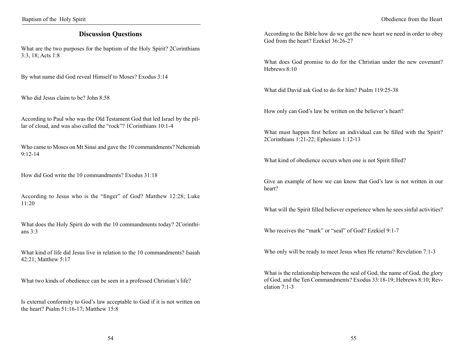## **Discussion Questions**

What are the two purposes for the baptism of the Holy Spirit? 2Corinthians 3:3, 18; Acts 1:8

By what name did God reveal Himself to Moses? Exodus 3:14

Who did Jesus claim to be? John 8:58

According to Paul who was the Old Testament God that led Israel by the pillar of cloud, and was also called the "rock"? 1Corinthians 10:1-4

Who came to Moses on Mt Sinai and gave the 10 commandments? Nehemiah 9:12-14

How did God write the 10 commandments? Exodus 31:18

According to Jesus who is the "finger" of God? Matthew 12:28; Luke 11:20

What does the Holy Spirit do with the 10 commandments today? 2Corinthians 3:3

What kind of life did Jesus live in relation to the 10 commandments? Isaiah 42:21; Matthew 5:17

What two kinds of obedience can be seen in a professed Christian's life?

Is external conformity to God's law acceptable to God if it is not written on the heart? Psalm 51:16-17; Matthew 15:8

According to the Bible how do we get the new heart we need in order to obey God from the heart? Ezekiel 36:26-27

What does God promise to do for the Christian under the new covenant? Hebrews 8:10

What did David ask God to do for him? Psalm 119:25-38

How only can God's law be written on the believer's heart?

What must happen first before an individual can be filled with the Spirit? 2Corinthians 1:21-22; Ephesians 1:12-13

What kind of obedience occurs when one is not Spirit filled?

Give an example of how we can know that God's law is not written in our heart?

What will the Spirit filled believer experience when he sees sinful activities?

Who receives the "mark" or "seal" of God? Ezekiel 9:1-7

Who only will be ready to meet Jesus when He returns? Revelation 7:1-3

What is the relationship between the seal of God, the name of God, the glory of God, and the Ten Commandments? Exodus 33:18-19; Hebrews 8:10; Revelation 7:1-3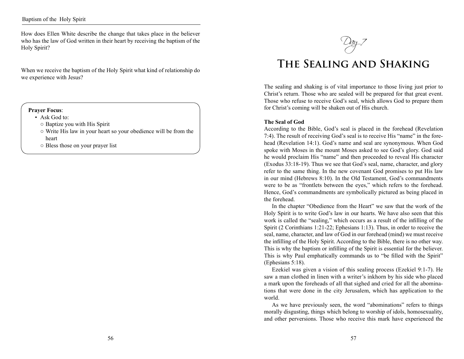How does Ellen White describe the change that takes place in the believer who has the law of God written in their heart by receiving the baptism of the Holy Spirit?

When we receive the baptism of the Holy Spirit what kind of relationship do we experience with Jesus?

### **Prayer Focus**:

• Ask God to:

- Baptize you with His Spirit
- Write His law in your heart so your obedience will be from the heart
- Bless those on your prayer list

# $\bigcirc$ ay 7

# **The Sealing and Shaking**

The sealing and shaking is of vital importance to those living just prior to Christ's return. Those who are sealed will be prepared for that great event. Those who refuse to receive God's seal, which allows God to prepare them for Christ's coming will be shaken out of His church.

### **The Seal of God**

According to the Bible, God's seal is placed in the forehead (Revelation 7:4). The result of receiving God's seal is to receive His "name" in the forehead (Revelation 14:1). God's name and seal are synonymous. When God spoke with Moses in the mount Moses asked to see God's glory. God said he would proclaim His "name" and then proceeded to reveal His character (Exodus 33:18-19). Thus we see that God's seal, name, character, and glory refer to the same thing. In the new covenant God promises to put His law in our mind (Hebrews 8:10). In the Old Testament, God's commandments were to be as "frontlets between the eyes," which refers to the forehead. Hence, God's commandments are symbolically pictured as being placed in the forehead.

In the chapter "Obedience from the Heart" we saw that the work of the Holy Spirit is to write God's law in our hearts. We have also seen that this work is called the "sealing," which occurs as a result of the infilling of the Spirit (2 Corinthians 1:21-22; Ephesians 1:13). Thus, in order to receive the seal, name, character, and law of God in our forehead (mind) we must receive the in lling of the Holy Spirit. According to the Bible, there is no other way. This is why the baptism or infilling of the Spirit is essential for the believer. This is why Paul emphatically commands us to "be filled with the Spirit" (Ephesians 5:18).

Ezekiel was given a vision of this sealing process (Ezekiel 9:1-7). He saw a man clothed in linen with a writer's inkhorn by his side who placed a mark upon the foreheads of all that sighed and cried for all the abominations that were done in the city Jerusalem, which has application to the world.

As we have previously seen, the word "abominations" refers to things morally disgusting, things which belong to worship of idols, homosexuality, and other perversions. Those who receive this mark have experienced the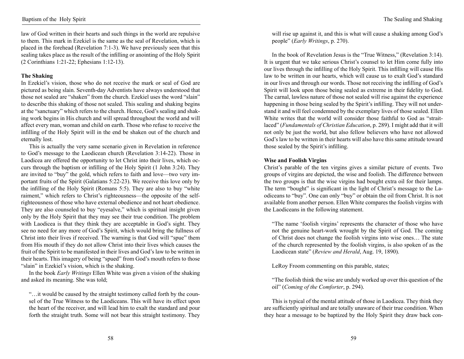law of God written in their hearts and such things in the world are repulsive to them. This mark in Ezekiel is the same as the seal of Revelation, which is placed in the forehead (Revelation 7:1-3). We have previously seen that this sealing takes place as the result of the infilling or anointing of the Holy Spirit (2 Corinthians 1:21-22; Ephesians 1:12-13).

### **The Shaking**

In Ezekiel's vision, those who do not receive the mark or seal of God are pictured as being slain. Seventh-day Adventists have always understood that those not sealed are "shaken" from the church. Ezekiel uses the word "slain" to describe this shaking of those not sealed. This sealing and shaking begins at the "sanctuary" which refers to the church. Hence, God's sealing and shaking work begins in His church and will spread throughout the world and will affect every man, woman and child on earth. Those who refuse to receive the in filling of the Holy Spirit will in the end be shaken out of the church and eternally lost.

This is actually the very same scenario given in Revelation in reference to God's message to the Laodicean church (Revelation 3:14-22). Those in Laodicea are offered the opportunity to let Christ into their lives, which occurs through the baptism or infilling of the Holy Spirit  $(1$  John 3:24). They are invited to "buy" the gold, which refers to faith and love—two very important fruits of the Spirit (Galatians 5:22-23). We receive this love only by the infilling of the Holy Spirit (Romans 5:5). They are also to buy "white raiment," which refers to Christ's righteousness—the opposite of the selfrighteousness of those who have external obedience and not heart obedience. They are also counseled to buy "eyesalve," which is spiritual insight given only by the Holy Spirit that they may see their true condition. The problem with Laodicea is that they think they are acceptable in God's sight. They see no need for any more of God's Spirit, which would bring the fullness of Christ into their lives if received. The warning is that God will "spue" them from His mouth if they do not allow Christ into their lives which causes the fruit of the Spirit to be manifested in their lives and God's law to be written in their hearts. This imagery of being "spued" from God's mouth refers to those "slain" in Ezekiel's vision, which is the shaking.

In the book *Early Writings* Ellen White was given a vision of the shaking and asked its meaning. She was told;

"…it would be caused by the straight testimony called forth by the counsel of the True Witness to the Laodiceans. This will have its effect upon the heart of the receiver, and will lead him to exalt the standard and pour forth the straight truth. Some will not bear this straight testimony. They will rise up against it, and this is what will cause a shaking among God's people" (*Early Writings*, p. 270).

In the book of Revelation Jesus is the "True Witness," (Revelation 3:14). It is urgent that we take serious Christ's counsel to let Him come fully into our lives through the infilling of the Holy Spirit. This infilling will cause His law to be written in our hearts, which will cause us to exalt God's standard in our lives and through our words. Those not receiving the infilling of God's Spirit will look upon those being sealed as extreme in their fidelity to God. The carnal, lawless nature of those not sealed will rise against the experience happening in those being sealed by the Spirit's infilling. They will not understand it and will feel condemned by the exemplary lives of those sealed. Ellen White writes that the world will consider those faithful to God as "straitlaced" (*Fundamentals of Christian Education*, p. 289). I might add that it will not only be just the world, but also fellow believers who have not allowed God's law to be written in their hearts will also have this same attitude toward those sealed by the Spirit's infilling.

### **Wise and Foolish Virgins**

Christ's parable of the ten virgins gives a similar picture of events. Two groups of virgins are depicted, the wise and foolish. The difference between the two groups is that the wise virgins had bought extra oil for their lamps. The term "bought" is significant in the light of Christ's message to the Laodiceans to "buy". One can only "buy" or obtain the oil from Christ. It is not available from another person. Ellen White compares the foolish virgins with the Laodiceans in the following statement.

"The name 'foolish virgins' represents the character of those who have not the genuine heart-work wrought by the Spirit of God. The coming of Christ does not change the foolish virgins into wise ones… The state of the church represented by the foolish virgins, is also spoken of as the Laodicean state" (*Review and Herald*, Aug. 19, 1890).

LeRoy Froom commenting on this parable, states;

"The foolish think the wise are unduly worked up over this question of the oil" (*Coming of the Comforter*, p. 294).

This is typical of the mental attitude of those in Laodicea. They think they are sufficiently spiritual and are totally unaware of their true condition. When they hear a message to be baptized by the Holy Spirit they draw back con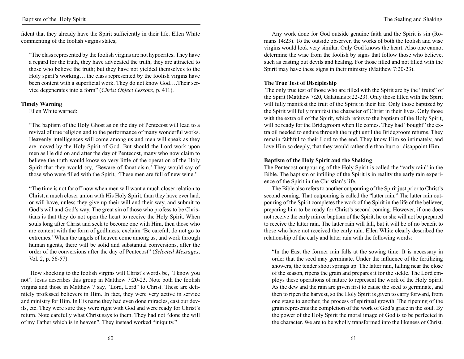fident that they already have the Spirit sufficiently in their life. Ellen White commenting of the foolish virgins states;

"The class represented by the foolish virgins are not hypocrites. They have a regard for the truth, they have advocated the truth, they are attracted to those who believe the truth; but they have not yielded themselves to the Holy spirit's working….the class represented by the foolish virgins have been content with a superficial work. They do not know God....Their service degenerates into a form" (*Christ Object Lessons*, p. 411).

### **Timely Warning**

Ellen White warned:

"The baptism of the Holy Ghost as on the day of Pentecost will lead to a revival of true religion and to the performance of many wonderful works. Heavenly intelligences will come among us and men will speak as they are moved by the Holy Spirit of God. But should the Lord work upon men as He did on and after the day of Pentecost, many who now claim to believe the truth would know so very little of the operation of the Holy Spirit that they would cry, 'Beware of fanaticism.' They would say of those who were filled with the Spirit, 'These men are full of new wine.'

"The time is not far off now when men will want a much closer relation to Christ, a much closer union with His Holy Spirit, than they have ever had, or will have, unless they give up their will and their way, and submit to God's will and God's way. The great sin of those who profess to be Christians is that they do not open the heart to receive the Holy Spirit. When souls long after Christ and seek to become one with Him, then those who are content with the form of godliness, exclaim 'Be careful, do not go to extremes.' When the angels of heaven come among us, and work through human agents, there will be solid and substantial conversions, after the order of the conversions after the day of Pentecost" (*Selected Messages*, Vol. 2, p. 56-57).

 How shocking to the foolish virgins will Christ's words be, "I know you not". Jesus describes this group in Matthew 7:20-23. Note both the foolish virgins and those in Matthew 7 say, "Lord, Lord" to Christ. These are definitely professed believers in Him. In fact, they were very active in service and ministry for Him. In His name they had even done miracles, cast our devils, etc. They were sure they were right with God and were ready for Christ's return. Note carefully what Christ says to them. They had not "done the will of my Father which is in heaven". They instead worked "iniquity."

Any work done for God outside genuine faith and the Spirit is sin (Romans 14:23). To the outside observer, the works of both the foolish and wise virgins would look very similar. Only God knows the heart. Also one cannot determine the wise from the foolish by signs that follow those who believe, such as casting out devils and healing. For those filled and not filled with the Spirit may have these signs in their ministry (Matthew 7:20-23).

### **The True Test of Discipleship**

The only true test of those who are filled with the Spirit are by the "fruits" of the Spirit (Matthew 7:20, Galatians  $5:22-23$ ). Only those filled with the Spirit will fully manifest the fruit of the Spirit in their life. Only those baptized by the Spirit will fully manifest the character of Christ in their lives. Only those with the extra oil of the Spirit, which refers to the baptism of the Holy Spirit, will be ready for the Bridegroom when He comes. They had "bought" the extra oil needed to endure through the night until the Bridegroom returns. They remain faithful to their Lord to the end. They know Him so intimately, and love Him so deeply, that they would rather die than hurt or disappoint Him.

### **Baptism of the Holy Spirit and the Shaking**

The Pentecost outpouring of the Holy Spirit is called the "early rain" in the Bible. The baptism or infilling of the Spirit is in reality the early rain experience of the Spirit in the Christian's life.

The Bible also refers to another outpouring of the Spirit just prior to Christ's second coming. That outpouring is called the "latter rain." The latter rain outpouring of the Spirit completes the work of the Spirit in the life of the believer, preparing him to be ready for Christ's second coming. However, if one does not receive the early rain or baptism of the Spirit, he or she will not be prepared to receive the latter rain. The latter rain will fall, but it will be of no benefit to those who have not received the early rain. Ellen White clearly described the relationship of the early and latter rain with the following words:

"In the East the former rain falls at the sowing time. It is necessary in order that the seed may germinate. Under the influence of the fertilizing showers, the tender shoot springs up. The latter rain, falling near the close of the season, ripens the grain and prepares it for the sickle. The Lord employs these operations of nature to represent the work of the Holy Spirit. As the dew and the rain are given first to cause the seed to germinate, and then to ripen the harvest, so the Holy Spirit is given to carry forward, from one stage to another, the process of spiritual growth. The ripening of the grain represents the completion of the work of God's grace in the soul. By the power of the Holy Spirit the moral image of God is to be perfected in the character. We are to be wholly transformed into the likeness of Christ.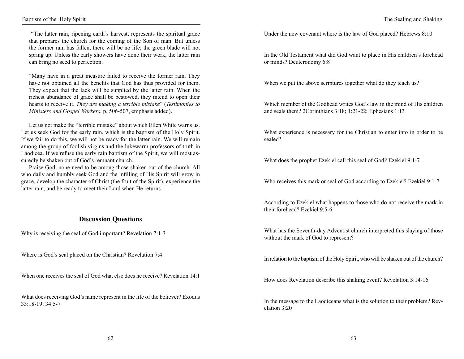"The latter rain, ripening earth's harvest, represents the spiritual grace that prepares the church for the coming of the Son of man. But unless the former rain has fallen, there will be no life; the green blade will not spring up. Unless the early showers have done their work, the latter rain can bring no seed to perfection.

"Many have in a great measure failed to receive the former rain. They have not obtained all the benefits that God has thus provided for them. They expect that the lack will be supplied by the latter rain. When the richest abundance of grace shall be bestowed, they intend to open their hearts to receive it. *They are making a terrible mistake*" (*Testimonies to Ministers and Gospel Workers*, p. 506-507, emphasis added).

Let us not make the "terrible mistake" about which Ellen White warns us. Let us seek God for the early rain, which is the baptism of the Holy Spirit. If we fail to do this, we will not be ready for the latter rain. We will remain among the group of foolish virgins and the lukewarm professors of truth in Laodicea. If we refuse the early rain baptism of the Spirit, we will most assuredly be shaken out of God's remnant church.

Praise God, none need to be among those shaken out of the church. All who daily and humbly seek God and the infilling of His Spirit will grow in grace, develop the character of Christ (the fruit of the Spirit), experience the latter rain, and be ready to meet their Lord when He returns.

## **Discussion Questions**

Why is receiving the seal of God important? Revelation 7:1-3

Where is God's seal placed on the Christian? Revelation 7:4

When one receives the seal of God what else does he receive? Revelation 14:1

What does receiving God's name represent in the life of the believer? Exodus 33:18-19; 34:5-7

Under the new covenant where is the law of God placed? Hebrews 8:10

In the Old Testament what did God want to place in His children's forehead or minds? Deuteronomy 6:8

When we put the above scriptures together what do they teach us?

Which member of the Godhead writes God's law in the mind of His children and seals them? 2Corinthians 3:18; 1:21-22; Ephesians 1:13

What experience is necessary for the Christian to enter into in order to be sealed?

What does the prophet Ezekiel call this seal of God? Ezekiel 9:1-7

Who receives this mark or seal of God according to Ezekiel? Ezekiel 9:1-7

According to Ezekiel what happens to those who do not receive the mark in their forehead? Ezekiel 9:5-6

What has the Seventh-day Adventist church interpreted this slaying of those without the mark of God to represent?

In relation to the baptism of the Holy Spirit, who will be shaken out of the church?

How does Revelation describe this shaking event? Revelation 3:14-16

In the message to the Laodiceans what is the solution to their problem? Revelation 3:20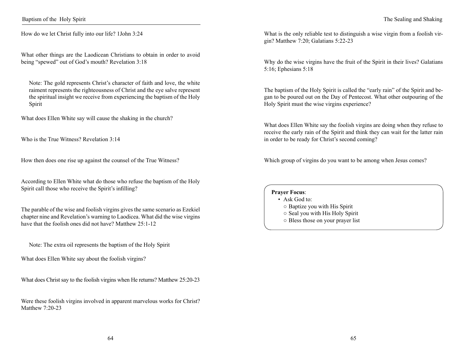Baptism of the Holy Spirit

How do we let Christ fully into our life? 1John 3:24

What other things are the Laodicean Christians to obtain in order to avoid being "spewed" out of God's mouth? Revelation 3:18

 Note: The gold represents Christ's character of faith and love, the white raiment represents the righteousness of Christ and the eye salve represent the spiritual insight we receive from experiencing the baptism of the Holy Spirit

What does Ellen White say will cause the shaking in the church?

Who is the True Witness? Revelation 3:14

How then does one rise up against the counsel of the True Witness?

According to Ellen White what do those who refuse the baptism of the Holy Spirit call those who receive the Spirit's infilling?

The parable of the wise and foolish virgins gives the same scenario as Ezekiel chapter nine and Revelation's warning to Laodicea. What did the wise virgins have that the foolish ones did not have? Matthew 25:1-12

Note: The extra oil represents the baptism of the Holy Spirit

What does Ellen White say about the foolish virgins?

What does Christ say to the foolish virgins when He returns? Matthew 25:20-23

Were these foolish virgins involved in apparent marvelous works for Christ? Matthew 7:20-23

What is the only reliable test to distinguish a wise virgin from a foolish virgin? Matthew 7:20; Galatians 5:22-23

Why do the wise virgins have the fruit of the Spirit in their lives? Galatians 5:16; Ephesians 5:18

The baptism of the Holy Spirit is called the "early rain" of the Spirit and began to be poured out on the Day of Pentecost. What other outpouring of the Holy Spirit must the wise virgins experience?

What does Ellen White say the foolish virgins are doing when they refuse to receive the early rain of the Spirit and think they can wait for the latter rain in order to be ready for Christ's second coming?

Which group of virgins do you want to be among when Jesus comes?

### **Prayer Focus**:

- Ask God to:
	- Baptize you with His Spirit
	- Seal you with His Holy Spirit
	- Bless those on your prayer list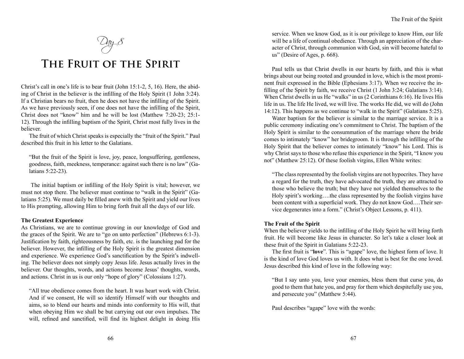# $\mathcal{O}_{q}$   $\mathcal{S}$

# **The Fruit of the Spirit**

Christ's call in one's life is to bear fruit (John 15:1-2, 5, 16). Here, the abiding of Christ in the believer is the infilling of the Holy Spirit (1 John 3:24). If a Christian bears no fruit, then he does not have the infilling of the Spirit. As we have previously seen, if one does not have the infilling of the Spirit, Christ does not "know" him and he will be lost (Matthew 7:20-23; 25:1- 12). Through the infilling baptism of the Spirit, Christ most fully lives in the believer.

The fruit of which Christ speaks is especially the "fruit of the Spirit." Paul described this fruit in his letter to the Galatians.

"But the fruit of the Spirit is love, joy, peace, longsuffering, gentleness, goodness, faith, meekness, temperance: against such there is no law" (Galatians 5:22-23).

The initial baptism or infilling of the Holy Spirit is vital; however, we must not stop there. The believer must continue to "walk in the Spirit" (Galatians 5:25). We must daily be filled anew with the Spirit and yield our lives to His prompting, allowing Him to bring forth fruit all the days of our life.

### **The Greatest Experience**

As Christians, we are to continue growing in our knowledge of God and the graces of the Spirit. We are to "go on unto perfection" (Hebrews 6:1-3). Justification by faith, righteousness by faith, etc. is the launching pad for the believer. However, the infilling of the Holy Spirit is the greatest dimension and experience. We experience God's sanctification by the Spirit's indwelling. The believer does not simply copy Jesus life. Jesus actually lives in the believer. Our thoughts, words, and actions become Jesus' thoughts, words, and actions. Christ in us is our only "hope of glory" (Colossians 1:27).

"All true obedience comes from the heart. It was heart work with Christ. And if we consent, He will so identify Himself with our thoughts and aims, so to blend our hearts and minds into conformity to His will, that when obeying Him we shall be but carrying out our own impulses. The will, refined and sanctified, will find its highest delight in doing His service. When we know God, as it is our privilege to know Him, our life will be a life of continual obedience. Through an appreciation of the character of Christ, through communion with God, sin will become hateful to us" (Desire of Ages, p. 668).

Paul tells us that Christ dwells in our hearts by faith, and this is what brings about our being rooted and grounded in love, which is the most prominent fruit expressed in the Bible (Ephesians 3:17). When we receive the in filling of the Spirit by faith, we receive Christ  $(1$  John 3:24; Galatians 3:14). When Christ dwells in us He "walks" in us (2 Corinthians 6:16). He lives His life in us. The life He lived, we will live. The works He did, we will do (John 14:12). This happens as we continue to "walk in the Spirit" (Galatians 5:25).

Water baptism for the believer is similar to the marriage service. It is a public ceremony indicating one's commitment to Christ. The baptism of the Holy Spirit is similar to the consummation of the marriage where the bride comes to intimately "know" her bridegroom. It is through the infilling of the Holy Spirit that the believer comes to intimately "know" his Lord. This is why Christ says to those who refuse this experience in the Spirit, "I know you not" (Matthew 25:12). Of these foolish virgins, Ellen White writes:

"The class represented by the foolish virgins are not hypocrites. They have a regard for the truth, they have advocated the truth, they are attracted to those who believe the truth; but they have not yielded themselves to the Holy spirit's working….the class represented by the foolish virgins have been content with a superficial work. They do not know God....Their service degenerates into a form." (Christ's Object Lessons, p. 411).

### **The Fruit of the Spirit**

When the believer yields to the infilling of the Holy Spirit he will bring forth fruit. He will become like Jesus in character. So let's take a closer look at these fruit of the Spirit in Galatians 5:22-23.

The first fruit is "**love**". This is "agape" love, the highest form of love. It is the kind of love God loves us with. It does what is best for the one loved. Jesus described this kind of love in the following way:

"But I say unto you, love your enemies, bless them that curse you, do good to them that hate you, and pray for them which despitefully use you, and persecute you" (Matthew 5:44).

Paul describes "agape" love with the words: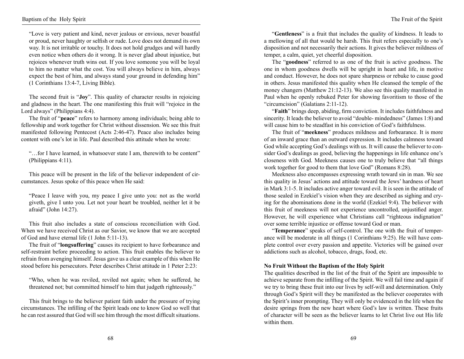"Love is very patient and kind, never jealous or envious, never boastful or proud, never haughty or selfish or rude. Love does not demand its own way. It is not irritable or touchy. It does not hold grudges and will hardly even notice when others do it wrong. It is never glad about injustice, but rejoices whenever truth wins out. If you love someone you will be loyal to him no matter what the cost. You will always believe in him, always expect the best of him, and always stand your ground in defending him" (1 Corinthians 13:4-7, Living Bible).

The second fruit is "**Joy**". This quality of character results in rejoicing and gladness in the heart. The one manifesting this fruit will "rejoice in the Lord always" (Philippians 4:4).

The fruit of "**peace**" refers to harmony among individuals; being able to fellowship and work together for Christ without dissension. We see this fruit manifested following Pentecost (Acts 2:46-47). Peace also includes being content with one's lot in life. Paul described this attitude when he wrote:

"…for I have learned, in whatsoever state I am, therewith to be content" (Philippians 4:11).

This peace will be present in the life of the believer independent of circumstances. Jesus spoke of this peace when He said:

"Peace I leave with you, my peace I give unto you: not as the world giveth, give I unto you. Let not your heart be troubled, neither let it be afraid" (John 14:27).

This fruit also includes a state of conscious reconciliation with God. When we have received Christ as our Savior, we know that we are accepted of God and have eternal life (1 John 5:11-13).

The fruit of "**longsuffering**" causes its recipient to have forbearance and self-restraint before proceeding to action. This fruit enables the believer to refrain from avenging himself. Jesus gave us a clear example of this when He stood before his persecutors. Peter describes Christ attitude in 1 Peter 2:23:

"Who, when he was reviled, reviled not again; when he suffered, he threatened not; but committed himself to him that judgeth righteously."

This fruit brings to the believer patient faith under the pressure of trying circumstances. The infilling of the Spirit leads one to know God so well that he can rest assured that God will see him through the most difficult situations.

"**Gentleness**" is a fruit that includes the quality of kindness. It leads to a mellowing of all that would be harsh. This fruit refers especially to one's disposition and not necessarily their actions. It gives the believer mildness of temper, a calm, quiet, yet cheerful disposition.

The "**goodness**" referred to as one of the fruit is active goodness. The one in whom goodness dwells will be upright in heart and life, in motive and conduct. However, he does not spare sharpness or rebuke to cause good in others. Jesus manifested this quality when He cleansed the temple of the money changers (Matthew 21:12-13). We also see this quality manifested in Paul when he openly rebuked Peter for showing favoritism to those of the "circumcision" (Galatians 2:11-12).

"**Faith**" brings deep, abiding, firm conviction. It includes faithfulness and sincerity. It leads the believer to avoid "double- mindedness" (James 1:8) and will cause him to be steadfast in his conviction of God's faithfulness.

The fruit of "**meekness**" produces mildness and forbearance. It is more of an inward grace than an outward expression. It includes calmness toward God while accepting God's dealings with us. It will cause the believer to consider God's dealings as good, believing the happenings in life enhance one's closeness with God. Meekness causes one to truly believe that "all things work together for good to them that love God" (Romans 8:28).

Meekness also encompasses expressing wrath toward sin in man. We see this quality in Jesus' actions and attitude toward the Jews' hardness of heart in Mark 3:1-5. It includes active anger toward evil. It is seen in the attitude of those sealed in Ezekiel's vision when they are described as sighing and crying for the abominations done in the world (Ezekiel 9:4). The believer with this fruit of meekness will not experience uncontrolled, unjustified anger. However, he will experience what Christians call "righteous indignation" over some terrible injustice or offense toward God or man.

"**Temperance**" speaks of self-control. The one with the fruit of temperance will be moderate in all things (1 Corinthians 9:25). He will have complete control over every passion and appetite. Victories will be gained over addictions such as alcohol, tobacco, drugs, food, etc.

### **No Fruit Without the Baptism of the Holy Spirit**

The qualities described in the list of the fruit of the Spirit are impossible to achieve separate from the infilling of the Spirit. We will fail time and again if we try to bring these fruit into our lives by self-will and determination. Only through God's Spirit will they be manifested as the believer cooperates with the Spirit's inner prompting. They will only be evidenced in the life when the desire springs from the new heart where God's law is written. These fruits of character will be seen as the believer learns to let Christ live out His life within them.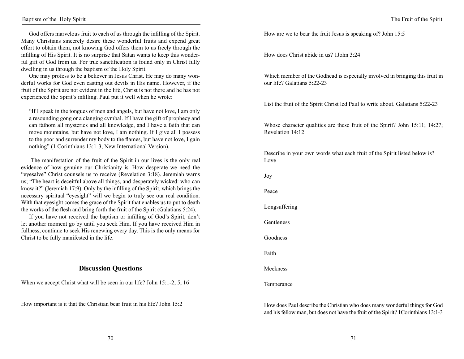God offers marvelous fruit to each of us through the infilling of the Spirit. Many Christians sincerely desire these wonderful fruits and expend great effort to obtain them, not knowing God offers them to us freely through the in filling of His Spirit. It is no surprise that Satan wants to keep this wonderful gift of God from us. For true sanctification is found only in Christ fully dwelling in us through the baptism of the Holy Spirit.

One may profess to be a believer in Jesus Christ. He may do many wonderful works for God even casting out devils in His name. However, if the fruit of the Spirit are not evident in the life, Christ is not there and he has not experienced the Spirit's infilling. Paul put it well when he wrote:

"If I speak in the tongues of men and angels, but have not love, I am only a resounding gong or a clanging cymbal. If I have the gift of prophecy and can fathom all mysteries and all knowledge, and I have a faith that can move mountains, but have not love, I am nothing. If I give all I possess to the poor and surrender my body to the flames, but have not love, I gain nothing" (1 Corinthians 13:1-3, New International Version).

 The manifestation of the fruit of the Spirit in our lives is the only real evidence of how genuine our Christianity is. How desperate we need the "eyesalve" Christ counsels us to receive (Revelation 3:18). Jeremiah warns us; "The heart is deceitful above all things, and desperately wicked: who can know it?" (Jeremiah 17:9). Only by the infilling of the Spirit, which brings the necessary spiritual "eyesight" will we begin to truly see our real condition. With that eyesight comes the grace of the Spirit that enables us to put to death the works of the flesh and bring forth the fruit of the Spirit (Galatians  $5:24$ ).

If you have not received the baptism or infilling of God's Spirit, don't let another moment go by until you seek Him. If you have received Him in fullness, continue to seek His renewing every day. This is the only means for Christ to be fully manifested in the life.

# **Discussion Questions**

When we accept Christ what will be seen in our life? John 15:1-2, 5, 16

How important is it that the Christian bear fruit in his life? John 15:2

How are we to bear the fruit Jesus is speaking of? John 15:5

How does Christ abide in us? 1John 3:24

Which member of the Godhead is especially involved in bringing this fruit in our life? Galatians 5:22-23

List the fruit of the Spirit Christ led Paul to write about. Galatians 5:22-23

Whose character qualities are these fruit of the Spirit? John 15:11; 14:27; Revelation 14:12

Describe in your own words what each fruit of the Spirit listed below is? Love

Joy

Peace

Longsuffering

Gentleness

Goodness

Faith

Meekness

Temperance

How does Paul describe the Christian who does many wonderful things for God and his fellow man, but does not have the fruit of the Spirit? 1Corinthians 13:1-3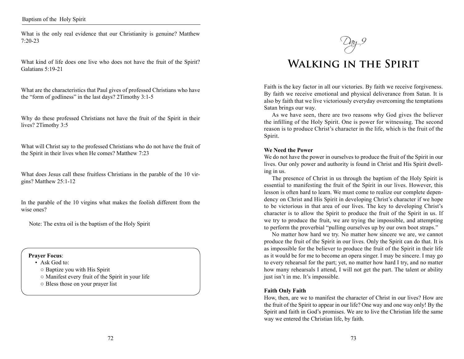What is the only real evidence that our Christianity is genuine? Matthew 7:20-23

What kind of life does one live who does not have the fruit of the Spirit? Galatians 5:19-21

What are the characteristics that Paul gives of professed Christians who have the "form of godliness" in the last days? 2Timothy 3:1-5

Why do these professed Christians not have the fruit of the Spirit in their lives? 2Timothy 3:5

What will Christ say to the professed Christians who do not have the fruit of the Spirit in their lives when He comes? Matthew 7:23

What does Jesus call these fruitless Christians in the parable of the 10 virgins? Matthew 25:1-12

In the parable of the 10 virgins what makes the foolish different from the wise ones?

Note: The extra oil is the baptism of the Holy Spirit

### **Prayer Focus**:

- Ask God to:
	- Baptize you with His Spirit
	- Manifest every fruit of the Spirit in your life
	- Bless those on your prayer list

# Day 9

# **Walking in the Spirit**

Faith is the key factor in all our victories. By faith we receive forgiveness. By faith we receive emotional and physical deliverance from Satan. It is also by faith that we live victoriously everyday overcoming the temptations Satan brings our way.

As we have seen, there are two reasons why God gives the believer the infilling of the Holy Spirit. One is power for witnessing. The second reason is to produce Christ's character in the life, which is the fruit of the Spirit.

### **We Need the Power**

We do not have the power in ourselves to produce the fruit of the Spirit in our lives. Our only power and authority is found in Christ and His Spirit dwelling in us.

The presence of Christ in us through the baptism of the Holy Spirit is essential to manifesting the fruit of the Spirit in our lives. However, this lesson is often hard to learn. We must come to realize our complete dependency on Christ and His Spirit in developing Christ's character if we hope to be victorious in that area of our lives. The key to developing Christ's character is to allow the Spirit to produce the fruit of the Spirit in us. If we try to produce the fruit, we are trying the impossible, and attempting to perform the proverbial "pulling ourselves up by our own boot straps."

No matter how hard we try. No matter how sincere we are, we cannot produce the fruit of the Spirit in our lives. Only the Spirit can do that. It is as impossible for the believer to produce the fruit of the Spirit in their life as it would be for me to become an opera singer. I may be sincere. I may go to every rehearsal for the part; yet, no matter how hard I try, and no matter how many rehearsals I attend, I will not get the part. The talent or ability just isn't in me. It's impossible.

### **Faith Only Faith**

How, then, are we to manifest the character of Christ in our lives? How are the fruit of the Spirit to appear in our life? One way and one way only! By the Spirit and faith in God's promises. We are to live the Christian life the same way we entered the Christian life, by faith.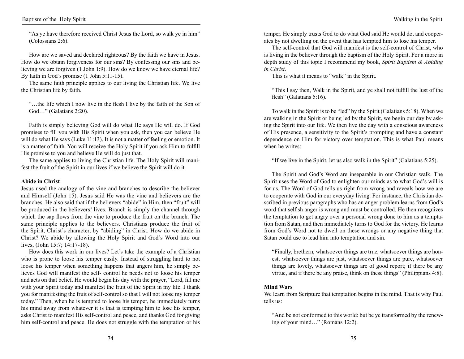"As ye have therefore received Christ Jesus the Lord, so walk ye in him" (Colossians 2:6).

How are we saved and declared righteous? By the faith we have in Jesus. How do we obtain forgiveness for our sins? By confessing our sins and believing we are forgiven (1 John 1:9). How do we know we have eternal life? By faith in God's promise (1 John 5:11-15).

The same faith principle applies to our living the Christian life. We live the Christian life by faith.

"...the life which I now live in the flesh I live by the faith of the Son of God…" (Galatians 2:20).

Faith is simply believing God will do what He says He will do. If God promises to fill you with His Spirit when you ask, then you can believe He will do what He says (Luke 11:13). It is not a matter of feeling or emotion. It is a matter of faith. You will receive the Holy Spirit if you ask Him to fulfill His promise to you and believe He will do just that.

The same applies to living the Christian life. The Holy Spirit will manifest the fruit of the Spirit in our lives if we believe the Spirit will do it.

### **Abide in Christ**

Jesus used the analogy of the vine and branches to describe the believer and Himself (John 15). Jesus said He was the vine and believers are the branches. He also said that if the believers "abide" in Him, then "fruit" will be produced in the believers' lives. Branch is simply the channel through which the sap flows from the vine to produce the fruit on the branch. The same principle applies to the believers. Christians produce the fruit of the Spirit, Christ's character, by "abiding" in Christ. How do we abide in Christ? We abide by allowing the Holy Spirit and God's Word into our lives, (John 15:7; 14:17-18).

How does this work in our lives? Let's take the example of a Christian who is prone to loose his temper easily. Instead of struggling hard to not loose his temper when something happens that angers him, he simply believes God will manifest the self- control he needs not to loose his temper and acts on that belief. He would begin his day with the prayer, "Lord, fill me with your Spirit today and manifest the fruit of the Spirit in my life. I thank you for manifesting the fruit of self-control so that I will not loose my temper today." Then, when he is tempted to loose his temper, he immediately turns his mind away from whatever it is that is tempting him to lose his temper, asks Christ to manifest His self-control and peace, and thanks God for giving him self-control and peace. He does not struggle with the temptation or his

temper. He simply trusts God to do what God said He would do, and cooperates by not dwelling on the event that has tempted him to lose his temper.

The self-control that God will manifest is the self-control of Christ, who is living in the believer through the baptism of the Holy Spirit. For a more in depth study of this topic I recommend my book, *Spirit Baptism & Abiding in Christ*.

This is what it means to "walk" in the Spirit.

"This I say then, Walk in the Spirit, and ye shall not fulfill the lust of the flesh" (Galatians 5:16).

To walk in the Spirit is to be "led" by the Spirit (Galatians 5:18). When we are walking in the Spirit or being led by the Spirit, we begin our day by asking the Spirit into our life. We then live the day with a conscious awareness of His presence, a sensitivity to the Spirit's prompting and have a constant dependence on Him for victory over temptation. This is what Paul means when he writes:

"If we live in the Spirit, let us also walk in the Spirit" (Galatians 5:25).

The Spirit and God's Word are inseparable in our Christian walk. The Spirit uses the Word of God to enlighten our minds as to what God's will is for us. The Word of God tells us right from wrong and reveals how we are to cooperate with God in our everyday living. For instance, the Christian described in previous paragraphs who has an anger problem learns from God's word that selfish anger is wrong and must be controlled. He then recognizes the temptation to get angry over a personal wrong done to him as a temptation from Satan, and then immediately turns to God for the victory. He learns from God's Word not to dwell on these wrongs or any negative thing that Satan could use to lead him into temptation and sin.

"Finally, brethern, whatsoever things are true, whatsoever things are honest, whatsoever things are just, whatsoever things are pure, whatsoever things are lovely, whatsoever things are of good report; if there be any virtue, and if there be any praise, think on these things" (Philippians 4:8).

### **Mind Wars**

We learn from Scripture that temptation begins in the mind. That is why Paul tells us:

"And be not conformed to this world: but be ye transformed by the renewing of your mind…" (Romans 12:2).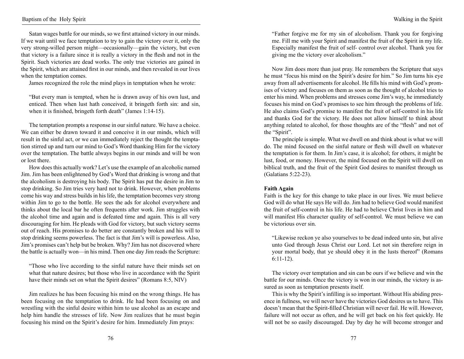Satan wages battle for our minds, so we first attained victory in our minds. If we wait until we face temptation to try to gain the victory over it, only the very strong-willed person might—occasionally—gain the victory, but even that victory is a failure since it is really a victory in the flesh and not in the Spirit. Such victories are dead works. The only true victories are gained in the Spirit, which are attained first in our minds, and then revealed in our lives when the temptation comes.

James recognized the role the mind plays in temptation when he wrote:

"But every man is tempted, when he is drawn away of his own lust, and enticed. Then when lust hath conceived, it bringeth forth sin: and sin, when it is finished, bringeth forth death" (James  $1:14-15$ ).

The temptation prompts a response in our sinful nature. We have a choice. We can either be drawn toward it and conceive it in our minds, which will result in the sinful act, or we can immediately reject the thought the temptation stirred up and turn our mind to God's Word thanking Him for the victory over the temptation. The battle always begins in our minds and will be won or lost there.

How does this actually work? Let's use the example of an alcoholic named Jim. Jim has been enlightened by God's Word that drinking is wrong and that the alcoholism is destroying his body. The Spirit has put the desire in Jim to stop drinking. So Jim tries very hard not to drink. However, when problems come his way and stress builds in his life, the temptation becomes very strong within Jim to go to the bottle. He sees the ads for alcohol everywhere and thinks about the local bar he often frequents after work. Jim struggles with the alcohol time and again and is defeated time and again. This is all very discouraging for him. He pleads with God for victory, but such victory seems out of reach. His promises to do better are constantly broken and his will to stop drinking seems powerless. The fact is that Jim's will is powerless. Also, Jim's promises can't help but be broken. Why? Jim has not discovered where the battle is actually won—in his mind. Then one day Jim reads the Scripture:

"Those who live according to the sinful nature have their minds set on what that nature desires; but those who live in accordance with the Spirit have their minds set on what the Spirit desires" (Romans 8:5, NIV)

Jim realizes he has been focusing his mind on the wrong things. He has been focusing on the temptation to drink. He had been focusing on and wrestling with the sinful desire within him to use alcohol as an escape and help him handle the stresses of life. Now Jim realizes that he must begin focusing his mind on the Spirit's desire for him. Immediately Jim prays:

"Father forgive me for my sin of alcoholism. Thank you for forgiving me. Fill me with your Spirit and manifest the fruit of the Spirit in my life. Especially manifest the fruit of self- control over alcohol. Thank you for giving me the victory over alcoholism."

Now Jim does more than just pray. He remembers the Scripture that says he must "focus his mind on the Spirit's desire for him." So Jim turns his eye away from all advertisements for alcohol. He fills his mind with God's promises of victory and focuses on them as soon as the thought of alcohol tries to enter his mind. When problems and stresses come Jim's way, he immediately focuses his mind on God's promises to see him through the problems of life. He also claims God's promise to manifest the fruit of self-control in his life and thanks God for the victory. He does not allow himself to think about anything related to alcohol, for those thoughts are of the "flesh" and not of the "Spirit".

The principle is simple. What we dwell on and think about is what we will do. The mind focused on the sinful nature or flesh will dwell on whatever the temptation is for them. In Jim's case, it is alcohol; for others, it might be lust, food, or money. However, the mind focused on the Spirit will dwell on biblical truth, and the fruit of the Spirit God desires to manifest through us (Galatians 5:22-23).

### **Faith Again**

Faith is the key for this change to take place in our lives. We must believe God will do what He says He will do. Jim had to believe God would manifest the fruit of self-control in his life. He had to believe Christ lives in him and will manifest His character quality of self-control. We must believe we can be victorious over sin.

"Likewise reckon ye also yourselves to be dead indeed unto sin, but alive unto God through Jesus Christ our Lord. Let not sin therefore reign in your mortal body, that ye should obey it in the lusts thereof" (Romans 6:11-12).

The victory over temptation and sin can be ours if we believe and win the battle for our minds. Once the victory is won in our minds, the victory is assured as soon as temptation presents itself.

This is why the Spirit's infilling is so important. Without His abiding presence in fullness, we will never have the victories God desires us to have. This doesn't mean that the Spirit-filled Christian will never fail. He will. However, failure will not occur as often, and he will get back on his feet quickly. He will not be so easily discouraged. Day by day he will become stronger and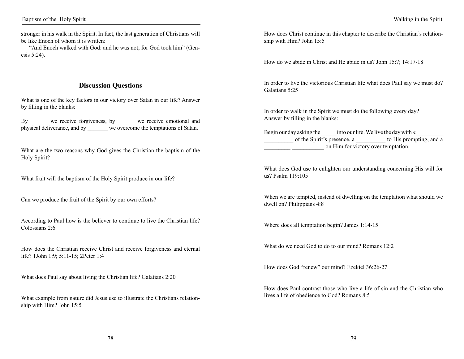stronger in his walk in the Spirit. In fact, the last generation of Christians will be like Enoch of whom it is written:

"And Enoch walked with God: and he was not; for God took him" (Genesis 5:24).

## **Discussion Questions**

What is one of the key factors in our victory over Satan in our life? Answer by filling in the blanks:

By *we receive forgiveness, by we receive emotional and* physical deliverance, and by *we overcome the temptations of Satan.* 

What are the two reasons why God gives the Christian the baptism of the Holy Spirit?

What fruit will the baptism of the Holy Spirit produce in our life?

Can we produce the fruit of the Spirit by our own efforts?

According to Paul how is the believer to continue to live the Christian life? Colossians 2:6

How does the Christian receive Christ and receive forgiveness and eternal life? 1John 1:9; 5:11-15; 2Peter 1:4

What does Paul say about living the Christian life? Galatians 2:20

What example from nature did Jesus use to illustrate the Christians relationship with Him? John 15:5

How does Christ continue in this chapter to describe the Christian's relationship with Him? John 15:5

How do we abide in Christ and He abide in us? John 15:7; 14:17-18

In order to live the victorious Christian life what does Paul say we must do? Galatians 5:25

In order to walk in the Spirit we must do the following every day? Answer by filling in the blanks:

Begin our day asking the *into our life.* We live the day with *a \_\_\_\_\_\_\_\_\_\_* of the Spirit's presence, a *\_\_\_\_\_\_\_\_\_\_* to His prompting, and a on Him for victory over temptation.

What does God use to enlighten our understanding concerning His will for us? Psalm 119:105

When we are tempted, instead of dwelling on the temptation what should we dwell on? Philippians 4:8

Where does all temptation begin? James 1:14-15

What do we need God to do to our mind? Romans 12:2

How does God "renew" our mind? Ezekiel 36:26-27

How does Paul contrast those who live a life of sin and the Christian who lives a life of obedience to God? Romans 8:5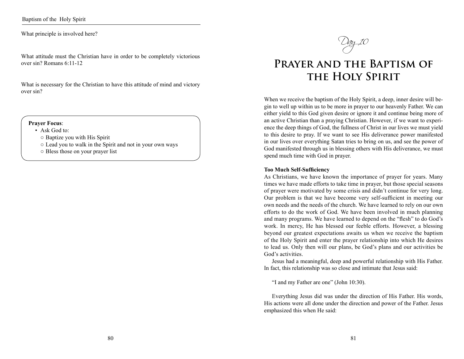Baptism of the Holy Spirit

What principle is involved here?

What attitude must the Christian have in order to be completely victorious over sin? Romans 6:11-12

What is necessary for the Christian to have this attitude of mind and victory over sin?

### **Prayer Focus**:

• Ask God to:

Baptize you with His Spirit

Lead you to walk in the Spirit and not in your own ways

Bless those on your prayer list



# **Prayer and the Baptism of the Holy Spirit**

When we receive the baptism of the Holy Spirit, a deep, inner desire will begin to well up within us to be more in prayer to our heavenly Father. We can either yield to this God given desire or ignore it and continue being more of an active Christian than a praying Christian. However, if we want to experience the deep things of God, the fullness of Christ in our lives we must yield to this desire to pray. If we want to see His deliverance power manifested in our lives over everything Satan tries to bring on us, and see the power of God manifested through us in blessing others with His deliverance, we must spend much time with God in prayer.

### **Too Much Self-Sufficiency**

As Christians, we have known the importance of prayer for years. Many times we have made efforts to take time in prayer, but those special seasons of prayer were motivated by some crisis and didn't continue for very long. Our problem is that we have become very self-sufficient in meeting our own needs and the needs of the church. We have learned to rely on our own efforts to do the work of God. We have been involved in much planning and many programs. We have learned to depend on the "flesh" to do God's work. In mercy, He has blessed our feeble efforts. However, a blessing beyond our greatest expectations awaits us when we receive the baptism of the Holy Spirit and enter the prayer relationship into which He desires to lead us. Only then will our plans, be God's plans and our activities be God's activities.

Jesus had a meaningful, deep and powerful relationship with His Father. In fact, this relationship was so close and intimate that Jesus said:

"I and my Father are one" (John 10:30).

Everything Jesus did was under the direction of His Father. His words, His actions were all done under the direction and power of the Father. Jesus emphasized this when He said: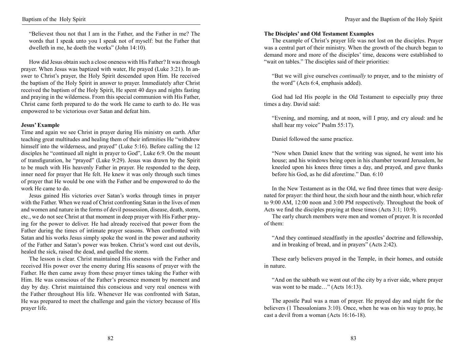"Believest thou not that I am in the Father, and the Father in me? The words that I speak unto you I speak not of myself: but the Father that dwelleth in me, he doeth the works" (John 14:10).

How did Jesus obtain such a close oneness with His Father? It was through prayer. When Jesus was baptized with water, He prayed (Luke 3:21). In answer to Christ's prayer, the Holy Spirit descended upon Him. He received the baptism of the Holy Spirit in answer to prayer. Immediately after Christ received the baptism of the Holy Spirit, He spent 40 days and nights fasting and praying in the wilderness. From this special communion with His Father, Christ came forth prepared to do the work He came to earth to do. He was empowered to be victorious over Satan and defeat him.

### **Jesus' Example**

Time and again we see Christ in prayer during His ministry on earth. After teaching great multitudes and healing them of their infirmities He "withdrew" himself into the wilderness, and prayed" (Luke 5:16). Before calling the 12 disciples he "continued all night in prayer to God", Luke 6:9. On the mount of transfiguration, he "prayed" (Luke 9:29). Jesus was drawn by the Spirit to be much with His heavenly Father in prayer. He responded to the deep, inner need for prayer that He felt. He knew it was only through such times of prayer that He would be one with the Father and be empowered to do the work He came to do.

Jesus gained His victories over Satan's works through times in prayer with the Father. When we read of Christ confronting Satan in the lives of men and women and nature in the forms of devil possession, disease, death, storm, etc., we do not see Christ at that moment in deep prayer with His Father praying for the power to deliver. He had already received that power from the Father during the times of intimate prayer seasons. When confronted with Satan and his works Jesus simply spoke the word in the power and authority of the Father and Satan's power was broken. Christ's word cast out devils, healed the sick, raised the dead, and quelled the storm.

The lesson is clear. Christ maintained His oneness with the Father and received His power over the enemy during His seasons of prayer with the Father. He then came away from these prayer times taking the Father with Him. He was conscious of the Father's presence moment by moment and day by day. Christ maintained this conscious and very real oneness with the Father throughout His life. Whenever He was confronted with Satan, He was prepared to meet the challenge and gain the victory because of His prayer life.

### **The Disciples' and Old Testament Examples**

The example of Christ's prayer life was not lost on the disciples. Prayer was a central part of their ministry. When the growth of the church began to demand more and more of the disciples' time, deacons were established to "wait on tables." The disciples said of their priorities:

"But we will give ourselves *continually* to prayer, and to the ministry of the word" (Acts 6:4, emphasis added).

God had led His people in the Old Testament to especially pray three times a day. David said:

"Evening, and morning, and at noon, will I pray, and cry aloud: and he shall hear my voice" Psalm 55:17).

Daniel followed the same practice.

"Now when Daniel knew that the writing was signed, he went into his house; and his windows being open in his chamber toward Jerusalem, he kneeled upon his knees three times a day, and prayed, and gave thanks before his God, as he did aforetime." Dan. 6:10

In the New Testament as in the Old, we find three times that were designated for prayer: the third hour, the sixth hour and the ninth hour, which refer to 9:00 AM, 12:00 noon and 3:00 PM respectively. Throughout the book of Acts we find the disciples praying at these times  $(Acts 3:1; 10:9)$ .

The early church members were men and women of prayer. It is recorded of them:

"And they continued steadfastly in the apostles' doctrine and fellowship, and in breaking of bread, and in prayers" (Acts 2:42).

These early believers prayed in the Temple, in their homes, and outside in nature.

"And on the sabbath we went out of the city by a river side, where prayer was wont to be made..." (Acts 16:13).

The apostle Paul was a man of prayer. He prayed day and night for the believers (1 Thessalonians 3:10). Once, when he was on his way to pray, he cast a devil from a woman (Acts 16:16-18).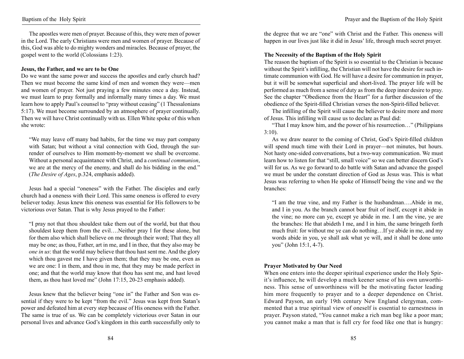The apostles were men of prayer. Because of this, they were men of power in the Lord. The early Christians were men and women of prayer. Because of this, God was able to do mighty wonders and miracles. Because of prayer, the gospel went to the world (Colossians 1:23).

### **Jesus, the Father, and we are to be One**

Do we want the same power and success the apostles and early church had? Then we must become the same kind of men and women they were—men and women of prayer. Not just praying a few minutes once a day. Instead, we must learn to pray formally and informally many times a day. We must learn how to apply Paul's counsel to "pray without ceasing" (1 Thessalonians 5:17). We must become surrounded by an atmosphere of prayer continually. Then we will have Christ continually with us. Ellen White spoke of this when she wrote:

"We may leave off many bad habits, for the time we may part company with Satan; but without a vital connection with God, through the surrender of ourselves to Him moment-by-moment we shall be overcome. Without a personal acquaintance with Christ, and a *continual communion*, we are at the mercy of the enemy, and shall do his bidding in the end." (*The Desire of Ages*, p.324, emphasis added).

Jesus had a special "oneness" with the Father. The disciples and early church had a oneness with their Lord. This same oneness is offered to every believer today. Jesus knew this oneness was essential for His followers to be victorious over Satan. That is why Jesus prayed to the Father:

"I pray not that thou shouldest take them out of the world, but that thou shouldest keep them from the evil….Neither pray I for these alone, but for them also which shall believe on me through their word; That they all may be one; as thou, Father, art in me, and I in thee, that they also may be *one in us*: that the world may believe that thou hast sent me. And the glory which thou gavest me I have given them; that they may be one, even as we are one: I in them, and thou in me, that they may be made perfect in one; and that the world may know that thou has sent me, and hast loved them, as thou hast loved me" (John 17:15, 20-23 emphasis added).

Jesus knew that the believer being "one in" the Father and Son was essential if they were to be kept "from the evil." Jesus was kept from Satan's power and defeated him at every step because of His oneness with the Father. The same is true of us. We can be completely victorious over Satan in our personal lives and advance God's kingdom in this earth successfully only to the degree that we are "one" with Christ and the Father. This oneness will happen in our lives just like it did in Jesus' life, through much secret prayer.

### **The Necessity of the Baptism of the Holy Spirit**

The reason the baptism of the Spirit is so essential to the Christian is because without the Spirit's infilling, the Christian will not have the desire for such intimate communion with God. He will have a desire for communion in prayer, but it will be somewhat superficial and short-lived. The prayer life will be performed as much from a sense of duty as from the deep inner desire to pray. See the chapter "Obedience from the Heart" for a further discussion of the obedience of the Spirit-filled Christian verses the non-Spirit-filled believer.

The infilling of the Spirit will cause the believer to desire more and more of Jesus. This infilling will cause us to declare as Paul did:

"That I may know him, and the power of his resurrection…" (Philippians 3:10).

As we draw nearer to the coming of Christ, God's Spirit-filled children will spend much time with their Lord in prayer—not minutes, but hours. Not hasty one-sided conversations, but a two-way communication. We must learn how to listen for that "still, small voice" so we can better discern God's will for us. As we go forward to do battle with Satan and advance the gospel we must be under the constant direction of God as Jesus was. This is what Jesus was referring to when He spoke of Himself being the vine and we the branches:

"I am the true vine, and my Father is the husbandman….Abide in me, and I in you. As the branch cannot bear fruit of itself, except it abide in the vine; no more can ye, except ye abide in me. I am the vine, ye are the branches: He that abideth I me, and I in him, the same bringeth forth much fruit: for without me ye can do nothing…If ye abide in me, and my words abide in you, ye shall ask what ye will, and it shall be done unto you" (John 15:1, 4-7).

## **Prayer Motivated by Our Need**

When one enters into the deeper spiritual experience under the Holy Spirit's influence, he will develop a much keener sense of his own unworthiness. This sense of unworthiness will be the motivating factor leading him more frequently to prayer and to a deeper dependence on Christ. Edward Payson, an early 19th century New England clergyman, commented that a true spiritual view of oneself is essential to earnestness in prayer. Payson stated, "You cannot make a rich man beg like a poor man; you cannot make a man that is full cry for food like one that is hungry: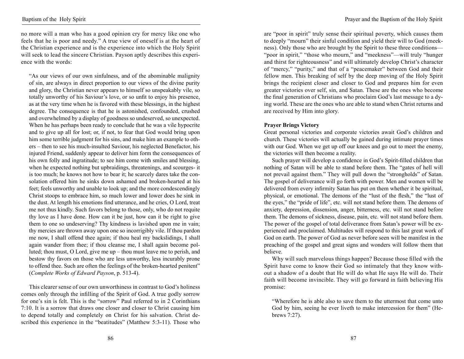no more will a man who has a good opinion cry for mercy like one who feels that he is poor and needy." A true view of oneself is at the heart of the Christian experience and is the experience into which the Holy Spirit will seek to lead the sincere Christian. Payson aptly describes this experience with the words:

"As our views of our own sinfulness, and of the abominable malignity of sin, are always in direct proportion to our views of the divine purity and glory, the Christian never appears to himself so unspeakably vile, so totally unworthy of his Saviour's love, or so unfit to enjoy his presence, as at the very time when he is favored with these blessings, in the highest degree. The consequence is that he is astonished, confounded, crushed and overwhelmed by a display of goodness so undeserved, so unexpected. When he has perhaps been ready to conclude that he was a vile hypocrite and to give up all for lost; or, if not, to fear that God would bring upon him some terrible judgment for his sins, and make him an example to others – then to see his much-insulted Saviour, his neglected Benefactor, his injured Friend, suddenly appear to deliver him form the consequences of his own folly and ingratitude; to see him come with smiles and blessing, when he expected nothing but upbraidings, threatenings, and scourges- it is too much; he knows not how to bear it; he scarcely dares take the consolation offered him he sinks down ashamed and broken-hearted at his feet; feels unworthy and unable to look up; and the more condescendingly Christ stoops to embrace him, so much lower and lower does he sink in the dust. At length his emotions find utterance, and he cries, O Lord, treat me not thus kindly. Such favors belong to those, only, who do not requite thy love as I have done. How can it be just, how can it be right to give them to one so undeserving? Thy kindness is lavished upon me in vain; thy mercies are thrown away upon one so incorrigibly vile. If thou pardon me now, I shall offend thee again; if thou heal my backslidings, I shall again wander from thee; if thou cleanse me, I shall again become polluted; thou must, O Lord, give me up – thou must leave me to perish, and bestow thy favors on those who are less unworthy, less incurably prone to offend thee. Such are often the feelings of the broken-hearted penitent" (*Complete Works of Edward Payson*, p. 513-4).

This clearer sense of our own unworthiness in contrast to God's holiness comes only through the infilling of the Spirit of God. A true godly sorrow for one's sin is felt. This is the "sorrow" Paul referred to in 2 Corinthians 7:10. It is a sorrow that draws one closer and closer to Christ causing him to depend totally and completely on Christ for his salvation. Christ described this experience in the "beatitudes" (Matthew 5:3-11). Those who

are "poor in spirit" truly sense their spiritual poverty, which causes them to deeply "mourn" their sinful condition and yield their will to God (meekness). Only those who are brought by the Spirit to these three conditions— "poor in spirit," "those who mourn," and "meekness"—will truly "hunger and thirst for righteousness" and will ultimately develop Christ's character of "mercy," "purity," and that of a "peacemaker" between God and their fellow men. This breaking of self by the deep moving of the Holy Spirit brings the recipient closer and closer to God and prepares him for even greater victories over self, sin, and Satan. These are the ones who become the final generation of Christians who proclaim God's last message to a dying world. These are the ones who are able to stand when Christ returns and are received by Him into glory.

### **Prayer Brings Victory**

Great personal victories and corporate victories await God's children and church. These victories will actually be gained during intimate prayer times with our God. When we get up off our knees and go out to meet the enemy, the victories will then become a reality.

Such prayer will develop a confidence in God's Spirit-filled children that nothing of Satan will be able to stand before them. The "gates of hell will not prevail against them." They will pull down the "strongholds" of Satan. The gospel of deliverance will go forth with power. Men and women will be delivered from every infirmity Satan has put on them whether it be spiritual, physical, or emotional. The demons of the "lust of the flesh," the "lust of the eyes," the "pride of life", etc. will not stand before them. The demons of anxiety, depression, dissension, anger, bitterness, etc. will not stand before them. The demons of sickness, disease, pain, etc. will not stand before them. The power of the gospel of total deliverance from Satan's power will be experienced and proclaimed. Multitudes will respond to this last great work of God on earth. The power of God as never before seen will be manifest in the preaching of the gospel and great signs and wonders will follow them that believe.

Why will such marvelous things happen? Because those filled with the Spirit have come to know their God so intimately that they know without a shadow of a doubt that He will do what He says He will do. Their faith will become invincible. They will go forward in faith believing His promise:

"Wherefore he is able also to save them to the uttermost that come unto God by him, seeing he ever liveth to make intercession for them" (Hebrews 7:27).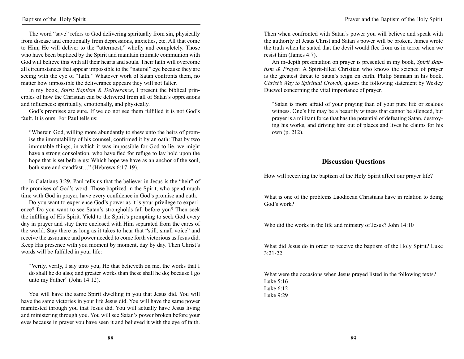The word "save" refers to God delivering spiritually from sin, physically from disease and emotionally from depressions, anxieties, etc. All that come to Him, He will deliver to the "uttermost," wholly and completely. Those who have been baptized by the Spirit and maintain intimate communion with God will believe this with all their hearts and souls. Their faith will overcome all circumstances that appear impossible to the "natural" eye because they are seeing with the eye of "faith." Whatever work of Satan confronts them, no matter how impossible the deliverance appears they will not falter.

In my book, *Spirit Baptism & Deliverance*, I present the biblical principles of how the Christian can be delivered from all of Satan's oppressions and influences: spiritually, emotionally, and physically.

God's promises are sure. If we do not see them fulfilled it is not God's fault. It is ours. For Paul tells us:

"Wherein God, willing more abundantly to shew unto the heirs of promise the immutability of his counsel, confirmed it by an oath: That by two immutable things, in which it was impossible for God to lie, we might have a strong consolation, who have fled for refuge to lay hold upon the hope that is set before us: Which hope we have as an anchor of the soul, both sure and steadfast…" (Hebrews 6:17-19).

In Galatians 3:29, Paul tells us that the believer in Jesus is the "heir" of the promises of God's word. Those baptized in the Spirit, who spend much time with God in prayer, have every confidence in God's promise and oath.

Do you want to experience God's power as it is your privilege to experience? Do you want to see Satan's strongholds fall before you? Then seek the infilling of His Spirit. Yield to the Spirit's prompting to seek God every day in prayer and stay there enclosed with Him separated from the cares of the world. Stay there as long as it takes to hear that "still, small voice" and receive the assurance and power needed to come forth victorious as Jesus did. Keep His presence with you moment by moment, day by day. Then Christ's words will be fulfilled in your life:

"Verily, verily, I say unto you, He that believeth on me, the works that I do shall he do also; and greater works than these shall he do; because I go unto my Father" (John 14:12).

You will have the same Spirit dwelling in you that Jesus did. You will have the same victories in your life Jesus did. You will have the same power manifested through you that Jesus did. You will actually have Jesus living and ministering through you. You will see Satan's power broken before your eyes because in prayer you have seen it and believed it with the eye of faith.

Then when confronted with Satan's power you will believe and speak with the authority of Jesus Christ and Satan's power will be broken. James wrote the truth when he stated that the devil would flee from us in terror when we resist him (James 4:7).

An in-depth presentation on prayer is presented in my book, *Spirit Baptism & Prayer*. A Spirit-filled Christian who knows the science of prayer is the greatest threat to Satan's reign on earth. Philip Samaan in his book, *Christ's Way to Spiritual Growth*, quotes the following statement by Wesley Duewel concerning the vital importance of prayer.

"Satan is more afraid of your praying than of your pure life or zealous witness. One's life may be a beautify witness that cannot be silenced, but prayer is a militant force that has the potential of defeating Satan, destroying his works, and driving him out of places and lives he claims for his own (p. 212).

## **Discussion Questions**

How will receiving the baptism of the Holy Spirit affect our prayer life?

What is one of the problems Laodicean Christians have in relation to doing God's work?

Who did the works in the life and ministry of Jesus? John 14:10

What did Jesus do in order to receive the baptism of the Holy Spirit? Luke 3:21-22

What were the occasions when Jesus prayed listed in the following texts? Luke  $5:16$ Luke 6:12 Luke  $9.29$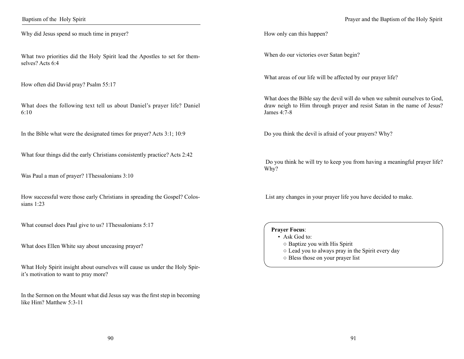Why did Jesus spend so much time in prayer?

What two priorities did the Holy Spirit lead the Apostles to set for themselves? Acts 6:4

How often did David pray? Psalm 55:17

What does the following text tell us about Daniel's prayer life? Daniel 6:10

In the Bible what were the designated times for prayer? Acts 3:1; 10:9

What four things did the early Christians consistently practice? Acts 2:42

Was Paul a man of prayer? 1Thessalonians 3:10

How successful were those early Christians in spreading the Gospel? Colossians 1:23

What counsel does Paul give to us? 1Thessalonians 5:17

What does Ellen White say about unceasing prayer?

What Holy Spirit insight about ourselves will cause us under the Holy Spirit's motivation to want to pray more?

In the Sermon on the Mount what did Jesus say was the first step in becoming like Him? Matthew 5:3-11

How only can this happen?

When do our victories over Satan begin?

What areas of our life will be affected by our prayer life?

What does the Bible say the devil will do when we submit ourselves to God, draw neigh to Him through prayer and resist Satan in the name of Jesus? James 4:7-8

Do you think the devil is afraid of your prayers? Why?

 Do you think he will try to keep you from having a meaningful prayer life? Why?

List any changes in your prayer life you have decided to make.

### **Prayer Focus**:

- Ask God to:
	- Baptize you with His Spirit
	- Lead you to always pray in the Spirit every day
	- Bless those on your prayer list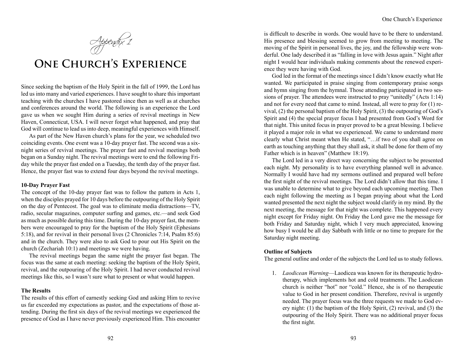Appendix 1

# **One Church's Experience**

Since seeking the baptism of the Holy Spirit in the fall of 1999, the Lord has led us into many and varied experiences. I have sought to share this important teaching with the churches I have pastored since then as well as at churches and conferences around the world. The following is an experience the Lord gave us when we sought Him during a series of revival meetings in New Haven, Connecticut, USA. I will never forget what happened, and pray that God will continue to lead us into deep, meaningful experiences with Himself.

As part of the New Haven church's plans for the year, we scheduled two coinciding events. One event was a 10-day prayer fast. The second was a sixnight series of revival meetings. The prayer fast and revival meetings both began on a Sunday night. The revival meetings were to end the following Friday while the prayer fast ended on a Tuesday, the tenth day of the prayer fast. Hence, the prayer fast was to extend four days beyond the revival meetings.

### **10-Day Prayer Fast**

The concept of the 10-day prayer fast was to follow the pattern in Acts 1, when the disciples prayed for 10 days before the outpouring of the Holy Spirit on the day of Pentecost. The goal was to eliminate media distractions—TV, radio, secular magazines, computer surfing and games, etc.—and seek God as much as possible during this time. During the 10-day prayer fast, the members were encouraged to pray for the baptism of the Holy Spirit (Ephesians 5:18), and for revival in their personal lives (2 Chronicles 7:14, Psalm 85:6) and in the church. They were also to ask God to pour out His Spirit on the church (Zechariah 10:1) and meetings we were having.

The revival meetings began the same night the prayer fast began. The focus was the same at each meeting: seeking the baptism of the Holy Spirit, revival, and the outpouring of the Holy Spirit. I had never conducted revival meetings like this, so I wasn't sure what to present or what would happen.

### **The Results**

The results of this effort of earnestly seeking God and asking Him to revive us far exceeded my expectations as pastor, and the expectations of those attending. During the first six days of the revival meetings we experienced the presence of God as I have never previously experienced Him. This encounter

is difficult to describe in words. One would have to be there to understand. His presence and blessing seemed to grow from meeting to meeting. The moving of the Spirit in personal lives, the joy, and the fellowship were wonderful. One lady described it as "falling in love with Jesus again." Night after night I would hear individuals making comments about the renewed experience they were having with God.

God led in the format of the meetings since I didn't know exactly what He wanted. We participated in praise singing from contemporary praise songs and hymn singing from the hymnal. Those attending participated in two sessions of prayer. The attendees were instructed to pray "unitedly" (Acts 1:14) and not for every need that came to mind. Instead, all were to pray for (1) revival, (2) the personal baptism of the Holy Spirit, (3) the outpouring of God's Spirit and (4) the special prayer focus I had presented from God's Word for that night. This united focus in prayer proved to be a great blessing. I believe it played a major role in what we experienced. We came to understand more clearly what Christ meant when He stated, "…if two of you shall agree on earth as touching anything that they shall ask, it shall be done for them of my Father which is in heaven" (Matthew 18:19).

The Lord led in a very direct way concerning the subject to be presented each night. My personality is to have everything planned well in advance. Normally I would have had my sermons outlined and prepared well before the first night of the revival meetings. The Lord didn't allow that this time. I was unable to determine what to give beyond each upcoming meeting. Then each night following the meeting as I began praying about what the Lord wanted presented the next night the subject would clarify in my mind. By the next meeting, the message for that night was complete. This happened every night except for Friday night. On Friday the Lord gave me the message for both Friday and Saturday night, which I very much appreciated, knowing how busy I would be all day Sabbath with little or no time to prepare for the Saturday night meeting.

### **Outline of Subjects**

The general outline and order of the subjects the Lord led us to study follows.

1. *Laodicean Warning*—Laodicea was known for its therapeutic hydrotherapy, which implements hot and cold treatments. The Laodicean church is neither "hot" nor "cold." Hence, she is of no therapeutic value to God in her present condition. Therefore, revival is urgently needed. The prayer focus was the three requests we made to God every night: (1) the baptism of the Holy Spirit, (2) revival, and (3) the outpouring of the Holy Spirit. There was no additional prayer focus the first night.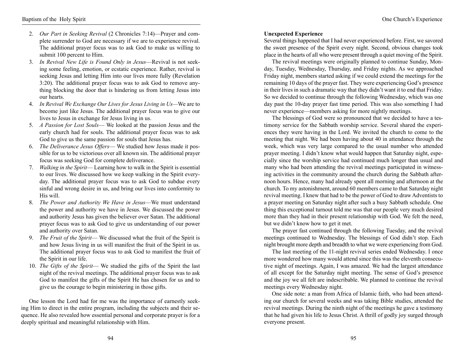- 2. *Our Part in Seeking Revival* (2 Chronicles 7:14)—Prayer and complete surrender to God are necessary if we are to experience revival. The additional prayer focus was to ask God to make us willing to submit 100 percent to Him.
- 3. *In Revival New Life is Found Only in Jesus*—Revival is not seeking some feeling, emotion, or ecstatic experience. Rather, revival is seeking Jesus and letting Him into our lives more fully (Revelation 3:20). The additional prayer focus was to ask God to remove anything blocking the door that is hindering us from letting Jesus into our hearts.
- 4. *In Revival We Exchange Our Lives for Jesus Living in Us—*We are to become just like Jesus. The additional prayer focus was to give our lives to Jesus in exchange for Jesus living in us.
- 5. *A Passion for Lost Souls* We looked at the passion Jesus and the early church had for souls. The additional prayer focus was to ask God to give us the same passion for souls that Jesus has.
- 6. *The Deliverance Jesus Offers* We studied how Jesus made it possible for us to be victorious over all known sin. The additional prayer focus was seeking God for complete deliverance.
- 7. *Walking in the Spirit* Learning how to walk in the Spirit is essential to our lives. We discussed how we keep walking in the Spirit everyday. The additional prayer focus was to ask God to subdue every sinful and wrong desire in us, and bring our lives into conformity to His will.
- 8. *The Power and Authority We Have in Jesus*—We must understand the power and authority we have in Jesus. We discussed the power and authority Jesus has given the believer over Satan. The additional prayer focus was to ask God to give us understanding of our power and authority over Satan.
- 9. *The Fruit of the Spirit* We discussed what the fruit of the Spirit is and how Jesus living in us will manifest the fruit of the Spirit in us. The additional prayer focus was to ask God to manifest the fruit of the Spirit in our life.
- 10. *The Gifts of the Spirit* We studied the gifts of the Spirit the last night of the revival meetings. The additional prayer focus was to ask God to manifest the gifts of the Spirit He has chosen for us and to give us the courage to begin ministering in those gifts.

One lesson the Lord had for me was the importance of earnestly seeking Him to direct in the entire program, including the subjects and their sequence. He also revealed how essential personal and corporate prayer is for a deeply spiritual and meaningful relationship with Him.

### **Unexpected Experience**

Several things happened that I had never experienced before. First, we savored the sweet presence of the Spirit every night. Second, obvious changes took place in the hearts of all who were present through a quiet moving of the Spirit.

The revival meetings were originally planned to continue Sunday, Monday, Tuesday, Wednesday, Thursday, and Friday nights. As we approached Friday night, members started asking if we could extend the meetings for the remaining 10 days of the prayer fast. They were experiencing God's presence in their lives in such a dramatic way that they didn't want it to end that Friday. So we decided to continue through the following Wednesday, which was one day past the 10-day prayer fast time period. This was also something I had never experience—members asking for more nightly meetings.

The blessings of God were so pronounced that we decided to have a testimony service for the Sabbath worship service. Several shared the experiences they were having in the Lord. We invited the church to come to the meeting that night. We had been having about 40 in attendance through the week, which was very large compared to the usual number who attended prayer meeting. I didn't know what would happen that Saturday night, especially since the worship service had continued much longer than usual and many who had been attending the revival meetings participated in witnessing activities in the community around the church during the Sabbath afternoon hours. Hence, many had already spent all morning and afternoon at the church. To my astonishment, around 60 members came to that Saturday night revival meeting. I knew that had to be the power of God to draw Adventists to a prayer meeting on Saturday night after such a busy Sabbath schedule. One thing this exceptional turnout told me was that our people very much desired more than they had in their present relationship with God. We felt the need, but we didn't know how to get it met.

The prayer fast continued through the following Tuesday, and the revival meetings continued to Wednesday. The blessings of God didn't stop. Each night brought more depth and breadth to what we were experiencing from God.

The last meeting of the 11-night revival series ended Wednesday. I once more wondered how many would attend since this was the eleventh consecutive night of meetings. Again, I was amazed. We had the largest attendance of all except for the Saturday night meeting. The sense of God's presence and the joy we all felt are indescribable. We planned to continue the revival meetings every Wednesday night.

One side note: a man from Africa of Islamic faith, who had been attending our church for several weeks and was taking Bible studies, attended the revival meetings. During the ninth night of the meetings he gave a testimony that he had given his life to Jesus Christ. A thrill of godly joy surged through everyone present.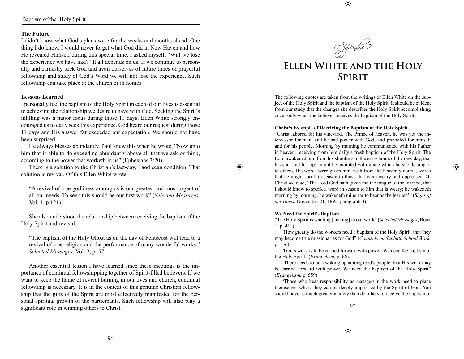Baptism of the Holy Spirit

### **The Future**

I didn't know what God's plans were for the weeks and months ahead. One thing I do know, I would never forget what God did in New Haven and how He revealed Himself during this special time. I asked myself, "Will we lose the experience we have had?" It all depends on us. If we continue to personally and earnestly seek God and avail ourselves of future times of prayerful fellowship and study of God's Word we will not lose the experience. Such fellowship can take place at the church or in homes.

### **Lessons Learned**

I personally feel the baptism of the Holy Spirit in each of our lives is essential to achieving the relationship we desire to have with God. Seeking the Spirit's infilling was a major focus during those 11 days. Ellen White strongly encouraged us to daily seek this experience. God heard our request during those 11 days and His answer far exceeded our expectation. We should not have been surprised.

He always blesses abundantly. Paul knew this when he wrote, "Now unto him that is able to do exceeding abundantly above all that we ask or think, according to the power that worketh in us" (Ephesians 3:20).

There is a solution to the Christian's last-day, Laodicean condition. That solution is revival. Of this Ellen White wrote:

"A revival of true godliness among us is our greatest and most urgent of all our needs. To seek this should be our first work" (*Selected Messages*, Vol. 1, p.121)

She also understood the relationship between receiving the baptism of the Holy Spirit and revival.

"The baptism of the Holy Ghost as on the day of Pentecost will lead to a revival of true religion and the performance of many wonderful works." *Selected Messages*, Vol. 2, p. 57

Another essential lesson I have learned since these meetings is the importance of continual fellowshipping together of Spirit-filled believers. If we want to keep the flame of revival burning in our lives and church, continual fellowship is necessary. It is in the context of this genuine Christian fellowship that the gifts of the Spirit are most effectively manifested for the personal spiritual growth of the participants. Such fellowship will also play a significant role in winning others to Christ. 97



 $\bigoplus$ 

# **Ellen White and the Holy SPIRIT**

The following quotes are taken from the writings of Ellen White on the subject of the Holy Spirit and the baptism of the Holy Spirit. It should be evident from our study that the changes she describes the Holy Spirit accomplishing occur only when the believer receives the baptism of the Holy Spirit.

#### **Christ's Example of Receiving the Baptism of the Holy Spirit**

"Christ labored for his vineyard. The Prince of heaven, he was yet the intercessor for man, and he had power with God, and prevailed for himself and for his people. Morning by morning he communicated with his Father in heaven, receiving from him daily a fresh baptism of the Holy Spirit. The Lord awakened him from his slumbers in the early hours of the new day, that his soul and his lips might be anointed with grace which he should impart to others. His words were given him fresh from the heavenly courts, words that he might speak in season to those that were weary and oppressed. Of Christ we read, 'The Lord God hath given me the tongue of the learned, that I should know to speak a word in season to him that is weary; he wakeneth morning by morning, he wakeneth mine ear to hear as the learned'" (*Signs of the Times*, November 21, 1895, paragraph 3).

### **We Need the Spirit's Baptism**

 $\bigodot$ 

"The Holy Spirit is wanting [lacking] in our work" (*Selected Messages*, Book 1, p. 411)

"How greatly do the workers need a baptism of the Holy Spirit, that they may become true missionaries for God" (*Counsels on Sabbath School Work,* p. 156).

"God's work is to be carried forward with power. We need the baptism of the Holy Spirit" (*Evangelism,* p. 66).

"There needs to be a waking up among God's people, that His work may be carried forward with power. We need the baptism of the Holy Spirit" (*Evangelism,* p. 559)

"Those who bear responsibility as managers in the work need to place themselves where they can be deeply impressed by the Spirit of God. You should have as much greater anxiety than do others to receive the baptism of  $\bigoplus$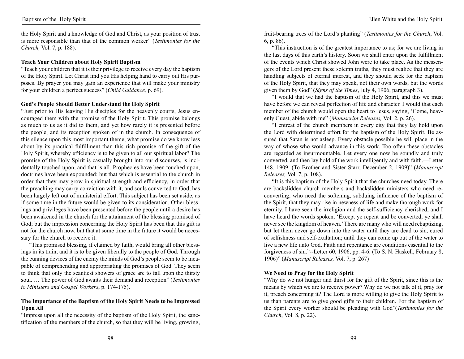the Holy Spirit and a knowledge of God and Christ, as your position of trust is more responsible than that of the common worker" (*Testimonies for the Church,* Vol. 7, p. 188).

### **Teach Your Children about Holy Spirit Baptism**

"Teach your children that it is their privilege to receive every day the baptism of the Holy Spirit. Let Christ nd you His helping hand to carry out His purposes. By prayer you may gain an experience that will make your ministry for your children a perfect success" (*Child Guidance,* p. 69).

## **God's People Should Better Understand the Holy Spirit**

"Just prior to His leaving His disciples for the heavenly courts, Jesus encouraged them with the promise of the Holy Spirit. This promise belongs as much to us as it did to them, and yet how rarely it is presented before the people, and its reception spoken of in the church. In consequence of this silence upon this most important theme, what promise do we know less about by its practical fulfillment than this rich promise of the gift of the Holy Spirit, whereby efficiency is to be given to all our spiritual labor? The promise of the Holy Spirit is casually brought into our discourses, is incidentally touched upon, and that is all. Prophecies have been touched upon, doctrines have been expounded: but that which is essential to the church in order that they may grow in spiritual strength and efficiency, in order that the preaching may carry conviction with it, and souls converted to God, has been largely left out of ministerial effort. This subject has been set aside, as if some time in the future would be given to its consideration. Other blessings and privileges have been presented before the people until a desire has been awakened in the church for the attainment of the blessing promised of God; but the impression concerning the Holy Spirit has been that this gift is not for the church now, but that at some time in the future it would be necessary for the church to receive it.

"This promised blessing, if claimed by faith, would bring all other blessings in its train, and it is to be given liberally to the people of God. Through the cunning devices of the enemy the minds of God's people seem to be incapable of comprehending and appropriating the promises of God. They seem to think that only the scantiest showers of grace are to fall upon the thirsty soul. … The power of God awaits their demand and reception" (*Testimonies to Ministers and Gospel Workers*, p. 174-175).

## **The Importance of the Baptism of the Holy Spirit Needs to be Impressed Upon All**

"Impress upon all the necessity of the baptism of the Holy Spirit, the sanctification of the members of the church, so that they will be living, growing,

fruit-bearing trees of the Lord's planting" (*Testimonies for the Church*, Vol. 6, p. 86).

"This instruction is of the greatest importance to us; for we are living in the last days of this earth's history. Soon we shall enter upon the fulfillment of the events which Christ showed John were to take place. As the messengers of the Lord present these solemn truths, they must realize that they are handling subjects of eternal interest, and they should seek for the baptism of the Holy Spirit, that they may speak, not their own words, but the words given them by God" (*Signs of the Times*, July 4, 1906, paragraph 3).

"I would that we had the baptism of the Holy Spirit, and this we must have before we can reveal perfection of life and character. I would that each member of the church would open the heart to Jesus, saying, 'Come, heavenly Guest, abide with me" (*Manuscript Releases,* Vol. 2, p. 26).

"I entreat of the church members in every city that they lay hold upon the Lord with determined effort for the baptism of the Holy Spirit. Be assured that Satan is not asleep. Every obstacle possible he will place in the way of whose who would advance in this work. Too often these obstacles are regarded as insurmountable. Let every one now be soundly and truly converted, and then lay hold of the work intelligently and with faith.—Letter 148, 1909. (To Brother and Sister Starr, December 2, 1909)" (*Manuscript Releases,* Vol. 7, p. 108).

"It is this baptism of the Holy Spirit that the churches need today. There are backslidden church members and backslidden ministers who need reconverting, who need the softening, subduing influence of the baptism of the Spirit, that they may rise in newness of life and make thorough work for eternity. I have seen the irreligion and the self-sufficiency cherished, and I have heard the words spoken, 'Except ye repent and be converted, ye shall never see the kingdom of heaven.' There are many who will need rebaptizing, but let them never go down into the water until they are dead to sin, cured of selfishness and self-exaltation; until they can come up out of the water to live a new life unto God. Faith and repentance are conditions essential to the forgiveness of sin."--Letter 60, 1906, pp. 4-6. (To S. N. Haskell, February 8, 1906)" (*Manuscript Releases,* Vol. 7, p. 267)

## **We Need to Pray for the Holy Spirit**

"Why do we not hunger and thirst for the gift of the Spirit, since this is the means by which we are to receive power? Why do we not talk of it, pray for it, preach concerning it? The Lord is more willing to give the Holy Spirit to us than parents are to give good gifts to their children. For the baptism of the Spirit every worker should be pleading with God"(*Testimonies for the Church*, Vol. 8, p. 22).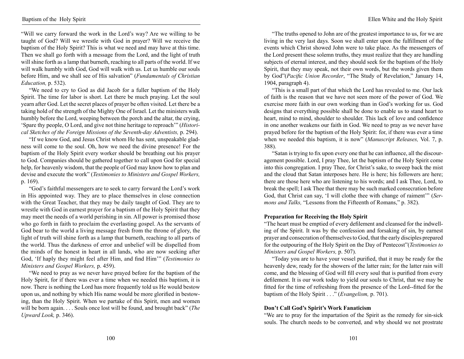"Will we carry forward the work in the Lord's way? Are we willing to be taught of God? Will we wrestle with God in prayer? Will we receive the baptism of the Holy Spirit? This is what we need and may have at this time. Then we shall go forth with a message from the Lord, and the light of truth will shine forth as a lamp that burneth, reaching to all parts of the world. If we will walk humbly with God, God will walk with us. Let us humble our souls before Him, and we shall see of His salvation" (*Fundamentals of Christian Education,* p. 532).

"We need to cry to God as did Jacob for a fuller baptism of the Holy Spirit. The time for labor is short. Let there be much praying. Let the soul yearn after God. Let the secret places of prayer be often visited. Let there be a taking hold of the strength of the Mighty One of Israel. Let the ministers walk humbly before the Lord, weeping between the porch and the altar, the crying, 'Spare thy people, O Lord, and give not thine heritage to reproach'" (*Historical Sketches of the Foreign Missions of the Seventh-day Adventists,* p. 294).

"If we know God, and Jesus Christ whom He has sent, unspeakable gladness will come to the soul. Oh, how we need the divine presence! For the baptism of the Holy Spirit every worker should be breathing out his prayer to God. Companies should be gathered together to call upon God for special help, for heavenly wisdom, that the people of God may know how to plan and devise and execute the work" (*Testimonies to Ministers and Gospel Workers,* p. 169).

"God's faithful messengers are to seek to carry forward the Lord's work in His appointed way. They are to place themselves in close connection with the Great Teacher, that they may be daily taught of God. They are to wrestle with God in earnest prayer for a baptism of the Holy Spirit that they may meet the needs of a world perishing in sin. All power is promised those who go forth in faith to proclaim the everlasting gospel. As the servants of God bear to the world a living message fresh from the throne of glory, the light of truth will shine forth as a lamp that burneth, reaching to all parts of the world. Thus the darkness of error and unbelief will be dispelled from the minds of the honest in heart in all lands, who are now seeking after God, 'If haply they might feel after Him, and find Him'" (*Testimonies to Ministers and Gospel Workers,* p. 459).

"We need to pray as we never have prayed before for the baptism of the Holy Spirit, for if there was ever a time when we needed this baptism, it is now. There is nothing the Lord has more frequently told us He would bestow upon us, and nothing by which His name would be more glorified in bestowing, than the Holy Spirit. When we partake of this Spirit, men and women will be born again. . . . Souls once lost will be found, and brought back" (*The Upward Look,* p. 346).

"The truths opened to John are of the greatest importance to us, for we are living in the very last days. Soon we shall enter upon the fulfillment of the events which Christ showed John were to take place. As the messengers of the Lord present these solemn truths, they must realize that they are handling subjects of eternal interest, and they should seek for the baptism of the Holy Spirit, that they may speak, not their own words, but the words given them by God"(Pacific Union Recorder, "The Study of Revelation," January 14, 1904, paragraph 4).

"This is a small part of that which the Lord has revealed to me. Our lack of faith is the reason that we have not seen more of the power of God. We exercise more faith in our own working than in God's working for us. God designs that everything possible shall be done to enable us to stand heart to heart, mind to mind, shoulder to shoulder. This lack of love and confidence in one another weakens our faith in God. We need to pray as we never have prayed before for the baptism of the Holy Spirit: for, if there was ever a time when we needed this baptism, it is now" (*Manuscript Releases,* Vol. 7, p. 388).

"Satan is trying to fix upon every one that he can influence, all the discouragement possible. Lord, I pray Thee, let the baptism of the Holy Spirit come into this congregation. I pray Thee, for Christ's sake, to sweep back the mist and the cloud that Satan interposes here. He is here; his followers are here; there are those here who are listening to his words; and I ask Thee, Lord, to break the spell; I ask Thee that there may be such marked consecration before God, that Christ can say, 'I will clothe thee with change of raiment'" (*Sermons and Talks,* "Lessons from the Fifteenth of Romans," p. 382).

### **Preparation for Receiving the Holy Spirit**

"The heart must be emptied of every defilement and cleansed for the indwelling of the Spirit. It was by the confession and forsaking of sin, by earnest prayer and consecration of themselves to God, that the early disciples prepared for the outpouring of the Holy Spirit on the Day of Pentecost"(*Testimonies to Ministers and Gospel Workers,* p. 507).

"Today you are to have your vessel purified, that it may be ready for the heavenly dew, ready for the showers of the latter rain; for the latter rain will come, and the blessing of God will fill every soul that is purified from every defilement. It is our work today to yield our souls to Christ, that we may be fitted for the time of refreshing from the presence of the Lord--fitted for the baptism of the Holy Spirit . . ." (*Evangelism,* p. 701).

### **Don't Call God's Spirit's Work Fanaticism**

"We are to pray for the impartation of the Spirit as the remedy for sin-sick souls. The church needs to be converted, and why should we not prostrate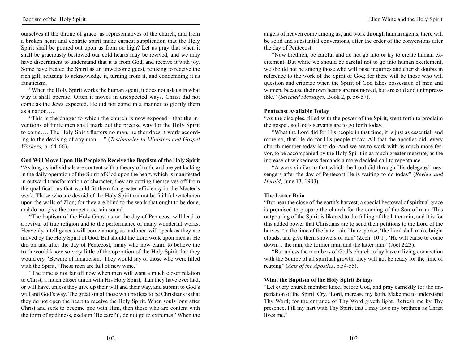ourselves at the throne of grace, as representatives of the church, and from a broken heart and contrite spirit make earnest supplication that the Holy Spirit shall be poured out upon us from on high? Let us pray that when it shall be graciously bestowed our cold hearts may be revived, and we may have discernment to understand that it is from God, and receive it with joy. Some have treated the Spirit as an unwelcome guest, refusing to receive the rich gift, refusing to acknowledge it, turning from it, and condemning it as fanaticism.

"When the Holy Spirit works the human agent, it does not ask us in what way it shall operate. Often it moves in unexpected ways. Christ did not come as the Jews expected. He did not come in a manner to glorify them as a nation…..

"This is the danger to which the church is now exposed - that the inventions of finite men shall mark out the precise way for the Holy Spirit to come.... The Holy Spirit flatters no man, neither does it work according to the devising of any man…." (*Testimonies to Ministers and Gospel Workers,* p. 64-66).

### **God Will Move Upon His People to Receive the Baptism of the Holy Spirit**

"As long as individuals are content with a theory of truth, and are yet lacking in the daily operation of the Spirit of God upon the heart, which is manifested in outward transformation of character, they are cutting themselves off from the qualifications that would fit them for greater efficiency in the Master's work. Those who are devoid of the Holy Spirit cannot be faithful watchmen upon the walls of Zion; for they are blind to the work that ought to be done, and do not give the trumpet a certain sound.

"The baptism of the Holy Ghost as on the day of Pentecost will lead to a revival of true religion and to the performance of many wonderful works. Heavenly intelligences will come among us and men will speak as they are moved by the Holy Spirit of God. But should the Lord work upon men as He did on and after the day of Pentecost, many who now claim to believe the truth would know so very little of the operation of the Holy Spirit that they would cry, 'Beware of fanaticism.' They would say of those who were filled with the Spirit, 'These men are full of new wine.'

"The time is not far off now when men will want a much closer relation to Christ, a much closer union with His Holy Spirit, than they have ever had, or will have, unless they give up their will and their way, and submit to God's will and God's way. The great sin of those who profess to be Christians is that they do not open the heart to receive the Holy Spirit. When souls long after Christ and seek to become one with Him, then those who are content with the form of godliness, exclaim 'Be careful, do not go to extremes.' When the

angels of heaven come among us, and work through human agents, there will be solid and substantial conversions, after the order of the conversions after the day of Pentecost.

"Now brethren, be careful and do not go into or try to create human excitement. But while we should be careful not to go into human excitement, we should not be among those who will raise inquiries and cherish doubts in reference to the work of the Spirit of God; for there will be those who will question and criticize when the Spirit of God takes possession of men and women, because their own hearts are not moved, but are cold and unimpressible." (*Selected Messages,* Book 2, p. 56-57).

### **Pentecost Available Today**

"As the disciples, filled with the power of the Spirit, went forth to proclaim the gospel, so God's servants are to go forth today.

"What the Lord did for His people in that time, it is just as essential, and more so, that He do for His people today. All that the apostles did, every church member today is to do. And we are to work with as much more fervor, to be accompanied by the Holy Spirit in as much greater measure, as the increase of wickedness demands a more decided call to repentance.

"A work similar to that which the Lord did through His delegated messengers after the day of Pentecost He is waiting to do today" (*Review and Herald*, June 13, 1903).

### **The Latter Rain**

"But near the close of the earth's harvest, a special bestowal of spiritual grace is promised to prepare the church for the coming of the Son of man. This outpouring of the Spirit is likened to the falling of the latter rain; and it is for this added power that Christians are to send their petitions to the Lord of the harvest 'in the time of the latter rain.' In response, 'the Lord shall make bright clouds, and give them showers of rain' (Zech. 10:1). 'He will cause to come down… the rain, the former rain, and the latter rain.' (Joel 2:23).

"But unless the members of God's church today have a living connection with the Source of all spiritual growth, they will not be ready for the time of reaping" (*Acts of the Apostles*, p.54-55).

### **What the Baptism of the Holy Spirit Brings**

"Let every church member kneel before God, and pray earnestly for the impartation of the Spirit. Cry, 'Lord, increase my faith. Make me to understand Thy Word; for the entrance of Thy Word giveth light. Refresh me by Thy presence. Fill my hart with Thy Spirit that I may love my brethren as Christ lives me.'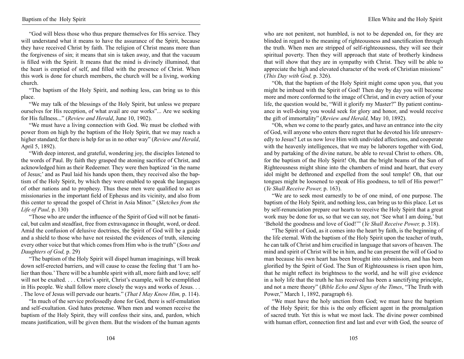"God will bless those who thus prepare themselves for His service. They will understand what it means to have the assurance of the Spirit, because they have received Christ by faith. The religion of Christ means more than the forgiveness of sin; it means that sin is taken away, and that the vacuum is filled with the Spirit. It means that the mind is divinely illumined, that the heart is emptied of self, and filled with the presence of Christ. When this work is done for church members, the church will be a living, working church.

"The baptism of the Holy Spirit, and nothing less, can bring us to this place.

"We may talk of the blessings of the Holy Spirit, but unless we prepare ourselves for His reception, of what avail are our works"... Are we seeking for His fullness..." (*Review and Herald*, June 10, 1902).

"We must have a living connection with God. We must be clothed with power from on high by the baptism of the Holy Spirit, that we may reach a higher standard; for there is help for us in no other way" (*Review and Herald*, April 5, 1892).

"With deep interest, and grateful, wondering joy, the disciples listened to the words of Paul. By faith they grasped the atoning sacrifice of Christ, and acknowledged him as their Redeemer. They were then baptized 'in the name of Jesus;' and as Paul laid his hands upon them, they received also the baptism of the Holy Spirit, by which they were enabled to speak the languages of other nations and to prophesy. Thus these men were qualified to act as missionaries in the important field of Ephesus and its vicinity, and also from this center to spread the gospel of Christ in Asia Minor." (*Sketches from the Life of Paul,* p. 130)

"Those who are under the influence of the Spirit of God will not be fanatical, but calm and steadfast, free from extravagance in thought, word, or deed. Amid the confusion of delusive doctrines, the Spirit of God will be a guide and a shield to those who have not resisted the evidences of truth, silencing every other voice but that which comes from Him who is the truth" (*Sons and Daughters of God,* p. 29)

"The baptism of the Holy Spirit will dispel human imaginings, will break down self-erected barriers, and will cause to cease the feeling that 'I am holier than thou.' There will be a humble spirit with all, more faith and love; self will not be exalted.  $\dots$  Christ's spirit, Christ's example, will be exemplified in His people. We shall follow more closely the ways and works of Jesus. . . . The love of Jesus will pervade our hearts." (*That I May Know Him,* p. 114).

"In much of the service professedly done for God, there is self-emulation and self-exultation. God hates pretense. When men and women receive the baptism of the Holy Spirit, they will confess their sins, and, pardon, which means justification, will be given them. But the wisdom of the human agents

who are not penitent, not humbled, is not to be depended on, for they are blinded in regard to the meaning of righteousness and sanctification through the truth. When men are stripped of self-righteousness, they will see their spiritual poverty. Then they will approach that state of brotherly kindness that will show that they are in sympathy with Christ. They will be able to appreciate the high and elevated character of the work of Christian missions" (*This Day with God,* p. 326).

"Oh, that the baptism of the Holy Spirit might come upon you, that you might be imbued with the Spirit of God! Then day by day you will become more and more conformed to the image of Christ, and in every action of your life, the question would be, "Will it glorify my Master?" By patient continuance in well-doing you would seek for glory and honor, and would receive the gift of immortality" (*Review and Herald,* May 10, 1892).

"Oh, when we come to the pearly gates, and have an entrance into the city of God, will anyone who enters there regret that he devoted his life unreservedly to Jesus? Let us now love Him with undivided affections, and cooperate with the heavenly intelligences, that we may be laborers together with God, and by partaking of the divine nature, be able to reveal Christ to others. Oh, for the baptism of the Holy Spirit! Oh, that the bright beams of the Sun of Righteousness might shine into the chambers of mind and heart, that every idol might be dethroned and expelled from the soul temple! Oh, that our tongues might be loosened to speak of His goodness, to tell of His power!" (*Ye Shall Receive Power,* p. 163).

"We are to seek most earnestly to be of one mind, of one purpose. The baptism of the Holy Spirit, and nothing less, can bring us to this place. Let us by self-renunciation prepare our hearts to receive the Holy Spirit that a great work may be done for us, so that we can say, not 'See what I am doing,' but 'Behold the goodness and love of God!'" (*Ye Shall Receive Power,* p. 318).

"The Spirit of God, as it comes into the heart by faith, is the beginning of the life eternal. With the baptism of the Holy Spirit upon the teacher of truth, he can talk of Christ and him crucified in language that savors of heaven. The mind and spirit of Christ will be in him, and he can present the will of God to man because his own heart has been brought into submission, and has been glorified by the Spirit of God. The Sun of Righteousness is risen upon him, that he might reflect its brightness to the world, and he will give evidence in a holy life that the truth he has received has been a sanctifying principle, and not a mere theory" (*Bible Echo and Signs of the Times*, "The Truth with Power," March 1, 1892, paragraph 6).

"We must have the holy unction from God; we must have the baptism of the Holy Spirit; for this is the only efficient agent in the promulgation of sacred truth. Yet this is what we most lack. The divine power combined with human effort, connection first and last and ever with God, the source of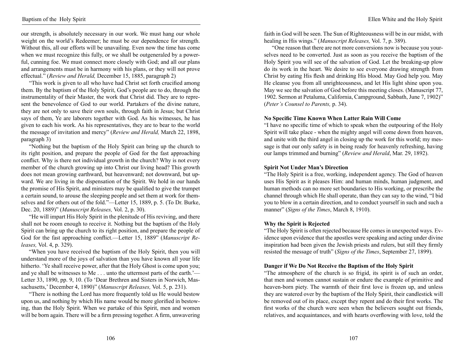our strength, is absolutely necessary in our work. We must hang our whole weight on the world's Redeemer; he must be our dependence for strength. Without this, all our efforts will be unavailing. Even now the time has come when we must recognize this fully, or we shall be outgeneraled by a powerful, cunning foe. We must connect more closely with God; and all our plans and arrangements must be in harmony with his plans, or they will not prove effectual." (*Review and Herald,* December 15, 1885, paragraph 2)

"This work is given to all who have had Christ set forth crucified among them. By the baptism of the Holy Spirit, God's people are to do, through the instrumentality of their Master, the work that Christ did. They are to represent the benevolence of God to our world. Partakers of the divine nature, they are not only to save their own souls, through faith in Jesus; but Christ says of them, Ye are laborers together with God. As his witnesses, he has given to each his work. As his representatives, they are to bear to the world the message of invitation and mercy" (*Review and Herald,* March 22, 1898, paragraph 3)

"Nothing but the baptism of the Holy Spirit can bring up the church to its right position, and prepare the people of God for the fast approaching conflict. Why is there not individual growth in the church? Why is not every member of the church growing up into Christ our living head? This growth does not mean growing earthward, but heavenward; not downward, but upward. We are living in the dispensation of the Spirit. We hold in our hands the promise of His Spirit, and ministers may be qualified to give the trumpet a certain sound, to arouse the sleeping people and set them at work for themselves and for others out of the fold."—Letter 15, 1889, p. 5. (To Dr. Burke, Dec. 20, 1889)" (*Manuscript Releases,* Vol. 2, p. 30).

"He will impart His Holy Spirit in the plenitude of His reviving, and there shall not be room enough to receive it. Nothing but the baptism of the Holy Spirit can bring up the church to its right position, and prepare the people of God for the fast approaching conflict.—Letter 15, 1889" (*Manuscript Releases,* Vol. 4, p. 329).

"When you have received the baptism of the Holy Spirit, then you will understand more of the joys of salvation than you have known all your life hitherto. 'Ye shall receive power, after that the Holy Ghost is come upon you; and ye shall be witnesses to Me . . . unto the uttermost parts of the earth.'— Letter 33, 1890, pp. 9, 10. (To 'Dear Brethren and Sisters in Norwich, Massachusetts,' December 4, 1890)" (*Manuscript Releases,* Vol. 5, p. 231).

"There is nothing the Lord has more frequently told us He would bestow upon us, and nothing by which His name would be more glorified in bestowing, than the Holy Spirit. When we partake of this Spirit, men and women will be born again. There will be a firm pressing together. A firm, unwavering

faith in God will be seen. The Sun of Righteousness will be in our midst, with healing in His wings." (*Manuscript Releases,* Vol. 7, p. 389).

"One reason that there are not more conversions now is because you yourselves need to be converted. Just as soon as you receive the baptism of the Holy Spirit you will see of the salvation of God. Let the breaking-up plow do its work in the heart. We desire to see everyone drawing strength from Christ by eating His flesh and drinking His blood. May God help you. May He cleanse you from all unrighteousness, and let His light shine upon you. May we see the salvation of God before this meeting closes. (Manuscript 77, 1902. Sermon at Petaluma, California, Campground, Sabbath, June 7, 1902)" (*Peter's Counsel to Parents,* p. 34).

### **No Speci c Time Known When Latter Rain Will Come**

"I have no specific time of which to speak when the outpouring of the Holy Spirit will take place - when the mighty angel will come down from heaven, and unite with the third angel in closing up the work for this world; my message is that our only safety is in being ready for heavenly refreshing, having our lamps trimmed and burning" (*Review and Herald*, Mar. 29, 1892).

### **Spirit Not Under Man's Direction**

"The Holy Spirit is a free, working, independent agency. The God of heaven uses His Spirit as it pleases Him: and human minds, human judgment, and human methods can no more set boundaries to His working, or prescribe the channel through which He shall operate, than they can say to the wind, "I bid you to blow in a certain direction, and to conduct yourself in such and such a manner" (*Signs of the Times*, March 8, 1910).

### **Why the Spirit is Rejected**

"The Holy Spirit is often rejected because He comes in unexpected ways. Evidence upon evidence that the apostles were speaking and acting under divine inspiration had been given the Jewish priests and rulers, but still they firmly resisted the message of truth" (*Signs of the Times*, September 27, 1899).

### **Danger if We Do Not Receive the Baptism of the Holy Spirit**

"The atmosphere of the church is so frigid, its spirit is of such an order, that men and women cannot sustain or endure the example of primitive and heaven-born piety. The warmth of their first love is frozen up, and unless they are watered over by the baptism of the Holy Spirit, their candlestick will be removed out of its place, except they repent and do their first works. The first works of the church were seen when the believers sought out friends, relatives, and acquaintances, and with hearts overflowing with love, told the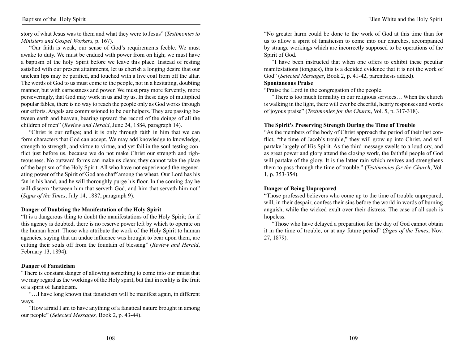story of what Jesus was to them and what they were to Jesus" (*Testimonies to Ministers and Gospel Workers,* p. 167).

"Our faith is weak, our sense of God's requirements feeble. We must awake to duty. We must be endued with power from on high; we must have a baptism of the holy Spirit before we leave this place. Instead of resting satisfied with our present attainments, let us cherish a longing desire that our unclean lips may be purified, and touched with a live coal from off the altar. The words of God to us must come to the people, not in a hesitating, doubting manner, but with earnestness and power. We must pray more fervently, more perseveringly, that God may work in us and by us. In these days of multiplied popular fables, there is no way to reach the people only as God works through our efforts. Angels are commissioned to be our helpers. They are passing between earth and heaven, bearing upward the record of the doings of all the children of men" (*Review and Herald*, June 24, 1884, paragraph 14).

"Christ is our refuge; and it is only through faith in him that we can form characters that God can accept. We may add knowledge to knowledge, strength to strength, and virtue to virtue, and yet fail in the soul-testing con flict just before us, because we do not make Christ our strength and righteousness. No outward forms can make us clean; they cannot take the place of the baptism of the Holy Spirit. All who have not experienced the regenerating power of the Spirit of God are chaff among the wheat. Our Lord has his fan in his hand, and he will thoroughly purge his floor. In the coming day he will discern 'between him that serveth God, and him that serveth him not" (*Signs of the Times*, July 14, 1887, paragraph 9).

### **Danger of Doubting the Manifestation of the Holy Spirit**

"It is a dangerous thing to doubt the manifestations of the Holy Spirit; for if this agency is doubted, there is no reserve power left by which to operate on the human heart. Those who attribute the work of the Holy Spirit to human agencies, saying that an undue influence was brought to bear upon them, are cutting their souls off from the fountain of blessing" (*Review and Herald*, February 13, 1894).

### **Danger of Fanaticism**

"There is constant danger of allowing something to come into our midst that we may regard as the workings of the Holy spirit, but that in reality is the fruit of a spirit of fanaticism.

"…I have long known that fanaticism will be manifest again, in different ways.

"How afraid I am to have anything of a fanatical nature brought in among our people" (*Selected Messages,* Book 2, p. 43-44).

"No greater harm could be done to the work of God at this time than for us to allow a spirit of fanaticism to come into our churches, accompanied by strange workings which are incorrectly supposed to be operations of the Spirit of God.

"I have been instructed that when one offers to exhibit these peculiar manifestations (tongues), this is a decided evidence that it is not the work of God" (*Selected Messages*, Book 2, p. 41-42, parenthesis added).

# **Spontaneous Praise**

"Praise the Lord in the congregation of the people.

"There is too much formality in our religious services… When the church is walking in the light, there will ever be cheerful, hearty responses and words of joyous praise" (*Testimonies for the Church*, Vol. 5, p. 317-318).

### **The Spirit's Preserving Strength During the Time of Trouble**

"As the members of the body of Christ approach the period of their last con flict, "the time of Jacob's trouble," they will grow up into Christ, and will partake largely of His Spirit. As the third message swells to a loud cry, and as great power and glory attend the closing work, the faithful people of God will partake of the glory. It is the latter rain which revives and strengthens them to pass through the time of trouble." (*Testimonies for the Church*, Vol. 1, p. 353-354).

## **Danger of Being Unprepared**

"Those professed believers who come up to the time of trouble unprepared, will, in their despair, confess their sins before the world in words of burning anguish, while the wicked exult over their distress. The case of all such is hopeless.

"Those who have delayed a preparation for the day of God cannot obtain it in the time of trouble, or at any future period" (*Signs of the Times*, Nov. 27, 1879).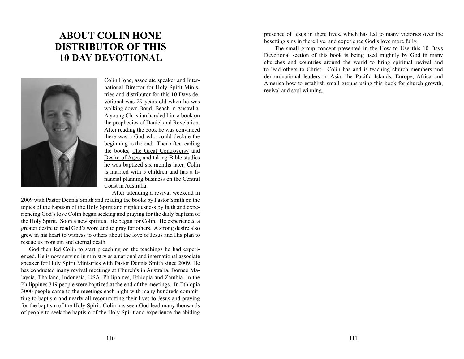# **About Colin ABOUT COLIN HONE Hone - Distributor of this DISTRIBUTOR OF THIS 10 Day Devotional 10 DAY DEVOTIONAL**



Colin Hone, associate speaker and International Director for Holy Spirit Ministries and distributor for this 10 Days devotional was 29 years old when he was walking down Bondi Beach in Australia. A young Christian handed him a book on the prophecies of Daniel and Revelation. After reading the book he was convinced there was a God who could declare the beginning to the end. Then after reading the books, The Great Controversy and Desire of Ages, and taking Bible studies he was baptized six months later. Colin is married with  $5$  children and has a financial planning business on the Central Coast in Australia.

After attending a revival weekend in

2009 with Pastor Dennis Smith and reading the books by Pastor Smith on the topics of the baptism of the Holy Spirit and righteousness by faith and experiencing God's love Colin began seeking and praying for the daily baptism of the Holy Spirit. Soon a new spiritual life began for Colin. He experienced a greater desire to read God's word and to pray for others. A strong desire also grew in his heart to witness to others about the love of Jesus and His plan to rescue us from sin and eternal death.

God then led Colin to start preaching on the teachings he had experienced. He is now serving in ministry as a national and international associate speaker for Holy Spirit Ministries with Pastor Dennis Smith since 2009. He has conducted many revival meetings at Church's in Australia, Borneo Malaysia, Thailand, Indonesia, USA, Philippines, Ethiopia and Zambia. In the Philippines 319 people were baptized at the end of the meetings. In Ethiopia 3000 people came to the meetings each night with many hundreds committing to baptism and nearly all recommitting their lives to Jesus and praying for the baptism of the Holy Spirit. Colin has seen God lead many thousands of people to seek the baptism of the Holy Spirit and experience the abiding

presence of Jesus in there lives, which has led to many victories over the besetting sins in there live, and experience God's love more fully.

The small group concept presented in the How to Use this 10 Days Devotional section of this book is being used mightily by God in many churches and countries around the world to bring spiritual revival and churches and countries around the world to bring spiritual revival and to lead others to Christ. Colin has and is teaching church members and denominational leaders in Asia, the Pacific Islands, Europe, Africa and America how to establish small groups using this book for church growth, revival and soul winning. revival and soul winning.